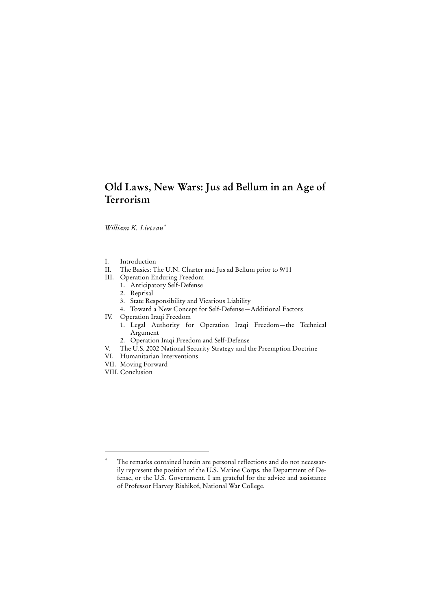# **Old Laws, New Wars: Jus ad Bellum in an Age of Terrorism**

*William K. Lietzau\**

- I. Introduction<br>II. The Basics: T
- The Basics: The U.N. Charter and Jus ad Bellum prior to 9/11
- III. Operation Enduring Freedom
	- 1. Anticipatory Self-Defense
	- 2. Reprisal
	- 3. State Responsibility and Vicarious Liability
	- 4. Toward a New Concept for Self-Defense—Additional Factors
- IV. Operation Iraqi Freedom
	- 1. Legal Authority for Operation Iraqi Freedom—the Technical Argument
- 2. Operation Iraqi Freedom and Self-Defense<br>V. The U.S. 2002 National Security Strategy and t
- The U.S. 2002 National Security Strategy and the Preemption Doctrine
- VI. Humanitarian Interventions
- VII. Moving Forward
- VIII. Conclusion

The remarks contained herein are personal reflections and do not necessarily represent the position of the U.S. Marine Corps, the Department of Defense, or the U.S. Government. I am grateful for the advice and assistance of Professor Harvey Rishikof, National War College.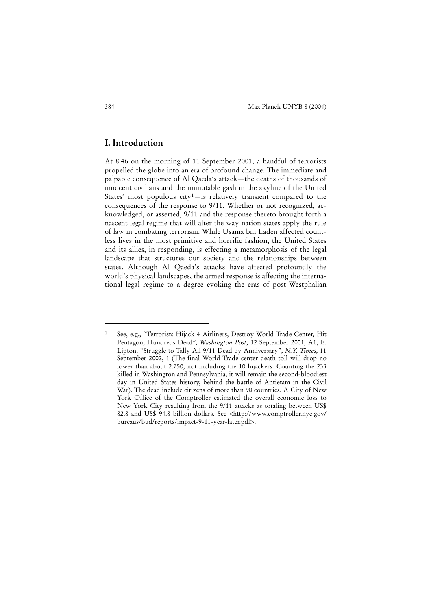# **I. Introduction**

At 8:46 on the morning of 11 September 2001, a handful of terrorists propelled the globe into an era of profound change. The immediate and palpable consequence of Al Qaeda's attack—the deaths of thousands of innocent civilians and the immutable gash in the skyline of the United States' most populous  $city$ <sup>1</sup>-is relatively transient compared to the consequences of the response to 9/11. Whether or not recognized, acknowledged, or asserted, 9/11 and the response thereto brought forth a nascent legal regime that will alter the way nation states apply the rule of law in combating terrorism. While Usama bin Laden affected countless lives in the most primitive and horrific fashion, the United States and its allies, in responding, is effecting a metamorphosis of the legal landscape that structures our society and the relationships between states. Although Al Qaeda's attacks have affected profoundly the world's physical landscapes, the armed response is affecting the international legal regime to a degree evoking the eras of post-Westphalian

See, e.g., "Terrorists Hijack 4 Airliners, Destroy World Trade Center, Hit Pentagon; Hundreds Dead"*, Washington Post*, 12 September 2001, A1; E. Lipton, "Struggle to Tally All 9/11 Dead by Anniversary", *N.Y. Times*, 11 September 2002, 1 (The final World Trade center death toll will drop no lower than about 2.750, not including the 10 hijackers. Counting the 233 killed in Washington and Pennsylvania, it will remain the second-bloodiest day in United States history, behind the battle of Antietam in the Civil War). The dead include citizens of more than 90 countries. A City of New York Office of the Comptroller estimated the overall economic loss to New York City resulting from the 9/11 attacks as totaling between US\$ 82.8 and US\$ 94.8 billion dollars. See <http://www.comptroller.nyc.gov/ bureaus/bud/reports/impact-9-11-year-later.pdf>.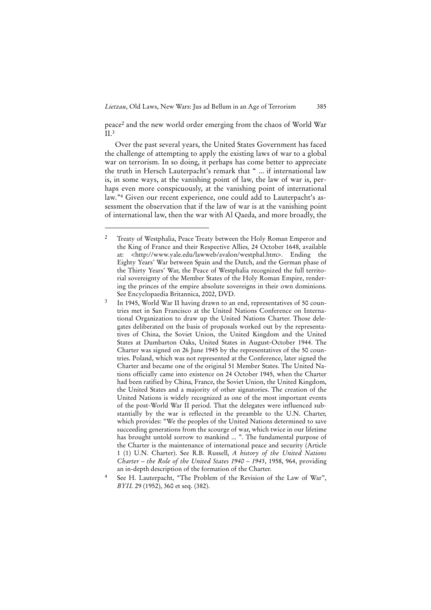peace2 and the new world order emerging from the chaos of World War  $II<sup>3</sup>$ 

Over the past several years, the United States Government has faced the challenge of attempting to apply the existing laws of war to a global war on terrorism. In so doing, it perhaps has come better to appreciate the truth in Hersch Lauterpacht's remark that " ... if international law is, in some ways, at the vanishing point of law, the law of war is, perhaps even more conspicuously, at the vanishing point of international law."4 Given our recent experience, one could add to Lauterpacht's assessment the observation that if the law of war is at the vanishing point of international law, then the war with Al Qaeda, and more broadly, the

<sup>&</sup>lt;sup>2</sup> Treaty of Westphalia, Peace Treaty between the Holy Roman Emperor and the King of France and their Respective Allies*,* 24 October 1648, available at: <http://www.yale.edu/lawweb/avalon/westphal.htm>. Ending the Eighty Years' War between Spain and the Dutch, and the German phase of the Thirty Years' War, the Peace of Westphalia recognized the full territorial sovereignty of the Member States of the Holy Roman Empire, rendering the princes of the empire absolute sovereigns in their own dominions. See Encyclopaedia Britannica, 2002, DVD.

<sup>&</sup>lt;sup>3</sup> In 1945, World War II having drawn to an end, representatives of 50 countries met in San Francisco at the United Nations Conference on International Organization to draw up the United Nations Charter. Those delegates deliberated on the basis of proposals worked out by the representatives of China, the Soviet Union, the United Kingdom and the United States at Dumbarton Oaks, United States in August-October 1944. The Charter was signed on 26 June 1945 by the representatives of the 50 countries. Poland, which was not represented at the Conference, later signed the Charter and became one of the original 51 Member States. The United Nations officially came into existence on 24 October 1945, when the Charter had been ratified by China, France, the Soviet Union, the United Kingdom, the United States and a majority of other signatories. The creation of the United Nations is widely recognized as one of the most important events of the post-World War II period. That the delegates were influenced substantially by the war is reflected in the preamble to the U.N. Charter, which provides: "We the peoples of the United Nations determined to save succeeding generations from the scourge of war, which twice in our lifetime has brought untold sorrow to mankind ... ". The fundamental purpose of the Charter is the maintenance of international peace and security (Article 1 (1) U.N. Charter). See R.B. Russell, *A history of the United Nations Charter – the Role of the United States 1940 – 1945*, 1958, 964, providing an in-depth description of the formation of the Charter.

See H. Lauterpacht, "The Problem of the Revision of the Law of War", *BYIL* 29 (1952), 360 et seq. (382).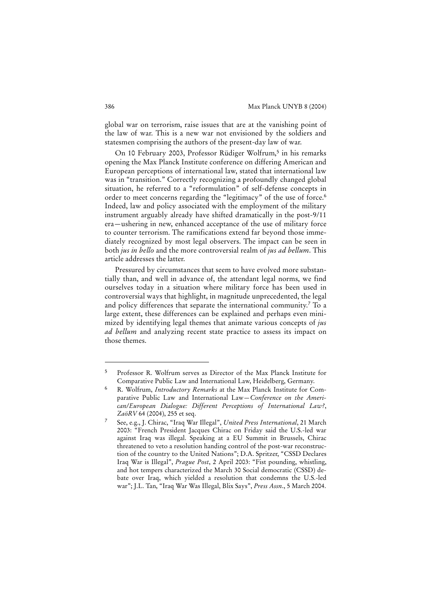global war on terrorism, raise issues that are at the vanishing point of the law of war. This is a new war not envisioned by the soldiers and statesmen comprising the authors of the present-day law of war.

On 10 February 2003, Professor Rüdiger Wolfrum,<sup>5</sup> in his remarks opening the Max Planck Institute conference on differing American and European perceptions of international law, stated that international law was in "transition." Correctly recognizing a profoundly changed global situation, he referred to a "reformulation" of self-defense concepts in order to meet concerns regarding the "legitimacy" of the use of force.<sup>6</sup> Indeed, law and policy associated with the employment of the military instrument arguably already have shifted dramatically in the post-9/11 era—ushering in new, enhanced acceptance of the use of military force to counter terrorism. The ramifications extend far beyond those immediately recognized by most legal observers. The impact can be seen in both *jus in bello* and the more controversial realm of *jus ad bellum*. This article addresses the latter.

Pressured by circumstances that seem to have evolved more substantially than, and well in advance of, the attendant legal norms, we find ourselves today in a situation where military force has been used in controversial ways that highlight, in magnitude unprecedented, the legal and policy differences that separate the international community.<sup>7</sup> To a large extent, these differences can be explained and perhaps even minimized by identifying legal themes that animate various concepts of *jus ad bellum* and analyzing recent state practice to assess its impact on those themes.

<sup>5</sup> Professor R. Wolfrum serves as Director of the Max Planck Institute for Comparative Public Law and International Law, Heidelberg, Germany.

<sup>6</sup> R. Wolfrum, *Introductory Remarks* at the Max Planck Institute for Comparative Public Law and International Law—*Conference on the American/European Dialogue: Different Perceptions of International Law?*, *ZaöRV* 64 (2004), 255 et seq.

<sup>7</sup> See, e.g., J. Chirac, "Iraq War Illegal", *United Press International*, 21 March 2003: "French President Jacques Chirac on Friday said the U.S.-led war against Iraq was illegal. Speaking at a EU Summit in Brussels, Chirac threatened to veto a resolution handing control of the post-war reconstruction of the country to the United Nations"; D.A. Spritzer, "CSSD Declares Iraq War is Illegal", *Prague Post*, 2 April 2003: "Fist pounding, whistling, and hot tempers characterized the March 30 Social democratic (CSSD) debate over Iraq, which yielded a resolution that condemns the U.S.-led war"; J.L. Tan, "Iraq War Was Illegal, Blix Says", *Press Assn*., 5 March 2004.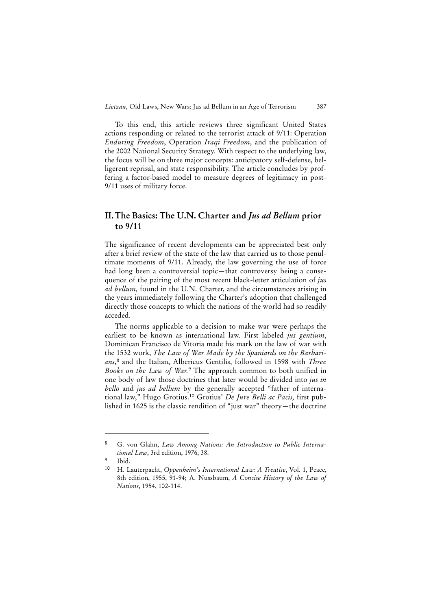To this end, this article reviews three significant United States actions responding or related to the terrorist attack of 9/11: Operation *Enduring Freedom*, Operation *Iraqi Freedom*, and the publication of the 2002 National Security Strategy. With respect to the underlying law, the focus will be on three major concepts: anticipatory self-defense, belligerent reprisal, and state responsibility. The article concludes by proffering a factor-based model to measure degrees of legitimacy in post-9/11 uses of military force.

# **II. The Basics: The U.N. Charter and** *Jus ad Bellum* **prior to 9/11**

The significance of recent developments can be appreciated best only after a brief review of the state of the law that carried us to those penultimate moments of 9/11. Already, the law governing the use of force had long been a controversial topic—that controversy being a consequence of the pairing of the most recent black-letter articulation of *jus ad bellum,* found in the U.N. Charter, and the circumstances arising in the years immediately following the Charter's adoption that challenged directly those concepts to which the nations of the world had so readily acceded*.*

The norms applicable to a decision to make war were perhaps the earliest to be known as international law. First labeled *jus gentium*, Dominican Francisco de Vitoria made his mark on the law of war with the 1532 work, *The Law of War Made by the Spaniards on the Barbarians*, 8 and the Italian, Albericus Gentilis, followed in 1598 with *Three Books on the Law of War.*9 The approach common to both unified in one body of law those doctrines that later would be divided into *jus in bello* and *jus ad bellum* by the generally accepted "father of international law," Hugo Grotius.10 Grotius' *De Jure Belli ac Pacis,* first published in 1625 is the classic rendition of "just war" theory—the doctrine

<sup>8</sup> G. von Glahn, *Law Among Nations: An Introduction to Public International Law*, 3rd edition, 1976, 38.

Ibid.

<sup>10</sup> H. Lauterpacht, *Oppenheim's International Law: A Treatise*, Vol. 1, Peace, 8th edition, 1955, 91-94; A. Nussbaum, *A Concise History of the Law of Nations*, 1954, 102-114.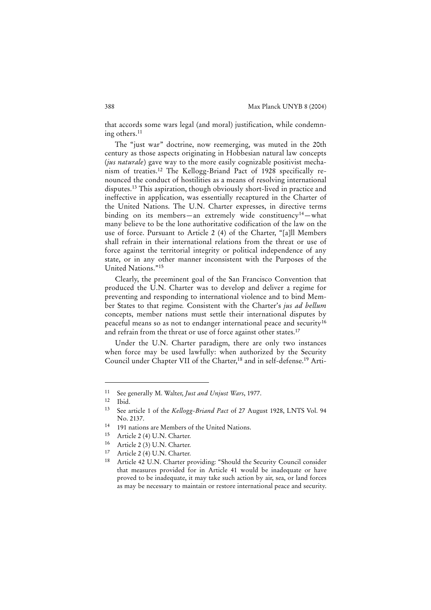that accords some wars legal (and moral) justification, while condemning others.11

The "just war" doctrine, now reemerging, was muted in the 20th century as those aspects originating in Hobbesian natural law concepts (*jus naturale*) gave way to the more easily cognizable positivist mechanism of treaties.12 The Kellogg-Briand Pact of 1928 specifically renounced the conduct of hostilities as a means of resolving international disputes.13 This aspiration, though obviously short-lived in practice and ineffective in application, was essentially recaptured in the Charter of the United Nations. The U.N. Charter expresses, in directive terms binding on its members—an extremely wide constituency<sup>14</sup>—what many believe to be the lone authoritative codification of the law on the use of force. Pursuant to Article 2 (4) of the Charter, "[a]ll Members shall refrain in their international relations from the threat or use of force against the territorial integrity or political independence of any state, or in any other manner inconsistent with the Purposes of the United Nations."15

Clearly, the preeminent goal of the San Francisco Convention that produced the U.N. Charter was to develop and deliver a regime for preventing and responding to international violence and to bind Member States to that regime*.* Consistent with the Charter's *jus ad bellum*  concepts, member nations must settle their international disputes by peaceful means so as not to endanger international peace and security16 and refrain from the threat or use of force against other states.<sup>17</sup>

Under the U.N. Charter paradigm, there are only two instances when force may be used lawfully: when authorized by the Security Council under Chapter VII of the Charter,<sup>18</sup> and in self-defense.<sup>19</sup> Arti-

<sup>11</sup> See generally M. Walter, *Just and Unjust Wars*, 1977.

 $\frac{12}{13}$  Ibid.

<sup>13</sup> See article 1 of the *Kellogg-Briand Pact* of 27 August 1928, LNTS Vol. 94 No. 2137.

<sup>14 191</sup> nations are Members of the United Nations.

<sup>15</sup> Article 2 (4) U.N. Charter.

<sup>16</sup> Article 2 (3) U.N. Charter.

<sup>17</sup> Article 2 (4) U.N. Charter.

<sup>18</sup> Article 42 U.N. Charter providing: "Should the Security Council consider that measures provided for in Article 41 would be inadequate or have proved to be inadequate, it may take such action by air, sea, or land forces as may be necessary to maintain or restore international peace and security.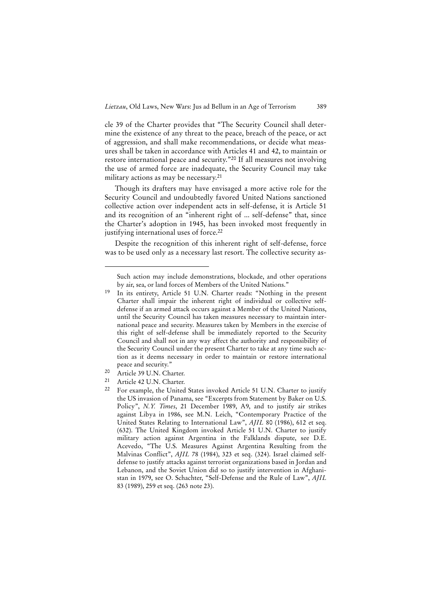cle 39 of the Charter provides that "The Security Council shall determine the existence of any threat to the peace, breach of the peace, or act of aggression, and shall make recommendations, or decide what measures shall be taken in accordance with Articles 41 and 42, to maintain or restore international peace and security."20 If all measures not involving the use of armed force are inadequate, the Security Council may take military actions as may be necessary.<sup>21</sup>

Though its drafters may have envisaged a more active role for the Security Council and undoubtedly favored United Nations sanctioned collective action over independent acts in self-defense, it is Article 51 and its recognition of an "inherent right of ... self-defense" that, since the Charter's adoption in 1945, has been invoked most frequently in justifying international uses of force.<sup>22</sup>

Despite the recognition of this inherent right of self-defense, force was to be used only as a necessary last resort. The collective security as-

<sup>20</sup> Article 39 U.N. Charter.

j

Article 42 U.N. Charter.

Such action may include demonstrations, blockade, and other operations by air, sea, or land forces of Members of the United Nations."

<sup>19</sup> In its entirety, Article 51 U.N. Charter reads: "Nothing in the present Charter shall impair the inherent right of individual or collective selfdefense if an armed attack occurs against a Member of the United Nations, until the Security Council has taken measures necessary to maintain international peace and security. Measures taken by Members in the exercise of this right of self-defense shall be immediately reported to the Security Council and shall not in any way affect the authority and responsibility of the Security Council under the present Charter to take at any time such action as it deems necessary in order to maintain or restore international peace and security."

<sup>&</sup>lt;sup>22</sup> For example, the United States invoked Article 51 U.N. Charter to justify the US invasion of Panama, see "Excerpts from Statement by Baker on U.S. Policy", *N.Y. Times*, 21 December 1989, A9, and to justify air strikes against Libya in 1986, see M.N. Leich, "Contemporary Practice of the United States Relating to International Law", *AJIL* 80 (1986), 612 et seq. (632). The United Kingdom invoked Article 51 U.N. Charter to justify military action against Argentina in the Falklands dispute, see D.E. Acevedo, "The U.S. Measures Against Argentina Resulting from the Malvinas Conflict", *AJIL* 78 (1984), 323 et seq. (324). Israel claimed selfdefense to justify attacks against terrorist organizations based in Jordan and Lebanon, and the Soviet Union did so to justify intervention in Afghanistan in 1979, see O. Schachter, "Self-Defense and the Rule of Law", *AJIL* 83 (1989), 259 et seq. (263 note 23).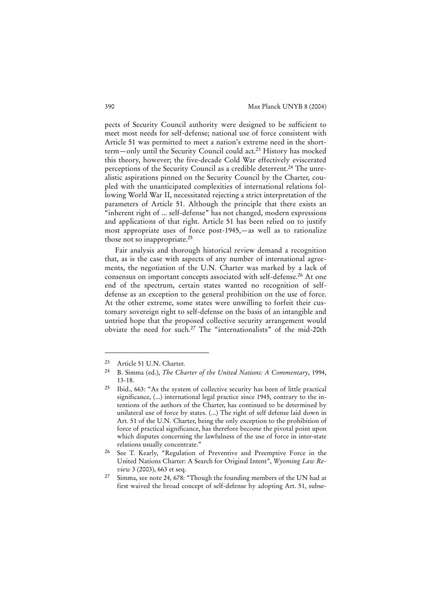pects of Security Council authority were designed to be sufficient to meet most needs for self-defense; national use of force consistent with Article 51 was permitted to meet a nation's extreme need in the shortterm—only until the Security Council could act.23 History has mocked this theory, however; the five-decade Cold War effectively eviscerated perceptions of the Security Council as a credible deterrent.24 The unrealistic aspirations pinned on the Security Council by the Charter, coupled with the unanticipated complexities of international relations following World War II, necessitated rejecting a strict interpretation of the parameters of Article 51. Although the principle that there exists an "inherent right of ... self-defense" has not changed, modern expressions and applications of that right. Article 51 has been relied on to justify most appropriate uses of force post-1945,—as well as to rationalize those not so inappropriate.25

Fair analysis and thorough historical review demand a recognition that, as is the case with aspects of any number of international agreements, the negotiation of the U.N. Charter was marked by a lack of consensus on important concepts associated with self-defense.26 At one end of the spectrum, certain states wanted no recognition of selfdefense as an exception to the general prohibition on the use of force. At the other extreme, some states were unwilling to forfeit their customary sovereign right to self-defense on the basis of an intangible and untried hope that the proposed collective security arrangement would obviate the need for such.27 The "internationalists" of the mid-20th

<sup>23</sup> Article 51 U.N. Charter.

<sup>24</sup> B. Simma (ed.), *The Charter of the United Nations: A Commentary*, 1994, 13-18.

 $25$  Ibid., 663: "As the system of collective security has been of little practical significance, (...) international legal practice since 1945, contrary to the intentions of the authors of the Charter, has continued to be determined by unilateral use of force by states. (...) The right of self defense laid down in Art. 51 of the U.N. Charter, being the only exception to the prohibition of force of practical significance, has therefore become the pivotal point upon which disputes concerning the lawfulness of the use of force in inter-state relations usually concentrate."

<sup>26</sup> See T. Kearly, "Regulation of Preventive and Preemptive Force in the United Nations Charter: A Search for Original Intent", *Wyoming Law Review* 3 (2003), 663 et seq.

<sup>&</sup>lt;sup>27</sup> Simma, see note 24, 678: "Though the founding members of the UN had at first waived the broad concept of self-defense by adopting Art. 51, subse-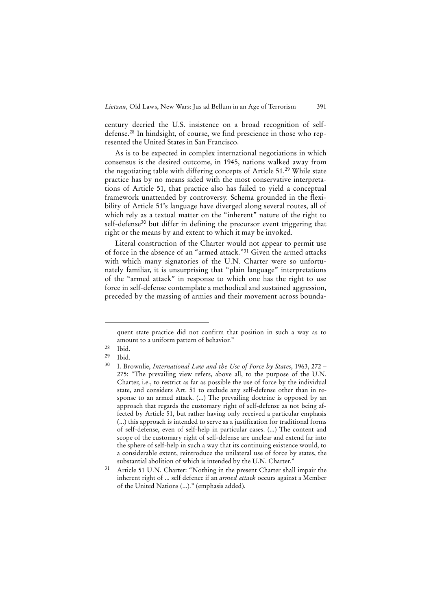century decried the U.S. insistence on a broad recognition of selfdefense.28 In hindsight, of course, we find prescience in those who represented the United States in San Francisco.

As is to be expected in complex international negotiations in which consensus is the desired outcome, in 1945, nations walked away from the negotiating table with differing concepts of Article 51.29 While state practice has by no means sided with the most conservative interpretations of Article 51, that practice also has failed to yield a conceptual framework unattended by controversy. Schema grounded in the flexibility of Article 51's language have diverged along several routes, all of which rely as a textual matter on the "inherent" nature of the right to self-defense<sup>30</sup> but differ in defining the precursor event triggering that right or the means by and extent to which it may be invoked.

Literal construction of the Charter would not appear to permit use of force in the absence of an "armed attack."31 Given the armed attacks with which many signatories of the U.N. Charter were so unfortunately familiar, it is unsurprising that "plain language" interpretations of the "armed attack" in response to which one has the right to use force in self-defense contemplate a methodical and sustained aggression, preceded by the massing of armies and their movement across bounda-

quent state practice did not confirm that position in such a way as to amount to a uniform pattern of behavior."

 $rac{28}{29}$  Ibid.

Ibid.

<sup>30</sup> I. Brownlie, *International Law and the Use of Force by States*, 1963, 272 – 275: "The prevailing view refers, above all, to the purpose of the U.N. Charter, i.e., to restrict as far as possible the use of force by the individual state, and considers Art. 51 to exclude any self-defense other than in response to an armed attack. (...) The prevailing doctrine is opposed by an approach that regards the customary right of self-defense as not being affected by Article 51, but rather having only received a particular emphasis (...) this approach is intended to serve as a justification for traditional forms of self-defense, even of self-help in particular cases. (...) The content and scope of the customary right of self-defense are unclear and extend far into the sphere of self-help in such a way that its continuing existence would, to a considerable extent, reintroduce the unilateral use of force by states, the substantial abolition of which is intended by the U.N. Charter."

<sup>31</sup> Article 51 U.N. Charter: "Nothing in the present Charter shall impair the inherent right of ... self defence if an *armed attack* occurs against a Member of the United Nations (...)." (emphasis added).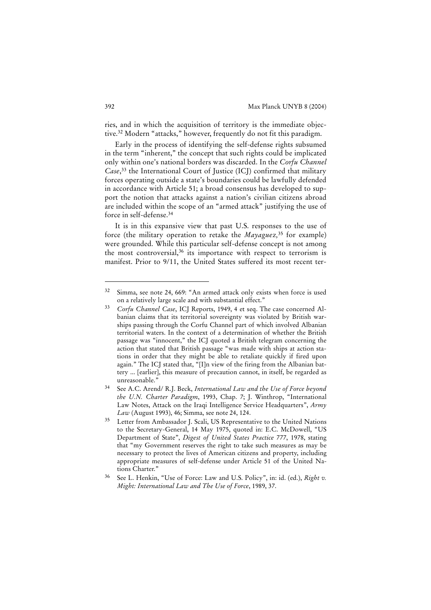ries, and in which the acquisition of territory is the immediate objective.32 Modern "attacks," however, frequently do not fit this paradigm.

Early in the process of identifying the self-defense rights subsumed in the term "inherent," the concept that such rights could be implicated only within one's national borders was discarded. In the *Corfu Channel Case*, 33 the International Court of Justice (ICJ) confirmed that military forces operating outside a state's boundaries could be lawfully defended in accordance with Article 51; a broad consensus has developed to support the notion that attacks against a nation's civilian citizens abroad are included within the scope of an "armed attack" justifying the use of force in self-defense.34

It is in this expansive view that past U.S. responses to the use of force (the military operation to retake the *Mayaguez,*35 for example) were grounded. While this particular self-defense concept is not among the most controversial,<sup>36</sup> its importance with respect to terrorism is manifest. Prior to 9/11, the United States suffered its most recent ter-

<sup>32</sup> Simma, see note 24, 669: "An armed attack only exists when force is used on a relatively large scale and with substantial effect."

<sup>33</sup> *Corfu Channel Case*, ICJ Reports, 1949, 4 et seq. The case concerned Albanian claims that its territorial sovereignty was violated by British warships passing through the Corfu Channel part of which involved Albanian territorial waters. In the context of a determination of whether the British passage was "innocent," the ICJ quoted a British telegram concerning the action that stated that British passage "was made with ships at action stations in order that they might be able to retaliate quickly if fired upon again." The ICJ stated that, "[I]n view of the firing from the Albanian battery ... [earlier], this measure of precaution cannot, in itself, be regarded as unreasonable."

<sup>34</sup> See A.C. Arend/ R.J. Beck, *International Law and the Use of Force beyond the U.N. Charter Paradigm*, 1993, Chap. 7; J. Winthrop, "International Law Notes, Attack on the Iraqi Intelligence Service Headquarters", *Army Law* (August 1993), 46; Simma, see note 24, 124.

<sup>&</sup>lt;sup>35</sup> Letter from Ambassador J. Scali, US Representative to the United Nations to the Secretary-General, 14 May 1975, quoted in: E.C. McDowell, "US Department of State", *Digest of United States Practice* 777, 1978, stating that "my Government reserves the right to take such measures as may be necessary to protect the lives of American citizens and property, including appropriate measures of self-defense under Article 51 of the United Nations Charter."

<sup>36</sup> See L. Henkin, "Use of Force: Law and U.S. Policy", in: id. (ed.), *Right v. Might: International Law and The Use of Force*, 1989, 37.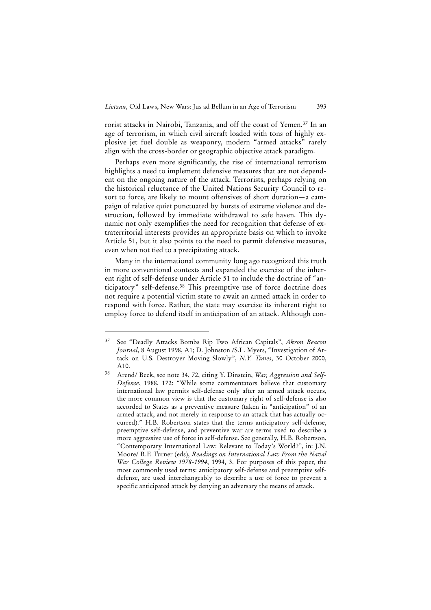rorist attacks in Nairobi, Tanzania, and off the coast of Yemen.37 In an age of terrorism, in which civil aircraft loaded with tons of highly explosive jet fuel double as weaponry, modern "armed attacks" rarely align with the cross-border or geographic objective attack paradigm.

Perhaps even more significantly, the rise of international terrorism highlights a need to implement defensive measures that are not dependent on the ongoing nature of the attack. Terrorists, perhaps relying on the historical reluctance of the United Nations Security Council to resort to force, are likely to mount offensives of short duration—a campaign of relative quiet punctuated by bursts of extreme violence and destruction, followed by immediate withdrawal to safe haven. This dynamic not only exemplifies the need for recognition that defense of extraterritorial interests provides an appropriate basis on which to invoke Article 51, but it also points to the need to permit defensive measures, even when not tied to a precipitating attack.

Many in the international community long ago recognized this truth in more conventional contexts and expanded the exercise of the inherent right of self-defense under Article 51 to include the doctrine of "anticipatory" self-defense.38 This preemptive use of force doctrine does not require a potential victim state to await an armed attack in order to respond with force. Rather, the state may exercise its inherent right to employ force to defend itself in anticipation of an attack. Although con-

<sup>37</sup> See "Deadly Attacks Bombs Rip Two African Capitals", *Akron Beacon Journal*, 8 August 1998, A1; D. Johnston /S.L. Myers, "Investigation of Attack on U.S. Destroyer Moving Slowly", *N.Y. Times*, 30 October 2000, A10.

<sup>38</sup> Arend/ Beck, see note 34, 72, citing Y. Dinstein, *War, Aggression and Self-Defense*, 1988, 172: "While some commentators believe that customary international law permits self-defense only after an armed attack occurs, the more common view is that the customary right of self-defense is also accorded to States as a preventive measure (taken in "anticipation" of an armed attack, and not merely in response to an attack that has actually occurred)." H.B. Robertson states that the terms anticipatory self-defense, preemptive self-defense, and preventive war are terms used to describe a more aggressive use of force in self-defense. See generally, H.B. Robertson, "Contemporary International Law: Relevant to Today's World?", in: J.N. Moore/ R.F. Turner (eds), *Readings on International Law From the Naval War College Review 1978-1994*, 1994, 3. For purposes of this paper, the most commonly used terms: anticipatory self-defense and preemptive selfdefense, are used interchangeably to describe a use of force to prevent a specific anticipated attack by denying an adversary the means of attack.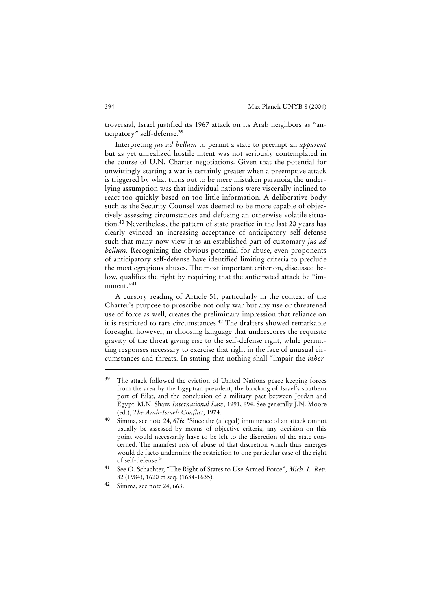troversial, Israel justified its 1967 attack on its Arab neighbors as "anticipatory" self-defense.39

Interpreting *jus ad bellum* to permit a state to preempt an *apparent* but as yet unrealized hostile intent was not seriously contemplated in the course of U.N. Charter negotiations. Given that the potential for unwittingly starting a war is certainly greater when a preemptive attack is triggered by what turns out to be mere mistaken paranoia, the underlying assumption was that individual nations were viscerally inclined to react too quickly based on too little information. A deliberative body such as the Security Counsel was deemed to be more capable of objectively assessing circumstances and defusing an otherwise volatile situation.40 Nevertheless, the pattern of state practice in the last 20 years has clearly evinced an increasing acceptance of anticipatory self-defense such that many now view it as an established part of customary *jus ad bellum*. Recognizing the obvious potential for abuse, even proponents of anticipatory self-defense have identified limiting criteria to preclude the most egregious abuses. The most important criterion, discussed below, qualifies the right by requiring that the anticipated attack be "imminent."41

A cursory reading of Article 51, particularly in the context of the Charter's purpose to proscribe not only war but any use or threatened use of force as well, creates the preliminary impression that reliance on it is restricted to rare circumstances.42 The drafters showed remarkable foresight, however, in choosing language that underscores the requisite gravity of the threat giving rise to the self-defense right, while permitting responses necessary to exercise that right in the face of unusual circumstances and threats. In stating that nothing shall "impair the *inher-*

<sup>&</sup>lt;sup>39</sup> The attack followed the eviction of United Nations peace-keeping forces from the area by the Egyptian president, the blocking of Israel's southern port of Eilat, and the conclusion of a military pact between Jordan and Egypt. M.N. Shaw, *International Law*, 1991, 694. See generally J.N. Moore (ed.), *The Arab-Israeli Conflict*, 1974.

<sup>40</sup> Simma, see note 24, 676: "Since the (alleged) imminence of an attack cannot usually be assessed by means of objective criteria, any decision on this point would necessarily have to be left to the discretion of the state concerned. The manifest risk of abuse of that discretion which thus emerges would de facto undermine the restriction to one particular case of the right of self-defense."

<sup>41</sup> See O. Schachter, "The Right of States to Use Armed Force", *Mich. L. Rev.* 82 (1984), 1620 et seq. (1634-1635).

<sup>42</sup> Simma, see note 24, 663.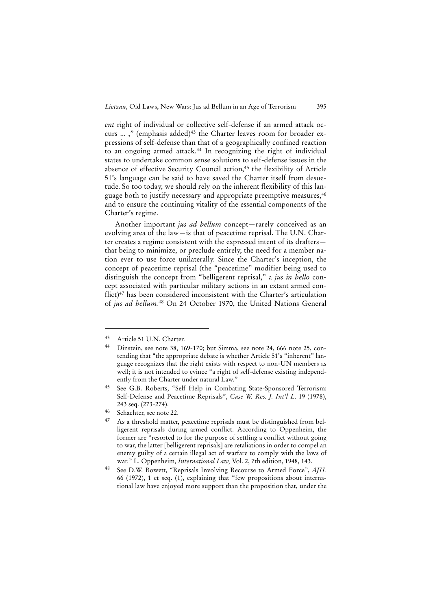*ent* right of individual or collective self-defense if an armed attack occurs ...," (emphasis added)<sup>43</sup> the Charter leaves room for broader expressions of self-defense than that of a geographically confined reaction to an ongoing armed attack.<sup>44</sup> In recognizing the right of individual states to undertake common sense solutions to self-defense issues in the absence of effective Security Council action,<sup>45</sup> the flexibility of Article 51's language can be said to have saved the Charter itself from desuetude. So too today, we should rely on the inherent flexibility of this language both to justify necessary and appropriate preemptive measures,<sup>46</sup> and to ensure the continuing vitality of the essential components of the Charter's regime.

Another important *jus ad bellum* concept—rarely conceived as an evolving area of the law—is that of peacetime reprisal. The U.N. Charter creates a regime consistent with the expressed intent of its drafters that being to minimize, or preclude entirely, the need for a member nation ever to use force unilaterally. Since the Charter's inception, the concept of peacetime reprisal (the "peacetime" modifier being used to distinguish the concept from "belligerent reprisal," a *jus in bello* concept associated with particular military actions in an extant armed conflict)<sup>47</sup> has been considered inconsistent with the Charter's articulation of *jus ad bellum.*48 On 24 October 1970, the United Nations General

<sup>43</sup> Article 51 U.N. Charter.

Dinstein, see note 38, 169-170; but Simma, see note 24, 666 note 25, contending that "the appropriate debate is whether Article 51's "inherent" language recognizes that the right exists with respect to non-UN members as well; it is not intended to evince "a right of self-defense existing independently from the Charter under natural Law."

<sup>45</sup> See G.B. Roberts, "Self Help in Combating State-Sponsored Terrorism: Self-Defense and Peacetime Reprisals", *Case W. Res. J. Int'l L*. 19 (1978), 243 seq. (273-274).

<sup>46</sup> Schachter, see note 22.

<sup>47</sup> As a threshold matter, peacetime reprisals must be distinguished from belligerent reprisals during armed conflict. According to Oppenheim, the former are "resorted to for the purpose of settling a conflict without going to war, the latter [belligerent reprisals] are retaliations in order to compel an enemy guilty of a certain illegal act of warfare to comply with the laws of war." L. Oppenheim, *International Law,* Vol. 2, 7th edition, 1948, 143.

<sup>48</sup> See D.W. Bowett, "Reprisals Involving Recourse to Armed Force", *AJIL* 66 (1972), 1 et seq. (1), explaining that "few propositions about international law have enjoyed more support than the proposition that, under the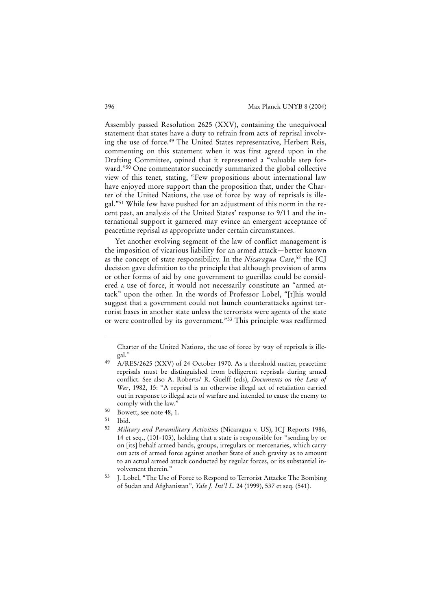Assembly passed Resolution 2625 (XXV), containing the unequivocal statement that states have a duty to refrain from acts of reprisal involving the use of force.49 The United States representative, Herbert Reis, commenting on this statement when it was first agreed upon in the Drafting Committee, opined that it represented a "valuable step forward."<sup>50</sup> One commentator succinctly summarized the global collective view of this tenet, stating, "Few propositions about international law have enjoyed more support than the proposition that, under the Charter of the United Nations, the use of force by way of reprisals is illegal."51 While few have pushed for an adjustment of this norm in the recent past, an analysis of the United States' response to 9/11 and the international support it garnered may evince an emergent acceptance of peacetime reprisal as appropriate under certain circumstances.

Yet another evolving segment of the law of conflict management is the imposition of vicarious liability for an armed attack—better known as the concept of state responsibility. In the *Nicaragua Case*, 52 the ICJ decision gave definition to the principle that although provision of arms or other forms of aid by one government to guerillas could be considered a use of force, it would not necessarily constitute an "armed attack" upon the other. In the words of Professor Lobel, "[t]his would suggest that a government could not launch counterattacks against terrorist bases in another state unless the terrorists were agents of the state or were controlled by its government."53 This principle was reaffirmed

Charter of the United Nations, the use of force by way of reprisals is illegal."

<sup>49</sup> A/RES/2625 (XXV) of 24 October 1970. As a threshold matter, peacetime reprisals must be distinguished from belligerent reprisals during armed conflict. See also A. Roberts/ R. Guelff (eds), *Documents on the Law of War*, 1982, 15: "A reprisal is an otherwise illegal act of retaliation carried out in response to illegal acts of warfare and intended to cause the enemy to comply with the law."

 $^{50}$  Bowett, see note 48, 1.

<sup>51</sup> Ibid.

<sup>52</sup> *Military and Paramilitary Activities* (Nicaragua v. US), ICJ Reports 1986, 14 et seq., (101-103), holding that a state is responsible for "sending by or on [its] behalf armed bands, groups, irregulars or mercenaries, which carry out acts of armed force against another State of such gravity as to amount to an actual armed attack conducted by regular forces, or its substantial involvement therein."

<sup>53</sup> J. Lobel, "The Use of Force to Respond to Terrorist Attacks: The Bombing of Sudan and Afghanistan", *Yale J. Int'l L*. 24 (1999), 537 et seq. (541).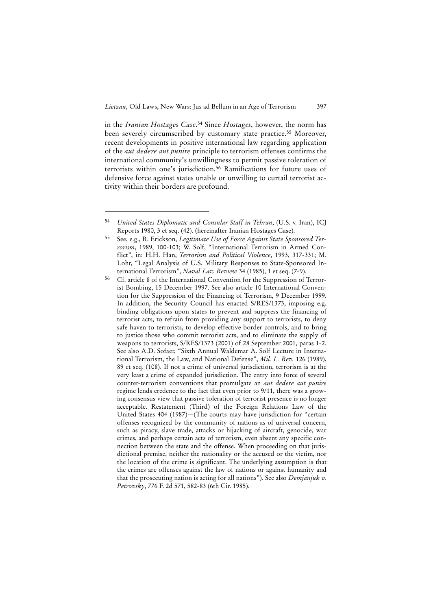in the *Iranian Hostages Case*. 54 Since *Hostages*, however, the norm has been severely circumscribed by customary state practice.<sup>55</sup> Moreover, recent developments in positive international law regarding application of the *aut dedere aut punire* principle to terrorism offenses confirms the international community's unwillingness to permit passive toleration of terrorists within one's jurisdiction.56 Ramifications for future uses of defensive force against states unable or unwilling to curtail terrorist activity within their borders are profound.

<sup>54</sup> *United States Diplomatic and Consular Staff in Tehran*, (U.S. v. Iran), ICJ Reports 1980, 3 et seq. (42). (hereinafter Iranian Hostages Case).

<sup>55</sup> See, e.g., R. Erickson, *Legitimate Use of Force Against State Sponsored Terrorism*, 1989, 100-103; W. Solf, "International Terrorism in Armed Conflict", in: H.H. Han, *Terrorism and Political Violence*, 1993, 317-331; M. Lohr, "Legal Analysis of U.S. Military Responses to State-Sponsored International Terrorism", *Naval Law Review* 34 (1985), 1 et seq. (7-9).

<sup>56</sup> Cf. article 8 of the International Convention for the Suppression of Terrorist Bombing, 15 December 1997. See also article 10 International Convention for the Suppression of the Financing of Terrorism, 9 December 1999. In addition, the Security Council has enacted S/RES/1373, imposing e.g. binding obligations upon states to prevent and suppress the financing of terrorist acts, to refrain from providing any support to terrorists, to deny safe haven to terrorists, to develop effective border controls, and to bring to justice those who commit terrorist acts, and to eliminate the supply of weapons to terrorists, S/RES/1373 (2001) of 28 September 2001, paras 1-2. See also A.D. Sofaer, "Sixth Annual Waldemar A. Solf Lecture in International Terrorism, the Law, and National Defense", *Mil. L. Rev.* 126 (1989), 89 et seq. (108). If not a crime of universal jurisdiction, terrorism is at the very least a crime of expanded jurisdiction. The entry into force of several counter-terrorism conventions that promulgate an *aut dedere aut punire* regime lends credence to the fact that even prior to 9/11, there was a growing consensus view that passive toleration of terrorist presence is no longer acceptable. Restatement (Third) of the Foreign Relations Law of the United States 404 (1987)—(The courts may have jurisdiction for "certain offenses recognized by the community of nations as of universal concern, such as piracy, slave trade, attacks or hijacking of aircraft, genocide, war crimes, and perhaps certain acts of terrorism, even absent any specific connection between the state and the offense. When proceeding on that jurisdictional premise, neither the nationality or the accused or the victim, nor the location of the crime is significant. The underlying assumption is that the crimes are offenses against the law of nations or against humanity and that the prosecuting nation is acting for all nations"). See also *Demjanjuk v. Petrovsky*, 776 F. 2d 571, 582-83 (6th Cir. 1985).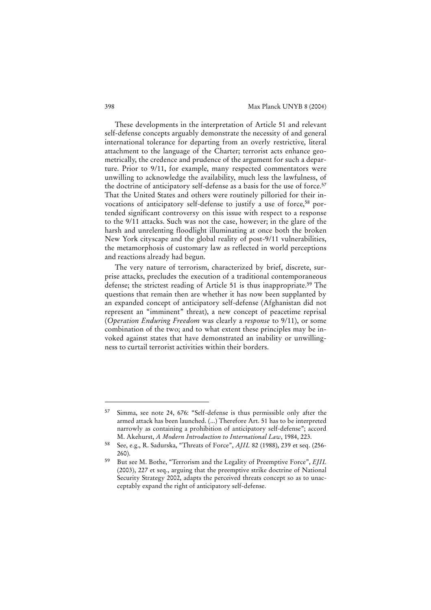398 Max Planck UNYB 8 (2004)

These developments in the interpretation of Article 51 and relevant self-defense concepts arguably demonstrate the necessity of and general international tolerance for departing from an overly restrictive, literal attachment to the language of the Charter; terrorist acts enhance geometrically, the credence and prudence of the argument for such a departure. Prior to 9/11, for example, many respected commentators were unwilling to acknowledge the availability, much less the lawfulness, of the doctrine of anticipatory self-defense as a basis for the use of force.<sup>57</sup> That the United States and others were routinely pilloried for their invocations of anticipatory self-defense to justify a use of force,<sup>58</sup> portended significant controversy on this issue with respect to a response to the 9/11 attacks. Such was not the case, however; in the glare of the harsh and unrelenting floodlight illuminating at once both the broken New York cityscape and the global reality of post-9/11 vulnerabilities, the metamorphosis of customary law as reflected in world perceptions and reactions already had begun.

The very nature of terrorism, characterized by brief, discrete, surprise attacks, precludes the execution of a traditional contemporaneous defense; the strictest reading of Article 51 is thus inappropriate.59 The questions that remain then are whether it has now been supplanted by an expanded concept of anticipatory self-defense (Afghanistan did not represent an "imminent" threat), a new concept of peacetime reprisal (*Operation Enduring Freedom* was clearly a *response* to 9/11), or some combination of the two; and to what extent these principles may be invoked against states that have demonstrated an inability or unwillingness to curtail terrorist activities within their borders.

<sup>57</sup> Simma, see note 24, 676: "Self-defense is thus permissible only after the armed attack has been launched. (...) Therefore Art. 51 has to be interpreted narrowly as containing a prohibition of anticipatory self-defense"; accord M. Akehurst, *A Modern Introduction to International Law*, 1984, 223.

<sup>58</sup> See, e.g., R. Sadurska, "Threats of Force", *AJIL* 82 (1988), 239 et seq. (256- 260).

<sup>59</sup> But see M. Bothe, "Terrorism and the Legality of Preemptive Force", *EJIL* (2003), 227 et seq., arguing that the preemptive strike doctrine of National Security Strategy 2002, adapts the perceived threats concept so as to unacceptably expand the right of anticipatory self-defense.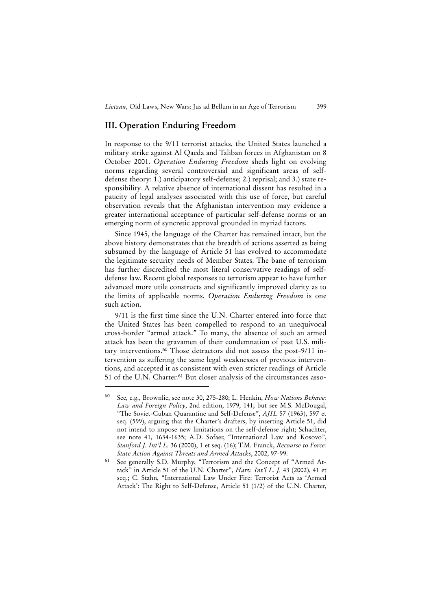### **III. Operation Enduring Freedom**

1

In response to the 9/11 terrorist attacks, the United States launched a military strike against Al Qaeda and Taliban forces in Afghanistan on 8 October 2001. *Operation Enduring Freedom* sheds light on evolving norms regarding several controversial and significant areas of selfdefense theory: 1.) anticipatory self-defense; 2.) reprisal; and 3.) state responsibility. A relative absence of international dissent has resulted in a paucity of legal analyses associated with this use of force, but careful observation reveals that the Afghanistan intervention may evidence a greater international acceptance of particular self-defense norms or an emerging norm of syncretic approval grounded in myriad factors.

Since 1945, the language of the Charter has remained intact, but the above history demonstrates that the breadth of actions asserted as being subsumed by the language of Article 51 has evolved to accommodate the legitimate security needs of Member States. The bane of terrorism has further discredited the most literal conservative readings of selfdefense law. Recent global responses to terrorism appear to have further advanced more utile constructs and significantly improved clarity as to the limits of applicable norms. *Operation Enduring Freedom* is one such action.

9/11 is the first time since the U.N. Charter entered into force that the United States has been compelled to respond to an unequivocal cross-border "armed attack." To many, the absence of such an armed attack has been the gravamen of their condemnation of past U.S. military interventions.<sup>60</sup> Those detractors did not assess the post-9/11 intervention as suffering the same legal weaknesses of previous interventions, and accepted it as consistent with even stricter readings of Article 51 of the U.N. Charter.<sup>61</sup> But closer analysis of the circumstances asso-

<sup>60</sup> See, e.g., Brownlie, see note 30, 275-280; L. Henkin, *How Nations Behave: Law and Foreign Policy*, 2nd edition, 1979, 141; but see M.S. McDougal, "The Soviet-Cuban Quarantine and Self-Defense", *AJIL* 57 (1963), 597 et seq. (599), arguing that the Charter's drafters, by inserting Article 51, did not intend to impose new limitations on the self-defense right; Schachter, see note 41, 1634-1635; A.D. Sofaer, "International Law and Kosovo", *Stanford J. Int'l L.* 36 (2000), 1 et seq. (16); T.M. Franck, *Recourse to Force: State Action Against Threats and Armed Attacks*, 2002, 97-99.

<sup>61</sup> See generally S.D. Murphy, "Terrorism and the Concept of "Armed Attack" in Article 51 of the U.N. Charter", *Harv. Int'l L. J.* 43 (2002), 41 et seq.; C. Stahn, "International Law Under Fire: Terrorist Acts as 'Armed Attack': The Right to Self-Defense, Article 51 (1/2) of the U.N. Charter,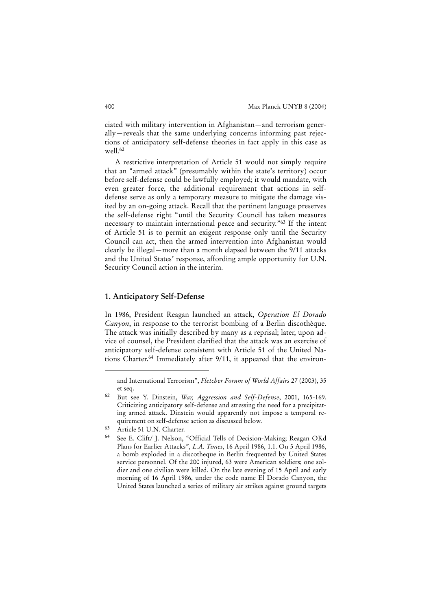ciated with military intervention in Afghanistan—and terrorism generally—reveals that the same underlying concerns informing past rejections of anticipatory self-defense theories in fact apply in this case as well.62

A restrictive interpretation of Article 51 would not simply require that an "armed attack" (presumably within the state's territory) occur before self-defense could be lawfully employed; it would mandate, with even greater force, the additional requirement that actions in selfdefense serve as only a temporary measure to mitigate the damage visited by an on-going attack. Recall that the pertinent language preserves the self-defense right "until the Security Council has taken measures necessary to maintain international peace and security."63 If the intent of Article 51 is to permit an exigent response only until the Security Council can act, then the armed intervention into Afghanistan would clearly be illegal—more than a month elapsed between the 9/11 attacks and the United States' response, affording ample opportunity for U.N. Security Council action in the interim.

### **1. Anticipatory Self-Defense**

In 1986, President Reagan launched an attack, *Operation El Dorado Canyon*, in response to the terrorist bombing of a Berlin discothèque. The attack was initially described by many as a reprisal; later, upon advice of counsel, the President clarified that the attack was an exercise of anticipatory self-defense consistent with Article 51 of the United Nations Charter.64 Immediately after 9/11, it appeared that the environ-

and International Terrorism", *Fletcher Forum of World Affairs* 27 (2003), 35 et seq.

<sup>62</sup> But see Y. Dinstein, *War, Aggression and Self-Defense*, 2001, 165-169. Criticizing anticipatory self-defense and stressing the need for a precipitating armed attack. Dinstein would apparently not impose a temporal requirement on self-defense action as discussed below.

<sup>63</sup> Article 51 U.N. Charter.

See E. Clift/ J. Nelson, "Official Tells of Decision-Making; Reagan OKd Plans for Earlier Attacks", *L.A. Times*, 16 April 1986, 1.1. On 5 April 1986, a bomb exploded in a discotheque in Berlin frequented by United States service personnel. Of the 200 injured, 63 were American soldiers; one soldier and one civilian were killed. On the late evening of 15 April and early morning of 16 April 1986, under the code name El Dorado Canyon, the United States launched a series of military air strikes against ground targets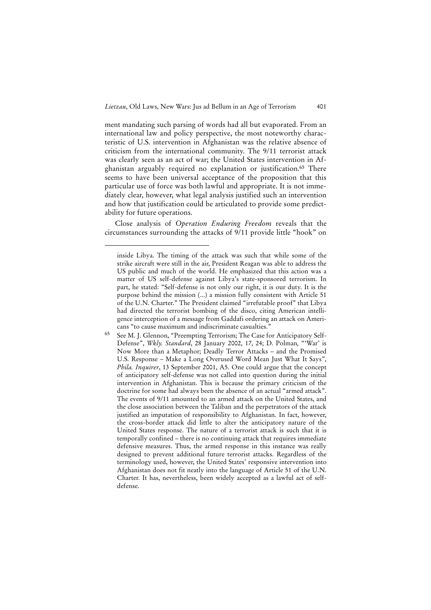ment mandating such parsing of words had all but evaporated. From an international law and policy perspective, the most noteworthy characteristic of U.S. intervention in Afghanistan was the relative absence of criticism from the international community. The 9/11 terrorist attack was clearly seen as an act of war; the United States intervention in Afghanistan arguably required no explanation or justification.65 There seems to have been universal acceptance of the proposition that this particular use of force was both lawful and appropriate. It is not immediately clear, however, what legal analysis justified such an intervention and how that justification could be articulated to provide some predictability for future operations.

Close analysis of *Operation Enduring Freedom* reveals that the circumstances surrounding the attacks of 9/11 provide little "hook" on

inside Libya. The timing of the attack was such that while some of the strike aircraft were still in the air, President Reagan was able to address the US public and much of the world. He emphasized that this action was a matter of US self-defense against Libya's state-sponsored terrorism. In part, he stated: "Self-defense is not only our right, it is our duty. It is the purpose behind the mission (...) a mission fully consistent with Article 51 of the U.N. Charter." The President claimed "irrefutable proof" that Libya had directed the terrorist bombing of the disco, citing American intelligence interception of a message from Gaddafi ordering an attack on Americans "to cause maximum and indiscriminate casualties."

<sup>65</sup> See M. J. Glennon, "Preempting Terrorism; The Case for Anticipatory Self-Defense", *Wkly. Standard*, 28 January 2002, 17, 24; D. Polman*,* "'War' is Now More than a Metaphor; Deadly Terror Attacks – and the Promised U.S. Response – Make a Long Overused Word Mean Just What It Says", *Phila. Inquirer*, 13 September 2001, A5. One could argue that the concept of anticipatory self-defense was not called into question during the initial intervention in Afghanistan. This is because the primary criticism of the doctrine for some had always been the absence of an actual "armed attack". The events of 9/11 amounted to an armed attack on the United States, and the close association between the Taliban and the perpetrators of the attack justified an imputation of responsibility to Afghanistan. In fact, however, the cross-border attack did little to alter the anticipatory nature of the United States response. The nature of a terrorist attack is such that it is temporally confined – there is no continuing attack that requires immediate defensive measures. Thus, the armed response in this instance was really designed to prevent additional future terrorist attacks. Regardless of the terminology used, however, the United States' responsive intervention into Afghanistan does not fit neatly into the language of Article 51 of the U.N. Charter. It has, nevertheless, been widely accepted as a lawful act of selfdefense.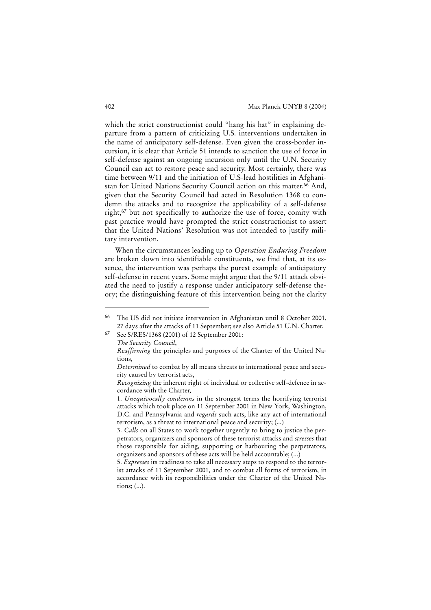which the strict constructionist could "hang his hat" in explaining departure from a pattern of criticizing U.S. interventions undertaken in the name of anticipatory self-defense. Even given the cross-border incursion, it is clear that Article 51 intends to sanction the use of force in self-defense against an ongoing incursion only until the U.N. Security Council can act to restore peace and security. Most certainly, there was time between 9/11 and the initiation of U.S-lead hostilities in Afghanistan for United Nations Security Council action on this matter.<sup>66</sup> And, given that the Security Council had acted in Resolution 1368 to condemn the attacks and to recognize the applicability of a self-defense right,67 but not specifically to authorize the use of force, comity with past practice would have prompted the strict constructionist to assert that the United Nations' Resolution was not intended to justify military intervention.

When the circumstances leading up to *Operation Enduring Freedom* are broken down into identifiable constituents, we find that, at its essence, the intervention was perhaps the purest example of anticipatory self-defense in recent years. Some might argue that the 9/11 attack obviated the need to justify a response under anticipatory self-defense theory; the distinguishing feature of this intervention being not the clarity

*The Security Council*,

<sup>66</sup> The US did not initiate intervention in Afghanistan until 8 October 2001, 27 days after the attacks of 11 September; see also Article 51 U.N. Charter.

See S/RES/1368 (2001) of 12 September 2001:

*Reaffirming* the principles and purposes of the Charter of the United Nations,

*Determined* to combat by all means threats to international peace and security caused by terrorist acts,

*Recognizing* the inherent right of individual or collective self-defence in accordance with the Charter,

 <sup>1.</sup> *Unequivocally condemns* in the strongest terms the horrifying terrorist attacks which took place on 11 September 2001 in New York, Washington, D.C. and Pennsylvania and *regards* such acts, like any act of international terrorism, as a threat to international peace and security; (...)

 <sup>3.</sup> *Calls* on all States to work together urgently to bring to justice the perpetrators, organizers and sponsors of these terrorist attacks and *stresses* that those responsible for aiding, supporting or harbouring the perpetrators, organizers and sponsors of these acts will be held accountable; (...)

 <sup>5.</sup> *Expresses* its readiness to take all necessary steps to respond to the terrorist attacks of 11 September 2001, and to combat all forms of terrorism, in accordance with its responsibilities under the Charter of the United Nations; (...).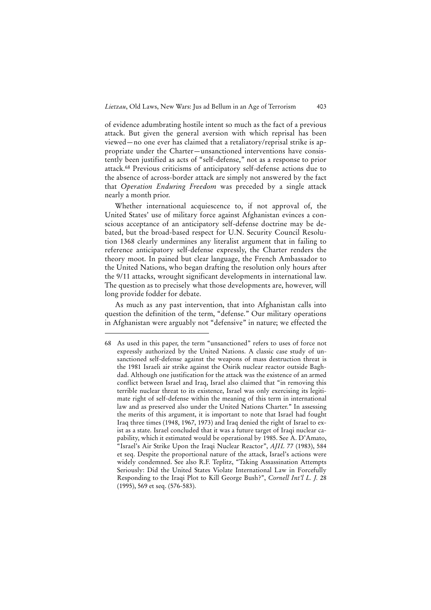of evidence adumbrating hostile intent so much as the fact of a previous attack. But given the general aversion with which reprisal has been viewed—no one ever has claimed that a retaliatory/reprisal strike is appropriate under the Charter—unsanctioned interventions have consistently been justified as acts of "self-defense," not as a response to prior attack.68 Previous criticisms of anticipatory self-defense actions due to the absence of across-border attack are simply not answered by the fact that *Operation Enduring Freedom* was preceded by a single attack nearly a month prior.

Whether international acquiescence to, if not approval of, the United States' use of military force against Afghanistan evinces a conscious acceptance of an anticipatory self-defense doctrine may be debated, but the broad-based respect for U.N. Security Council Resolution 1368 clearly undermines any literalist argument that in failing to reference anticipatory self-defense expressly, the Charter renders the theory moot. In pained but clear language, the French Ambassador to the United Nations, who began drafting the resolution only hours after the 9/11 attacks, wrought significant developments in international law. The question as to precisely what those developments are, however, will long provide fodder for debate.

As much as any past intervention, that into Afghanistan calls into question the definition of the term, "defense." Our military operations in Afghanistan were arguably not "defensive" in nature; we effected the

<sup>68</sup> As used in this paper, the term "unsanctioned" refers to uses of force not expressly authorized by the United Nations. A classic case study of unsanctioned self-defense against the weapons of mass destruction threat is the 1981 Israeli air strike against the Osirik nuclear reactor outside Baghdad. Although one justification for the attack was the existence of an armed conflict between Israel and Iraq, Israel also claimed that "in removing this terrible nuclear threat to its existence, Israel was only exercising its legitimate right of self-defense within the meaning of this term in international law and as preserved also under the United Nations Charter." In assessing the merits of this argument, it is important to note that Israel had fought Iraq three times (1948, 1967, 1973) and Iraq denied the right of Israel to exist as a state. Israel concluded that it was a future target of Iraqi nuclear capability, which it estimated would be operational by 1985. See A. D'Amato, "Israel's Air Strike Upon the Iraqi Nuclear Reactor", *AJIL* 77 (1983), 584 et seq. Despite the proportional nature of the attack, Israel's actions were widely condemned. See also R.F. Teplitz, "Taking Assassination Attempts Seriously: Did the United States Violate International Law in Forcefully Responding to the Iraqi Plot to Kill George Bush?", *Cornell Int'l L. J.* 28 (1995), 569 et seq. (576-583).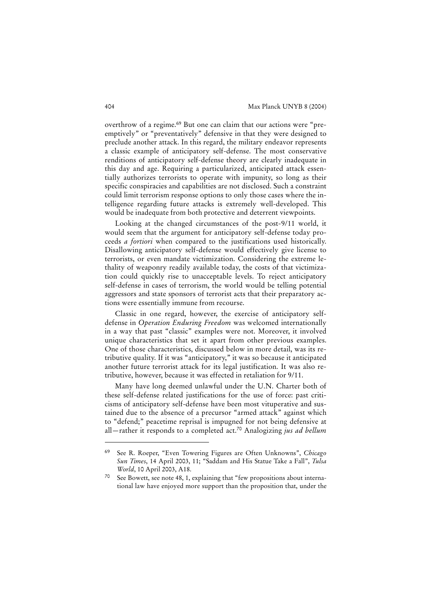overthrow of a regime.69 But one can claim that our actions were "preemptively" or "preventatively" defensive in that they were designed to preclude another attack. In this regard, the military endeavor represents a classic example of anticipatory self-defense. The most conservative renditions of anticipatory self-defense theory are clearly inadequate in this day and age. Requiring a particularized, anticipated attack essentially authorizes terrorists to operate with impunity, so long as their specific conspiracies and capabilities are not disclosed. Such a constraint could limit terrorism response options to only those cases where the intelligence regarding future attacks is extremely well-developed. This would be inadequate from both protective and deterrent viewpoints.

Looking at the changed circumstances of the post-9/11 world, it would seem that the argument for anticipatory self-defense today proceeds *a fortiori* when compared to the justifications used historically. Disallowing anticipatory self-defense would effectively give license to terrorists, or even mandate victimization. Considering the extreme lethality of weaponry readily available today, the costs of that victimization could quickly rise to unacceptable levels. To reject anticipatory self-defense in cases of terrorism, the world would be telling potential aggressors and state sponsors of terrorist acts that their preparatory actions were essentially immune from recourse.

Classic in one regard, however, the exercise of anticipatory selfdefense in *Operation Enduring Freedom* was welcomed internationally in a way that past "classic" examples were not. Moreover, it involved unique characteristics that set it apart from other previous examples. One of those characteristics, discussed below in more detail, was its retributive quality. If it was "anticipatory," it was so because it anticipated another future terrorist attack for its legal justification. It was also retributive, however, because it was effected in retaliation for 9/11.

Many have long deemed unlawful under the U.N. Charter both of these self-defense related justifications for the use of force: past criticisms of anticipatory self-defense have been most vituperative and sustained due to the absence of a precursor "armed attack" against which to "defend;" peacetime reprisal is impugned for not being defensive at all—rather it responds to a completed act.70 Analogizing *jus ad bellum* 

<sup>69</sup> See R. Roeper, "Even Towering Figures are Often Unknowns", *Chicago Sun Times*, 14 April 2003, 11; "Saddam and His Statue Take a Fall", *Tulsa World*, 10 April 2003, A18.

<sup>70</sup> See Bowett, see note 48, 1, explaining that "few propositions about international law have enjoyed more support than the proposition that, under the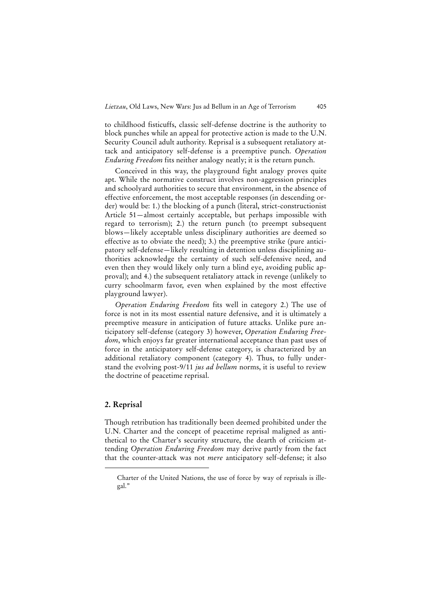to childhood fisticuffs, classic self-defense doctrine is the authority to block punches while an appeal for protective action is made to the U.N. Security Council adult authority. Reprisal is a subsequent retaliatory attack and anticipatory self-defense is a preemptive punch. *Operation Enduring Freedom* fits neither analogy neatly; it is the return punch.

Conceived in this way, the playground fight analogy proves quite apt. While the normative construct involves non-aggression principles and schoolyard authorities to secure that environment, in the absence of effective enforcement, the most acceptable responses (in descending order) would be: 1.) the blocking of a punch (literal, strict-constructionist Article 51—almost certainly acceptable, but perhaps impossible with regard to terrorism); 2.) the return punch (to preempt subsequent blows—likely acceptable unless disciplinary authorities are deemed so effective as to obviate the need); 3.) the preemptive strike (pure anticipatory self-defense—likely resulting in detention unless disciplining authorities acknowledge the certainty of such self-defensive need, and even then they would likely only turn a blind eye, avoiding public approval); and 4.) the subsequent retaliatory attack in revenge (unlikely to curry schoolmarm favor, even when explained by the most effective playground lawyer).

*Operation Enduring Freedom* fits well in category 2.) The use of force is not in its most essential nature defensive, and it is ultimately a preemptive measure in anticipation of future attacks. Unlike pure anticipatory self-defense (category 3) however, *Operation Enduring Freedom*, which enjoys far greater international acceptance than past uses of force in the anticipatory self-defense category, is characterized by an additional retaliatory component (category 4). Thus, to fully understand the evolving post-9/11 *jus ad bellum* norms, it is useful to review the doctrine of peacetime reprisal.

#### **2. Reprisal**

1

Though retribution has traditionally been deemed prohibited under the U.N. Charter and the concept of peacetime reprisal maligned as antithetical to the Charter's security structure, the dearth of criticism attending *Operation Enduring Freedom* may derive partly from the fact that the counter-attack was not *mere* anticipatory self-defense; it also

Charter of the United Nations, the use of force by way of reprisals is illegal."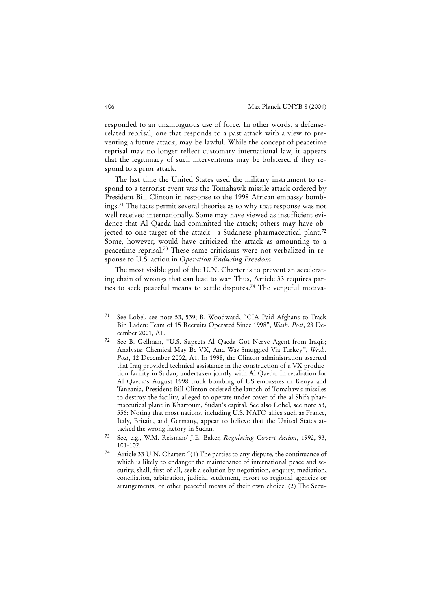responded to an unambiguous use of force. In other words, a defenserelated reprisal, one that responds to a past attack with a view to preventing a future attack, may be lawful. While the concept of peacetime reprisal may no longer reflect customary international law, it appears that the legitimacy of such interventions may be bolstered if they respond to a prior attack.

The last time the United States used the military instrument to respond to a terrorist event was the Tomahawk missile attack ordered by President Bill Clinton in response to the 1998 African embassy bombings.71 The facts permit several theories as to why that response was not well received internationally. Some may have viewed as insufficient evidence that Al Qaeda had committed the attack; others may have objected to one target of the attack—a Sudanese pharmaceutical plant.<sup>72</sup> Some, however, would have criticized the attack as amounting to a peacetime reprisal.73 These same criticisms were not verbalized in response to U.S. action in *Operation Enduring Freedom*.

The most visible goal of the U.N. Charter is to prevent an accelerating chain of wrongs that can lead to war. Thus, Article 33 requires parties to seek peaceful means to settle disputes.74 The vengeful motiva-

<sup>71</sup> See Lobel, see note 53, 539; B. Woodward, "CIA Paid Afghans to Track Bin Laden: Team of 15 Recruits Operated Since 1998", *Wash. Post*, 23 December 2001, A1.

<sup>72</sup> See B. Gellman, "U.S. Supects Al Qaeda Got Nerve Agent from Iraqis; Analysts: Chemical May Be VX, And Was Smuggled Via Turkey", *Wash. Post*, 12 December 2002, A1. In 1998, the Clinton administration asserted that Iraq provided technical assistance in the construction of a VX production facility in Sudan, undertaken jointly with Al Qaeda. In retaliation for Al Qaeda's August 1998 truck bombing of US embassies in Kenya and Tanzania, President Bill Clinton ordered the launch of Tomahawk missiles to destroy the facility, alleged to operate under cover of the al Shifa pharmaceutical plant in Khartoum, Sudan's capital. See also Lobel, see note 53, 556: Noting that most nations, including U.S. NATO allies such as France, Italy, Britain, and Germany, appear to believe that the United States attacked the wrong factory in Sudan.

<sup>73</sup> See, e.g., W.M. Reisman/ J.E. Baker, *Regulating Covert Action*, 1992, 93, 101-102.

<sup>74</sup> Article 33 U.N. Charter: "(1) The parties to any dispute, the continuance of which is likely to endanger the maintenance of international peace and security, shall, first of all, seek a solution by negotiation, enquiry, mediation, conciliation, arbitration, judicial settlement, resort to regional agencies or arrangements, or other peaceful means of their own choice. (2) The Secu-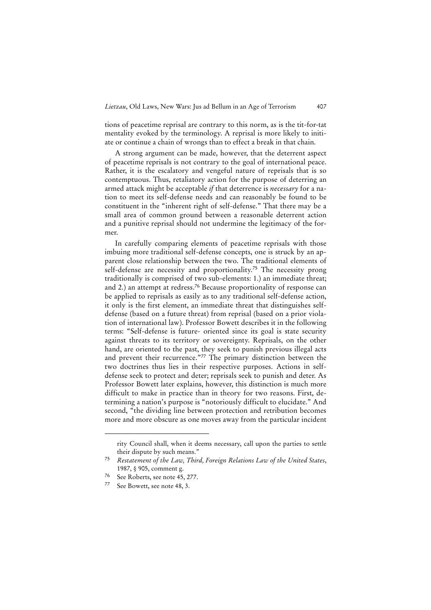tions of peacetime reprisal are contrary to this norm, as is the tit-for-tat mentality evoked by the terminology. A reprisal is more likely to initiate or continue a chain of wrongs than to effect a break in that chain.

A strong argument can be made, however, that the deterrent aspect of peacetime reprisals is not contrary to the goal of international peace. Rather, it is the escalatory and vengeful nature of reprisals that is so contemptuous. Thus, retaliatory action for the purpose of deterring an armed attack might be acceptable *if* that deterrence is *necessary* for a nation to meet its self-defense needs and can reasonably be found to be constituent in the "inherent right of self-defense." That there may be a small area of common ground between a reasonable deterrent action and a punitive reprisal should not undermine the legitimacy of the former.

In carefully comparing elements of peacetime reprisals with those imbuing more traditional self-defense concepts, one is struck by an apparent close relationship between the two. The traditional elements of self-defense are necessity and proportionality.<sup>75</sup> The necessity prong traditionally is comprised of two sub-elements: 1.) an immediate threat; and 2.) an attempt at redress.76 Because proportionality of response can be applied to reprisals as easily as to any traditional self-defense action, it only is the first element, an immediate threat that distinguishes selfdefense (based on a future threat) from reprisal (based on a prior violation of international law). Professor Bowett describes it in the following terms: "Self-defense is future- oriented since its goal is state security against threats to its territory or sovereignty. Reprisals, on the other hand, are oriented to the past, they seek to punish previous illegal acts and prevent their recurrence."77 The primary distinction between the two doctrines thus lies in their respective purposes. Actions in selfdefense seek to protect and deter; reprisals seek to punish and deter. As Professor Bowett later explains, however, this distinction is much more difficult to make in practice than in theory for two reasons. First, determining a nation's purpose is "notoriously difficult to elucidate." And second, "the dividing line between protection and retribution becomes more and more obscure as one moves away from the particular incident

rity Council shall, when it deems necessary, call upon the parties to settle their dispute by such means."

<sup>75</sup> *Restatement of the Law, Third, Foreign Relations Law of the United States*, 1987, § 905, comment g.

<sup>76</sup> See Roberts, see note 45, 277.

<sup>77</sup> See Bowett, see note 48, 3.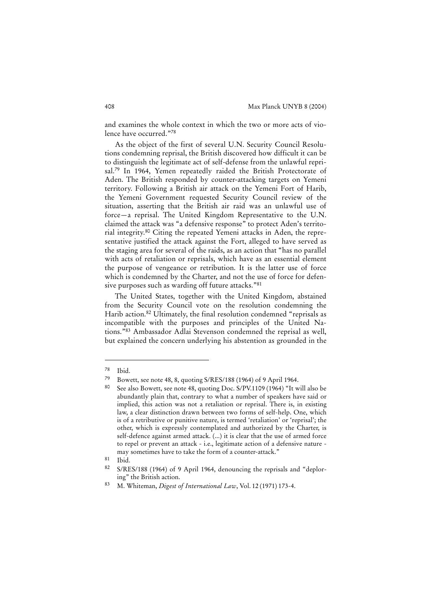and examines the whole context in which the two or more acts of violence have occurred."78

As the object of the first of several U.N. Security Council Resolutions condemning reprisal, the British discovered how difficult it can be to distinguish the legitimate act of self-defense from the unlawful reprisal.79 In 1964, Yemen repeatedly raided the British Protectorate of Aden. The British responded by counter-attacking targets on Yemeni territory. Following a British air attack on the Yemeni Fort of Harib, the Yemeni Government requested Security Council review of the situation, asserting that the British air raid was an unlawful use of force—a reprisal. The United Kingdom Representative to the U.N. claimed the attack was "a defensive response" to protect Aden's territorial integrity.80 Citing the repeated Yemeni attacks in Aden, the representative justified the attack against the Fort, alleged to have served as the staging area for several of the raids, as an action that "has no parallel with acts of retaliation or reprisals, which have as an essential element the purpose of vengeance or retribution. It is the latter use of force which is condemned by the Charter, and not the use of force for defensive purposes such as warding off future attacks."81

The United States, together with the United Kingdom, abstained from the Security Council vote on the resolution condemning the Harib action.82 Ultimately, the final resolution condemned "reprisals as incompatible with the purposes and principles of the United Nations."83 Ambassador Adlai Stevenson condemned the reprisal as well, but explained the concern underlying his abstention as grounded in the

 $\frac{78}{79}$  Ibid.

Bowett, see note 48, 8, quoting S/RES/188 (1964) of 9 April 1964.

<sup>80</sup> See also Bowett, see note 48, quoting Doc. S/PV.1109 (1964) "It will also be abundantly plain that, contrary to what a number of speakers have said or implied, this action was not a retaliation or reprisal. There is, in existing law, a clear distinction drawn between two forms of self-help. One, which is of a retributive or punitive nature, is termed 'retaliation' or 'reprisal'; the other, which is expressly contemplated and authorized by the Charter, is self-defence against armed attack. (...) it is clear that the use of armed force to repel or prevent an attack - i.e., legitimate action of a defensive nature may sometimes have to take the form of a counter-attack."

 $81$  Ibid.

<sup>82</sup> S/RES/188 (1964) of 9 April 1964, denouncing the reprisals and "deploring" the British action.

<sup>83</sup> M. Whiteman, *Digest of International Law*, Vol. 12 (1971) 173-4.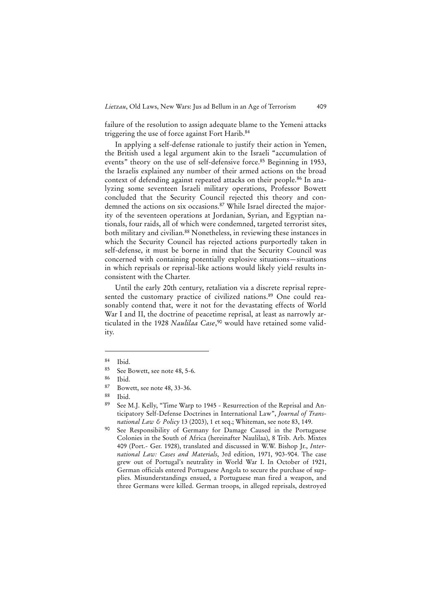failure of the resolution to assign adequate blame to the Yemeni attacks triggering the use of force against Fort Harib.84

In applying a self-defense rationale to justify their action in Yemen, the British used a legal argument akin to the Israeli "accumulation of events" theory on the use of self-defensive force.<sup>85</sup> Beginning in 1953, the Israelis explained any number of their armed actions on the broad context of defending against repeated attacks on their people.<sup>86</sup> In analyzing some seventeen Israeli military operations, Professor Bowett concluded that the Security Council rejected this theory and condemned the actions on six occasions.87 While Israel directed the majority of the seventeen operations at Jordanian, Syrian, and Egyptian nationals, four raids, all of which were condemned, targeted terrorist sites, both military and civilian.88 Nonetheless, in reviewing these instances in which the Security Council has rejected actions purportedly taken in self-defense, it must be borne in mind that the Security Council was concerned with containing potentially explosive situations—situations in which reprisals or reprisal-like actions would likely yield results inconsistent with the Charter.

Until the early 20th century, retaliation via a discrete reprisal represented the customary practice of civilized nations.<sup>89</sup> One could reasonably contend that, were it not for the devastating effects of World War I and II, the doctrine of peacetime reprisal, at least as narrowly articulated in the 1928 *Naulilaa Case*, 90 would have retained some validity.

<sup>84</sup> Ibid.

<sup>85</sup> See Bowett, see note 48, 5-6.

<sup>86</sup> Ibid.

<sup>87</sup> Bowett, see note 48, 33-36.

<sup>88</sup> Ibid.

<sup>89</sup> See M.J. Kelly, "Time Warp to 1945 - Resurrection of the Reprisal and Anticipatory Self-Defense Doctrines in International Law", *Journal of Transnational Law & Policy* 13 (2003), 1 et seq.; Whiteman, see note 83, 149.

See Responsibility of Germany for Damage Caused in the Portuguese Colonies in the South of Africa (hereinafter Naulilaa), 8 Trib. Arb. Mixtes 409 (Port.- Ger. 1928), translated and discussed in W.W. Bishop Jr., *International Law: Cases and Materials*, 3rd edition, 1971, 903-904. The case grew out of Portugal's neutrality in World War I. In October of 1921, German officials entered Portuguese Angola to secure the purchase of supplies. Misunderstandings ensued, a Portuguese man fired a weapon, and three Germans were killed. German troops, in alleged reprisals, destroyed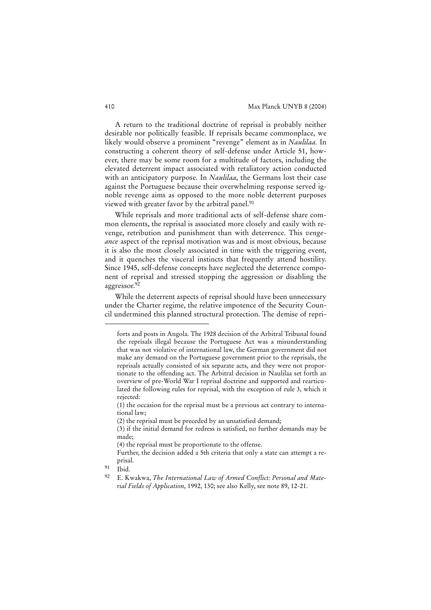A return to the traditional doctrine of reprisal is probably neither desirable nor politically feasible. If reprisals became commonplace, we likely would observe a prominent "revenge" element as in *Naulilaa.* In constructing a coherent theory of self-defense under Article 51, however, there may be some room for a multitude of factors, including the elevated deterrent impact associated with retaliatory action conducted with an anticipatory purpose. In *Naulilaa*, the Germans lost their case against the Portuguese because their overwhelming response served ignoble revenge aims as opposed to the more noble deterrent purposes viewed with greater favor by the arbitral panel.<sup>91</sup>

While reprisals and more traditional acts of self-defense share common elements, the reprisal is associated more closely and easily with revenge, retribution and punishment than with deterrence. This *vengeance* aspect of the reprisal motivation was and is most obvious, because it is also the most closely associated in time with the triggering event, and it quenches the visceral instincts that frequently attend hostility. Since 1945, self-defense concepts have neglected the deterrence component of reprisal and stressed stopping the aggression or disabling the aggressor.92

While the deterrent aspects of reprisal should have been unnecessary under the Charter regime, the relative impotence of the Security Council undermined this planned structural protection. The demise of repri-

(2) the reprisal must be preceded by an unsatisfied demand;

 (3) if the initial demand for redress is satisfied, no further demands may be made;

(4) the reprisal must be proportionate to the offense.

 Further, the decision added a 5th criteria that only a state can attempt a reprisal.

forts and posts in Angola. The 1928 decision of the Arbitral Tribunal found the reprisals illegal because the Portuguese Act was a misunderstanding that was not violative of international law, the German government did not make any demand on the Portuguese government prior to the reprisals, the reprisals actually consisted of six separate acts, and they were not proportionate to the offending act. The Arbitral decision in Naulilaa set forth an overview of pre-World War I reprisal doctrine and supported and rearticulated the following rules for reprisal, with the exception of rule 3, which it rejected:

 <sup>(1)</sup> the occasion for the reprisal must be a previous act contrary to international law;

<sup>91</sup> Ibid.

<sup>92</sup> E. Kwakwa, *The International Law of Armed Conflict: Personal and Material Fields of Application*, 1992, 130; see also Kelly, see note 89, 12-21.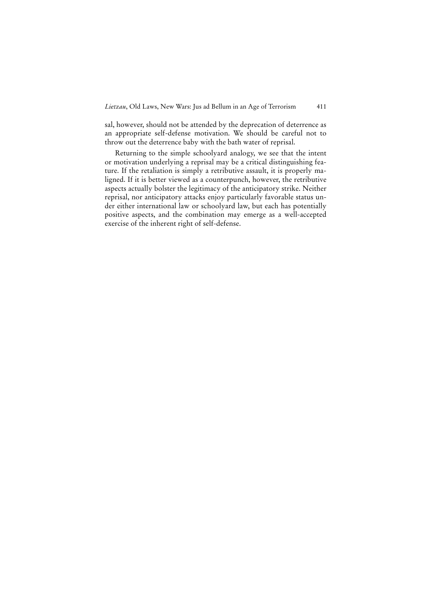sal, however, should not be attended by the deprecation of deterrence as an appropriate self-defense motivation. We should be careful not to throw out the deterrence baby with the bath water of reprisal.

Returning to the simple schoolyard analogy, we see that the intent or motivation underlying a reprisal may be a critical distinguishing feature. If the retaliation is simply a retributive assault, it is properly maligned. If it is better viewed as a counterpunch, however, the retributive aspects actually bolster the legitimacy of the anticipatory strike. Neither reprisal, nor anticipatory attacks enjoy particularly favorable status under either international law or schoolyard law, but each has potentially positive aspects, and the combination may emerge as a well-accepted exercise of the inherent right of self-defense.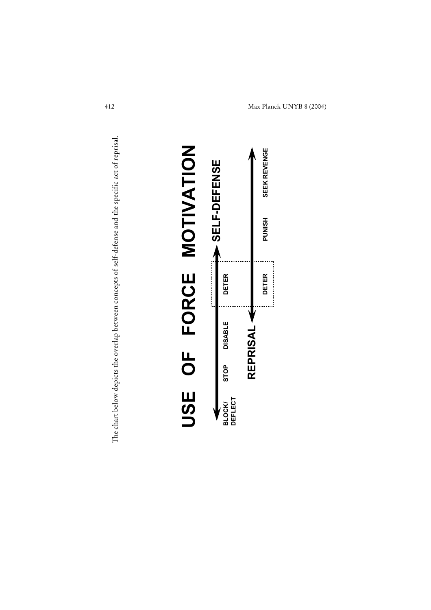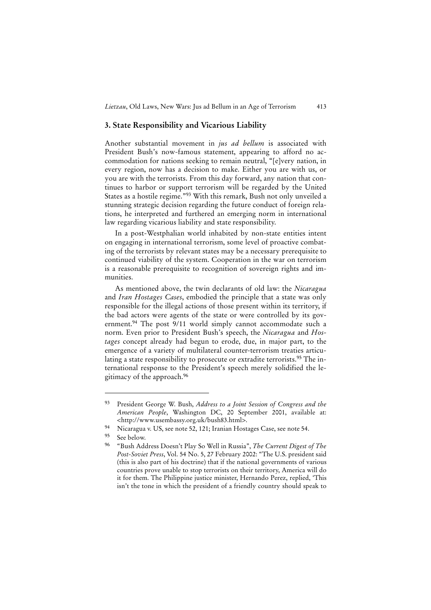#### **3. State Responsibility and Vicarious Liability**

Another substantial movement in *jus ad bellum* is associated with President Bush's now-famous statement, appearing to afford no accommodation for nations seeking to remain neutral, "[e]very nation, in every region, now has a decision to make. Either you are with us, or you are with the terrorists. From this day forward, any nation that continues to harbor or support terrorism will be regarded by the United States as a hostile regime."93 With this remark, Bush not only unveiled a stunning strategic decision regarding the future conduct of foreign relations, he interpreted and furthered an emerging norm in international law regarding vicarious liability and state responsibility.

In a post-Westphalian world inhabited by non-state entities intent on engaging in international terrorism, some level of proactive combating of the terrorists by relevant states may be a necessary prerequisite to continued viability of the system. Cooperation in the war on terrorism is a reasonable prerequisite to recognition of sovereign rights and immunities.

As mentioned above, the twin declarants of old law: the *Nicaragua*  and *Iran Hostages Cases*, embodied the principle that a state was only responsible for the illegal actions of those present within its territory, if the bad actors were agents of the state or were controlled by its government.<sup>94</sup> The post 9/11 world simply cannot accommodate such a norm. Even prior to President Bush's speech, the *Nicaragua* and *Hostages* concept already had begun to erode, due, in major part, to the emergence of a variety of multilateral counter-terrorism treaties articulating a state responsibility to prosecute or extradite terrorists.<sup>95</sup> The international response to the President's speech merely solidified the legitimacy of the approach.96

<sup>93</sup> President George W. Bush, *Address to a Joint Session of Congress and the American People*, Washington DC, 20 September 2001, available at: <http://www.usembassy.org.uk/bush83.html>.

<sup>94</sup> Nicaragua v. US, see note 52, 121; Iranian Hostages Case, see note 54.

<sup>95</sup> See below.

<sup>96 &</sup>quot;Bush Address Doesn't Play So Well in Russia", *The Current Digest of The Post-Soviet Press*, Vol. 54 No. 5, 27 February 2002: "The U.S. president said (this is also part of his doctrine) that if the national governments of various countries prove unable to stop terrorists on their territory, America will do it for them. The Philippine justice minister, Hernando Perez, replied, 'This isn't the tone in which the president of a friendly country should speak to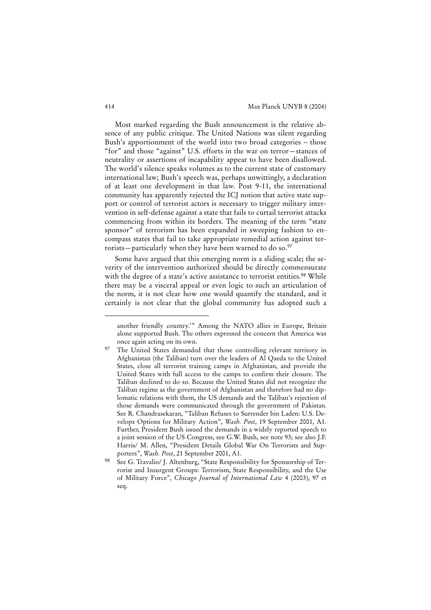Most marked regarding the Bush announcement is the relative absence of any public critique. The United Nations was silent regarding Bush's apportionment of the world into two broad categories – those "for" and those "against" U.S. efforts in the war on terror—stances of neutrality or assertions of incapability appear to have been disallowed. The world's silence speaks volumes as to the current state of customary international law; Bush's speech was, perhaps unwittingly, a declaration of at least one development in that law. Post 9-11, the international community has apparently rejected the ICJ notion that active state support or control of terrorist actors is necessary to trigger military intervention in self-defense against a state that fails to curtail terrorist attacks commencing from within its borders. The meaning of the term "state sponsor" of terrorism has been expanded in sweeping fashion to encompass states that fail to take appropriate remedial action against terrorists—particularly when they have been warned to do so.<sup>97</sup>

Some have argued that this emerging norm is a sliding scale; the severity of the intervention authorized should be directly commensurate with the degree of a state's active assistance to terrorist entities.<sup>98</sup> While there may be a visceral appeal or even logic to such an articulation of the norm, it is not clear how one would quantify the standard, and it certainly is not clear that the global community has adopted such a

another friendly country.'" Among the NATO allies in Europe, Britain alone supported Bush. The others expressed the concern that America was once again acting on its own.

<sup>&</sup>lt;sup>97</sup> The United States demanded that those controlling relevant territory in Afghanistan (the Taliban) turn over the leaders of Al Qaeda to the United States, close all terrorist training camps in Afghanistan, and provide the United States with full access to the camps to confirm their closure. The Taliban declined to do so. Because the United States did not recognize the Taliban regime as the government of Afghanistan and therefore had no diplomatic relations with them, the US demands and the Taliban's rejection of those demands were communicated through the government of Pakistan. See R. Chandrasekaran, "Taliban Refuses to Surrender bin Laden: U.S. Develops Options for Military Action", *Wash. Post*, 19 September 2001, A1. Further, President Bush issued the demands in a widely reported speech to a joint session of the US Congress, see G.W. Bush, see note 93; see also J.F. Harris/ M. Allen, "President Details Global War On Terrorists and Supporters", *Wash. Post*, 21 September 2001, A1.

<sup>98</sup> See G. Travalio/ J. Altenburg, "State Responsibility for Sponsorship of Terrorist and Insurgent Groups: Terrorism, State Responsibility, and the Use of Military Force", *Chicago Journal of International Law* 4 (2003), 97 et seq.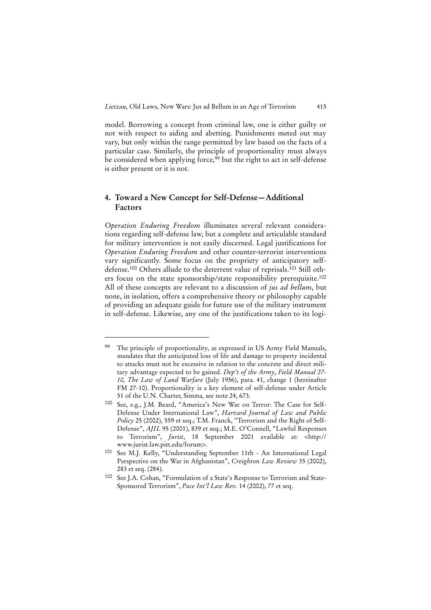model. Borrowing a concept from criminal law, one is either guilty or not with respect to aiding and abetting. Punishments meted out may vary, but only within the range permitted by law based on the facts of a particular case. Similarly, the principle of proportionality must always be considered when applying force,<sup>99</sup> but the right to act in self-defense is either present or it is not.

## **4. Toward a New Concept for Self-Defense—Additional Factors**

*Operation Enduring Freedom* illuminates several relevant considerations regarding self-defense law, but a complete and articulable standard for military intervention is not easily discerned. Legal justifications for *Operation Enduring Freedom* and other counter-terrorist interventions vary significantly. Some focus on the propriety of anticipatory selfdefense.100 Others allude to the deterrent value of reprisals.101 Still others focus on the state sponsorship/state responsibility prerequisite.102 All of these concepts are relevant to a discussion of *jus ad bellum*, but none, in isolation, offers a comprehensive theory or philosophy capable of providing an adequate guide for future use of the military instrument in self-defense. Likewise, any one of the justifications taken to its logi-

<sup>&</sup>lt;sup>99</sup> The principle of proportionality, as expressed in US Army Field Manuals, mandates that the anticipated loss of life and damage to property incidental to attacks must not be excessive in relation to the concrete and direct military advantage expected to be gained. *Dep't of the Army*, *Field Manual 27- 10, The Law of Land Warfare* (July 1956), para. 41, change 1 (hereinafter FM 27-10). Proportionality is a key element of self-defense under Article 51 of the U.N. Charter, Simma, see note 24, 673.

<sup>100</sup> See, e.g., J.M. Beard, "America's New War on Terror: The Case for Self-Defense Under International Law", *Harvard Journal of Law and Public Policy* 25 (2002), 559 et seq.; T.M. Franck, "Terrorism and the Right of Self-Defense", *AJIL* 95 (2001), 839 et seq.; M.E. O'Connell, "Lawful Responses to Terrorism", *Jurist*, 18 September 2001 available at: <http:// www.jurist.law.pitt.edu/forum>.

<sup>101</sup> See M.J. Kelly, "Understanding September 11th - An International Legal Perspective on the War in Afghanistan", *Creighton Law Review* 35 (2002), 283 et seq. (284).

<sup>102</sup> See J.A. Cohan, "Formulation of a State's Response to Terrorism and State-Sponsored Terrorism", *Pace Int'l Law Rev.* 14 (2002), 77 et seq.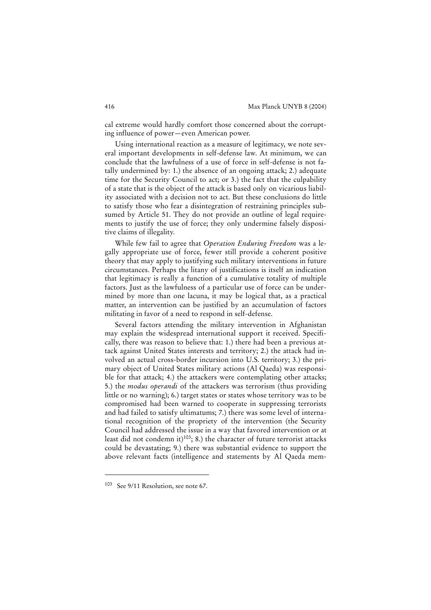cal extreme would hardly comfort those concerned about the corrupting influence of power—even American power.

Using international reaction as a measure of legitimacy, we note several important developments in self-defense law. At minimum, we can conclude that the lawfulness of a use of force in self-defense is not fatally undermined by: 1.) the absence of an ongoing attack; 2.) adequate time for the Security Council to act; or 3.) the fact that the culpability of a state that is the object of the attack is based only on vicarious liability associated with a decision not to act. But these conclusions do little to satisfy those who fear a disintegration of restraining principles subsumed by Article 51. They do not provide an outline of legal requirements to justify the use of force; they only undermine falsely dispositive claims of illegality.

While few fail to agree that *Operation Enduring Freedom* was a legally appropriate use of force, fewer still provide a coherent positive theory that may apply to justifying such military interventions in future circumstances. Perhaps the litany of justifications is itself an indication that legitimacy is really a function of a cumulative totality of multiple factors. Just as the lawfulness of a particular use of force can be undermined by more than one lacuna, it may be logical that, as a practical matter, an intervention can be justified by an accumulation of factors militating in favor of a need to respond in self-defense.

Several factors attending the military intervention in Afghanistan may explain the widespread international support it received. Specifically, there was reason to believe that: 1.) there had been a previous attack against United States interests and territory; 2.) the attack had involved an actual cross-border incursion into U.S. territory; 3.) the primary object of United States military actions (Al Qaeda) was responsible for that attack; 4.) the attackers were contemplating other attacks; 5.) the *modus operandi* of the attackers was terrorism (thus providing little or no warning); 6.) target states or states whose territory was to be compromised had been warned to cooperate in suppressing terrorists and had failed to satisfy ultimatums; 7.) there was some level of international recognition of the propriety of the intervention (the Security Council had addressed the issue in a way that favored intervention or at least did not condemn it)103; 8.) the character of future terrorist attacks could be devastating; 9.) there was substantial evidence to support the above relevant facts (intelligence and statements by Al Qaeda mem-

<sup>103</sup> See 9/11 Resolution, see note 67.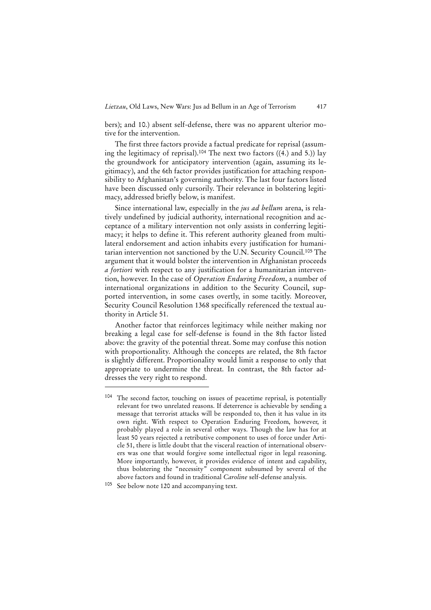bers); and 10.) absent self-defense, there was no apparent ulterior motive for the intervention.

The first three factors provide a factual predicate for reprisal (assuming the legitimacy of reprisal).104 The next two factors ((4.) and 5.)) lay the groundwork for anticipatory intervention (again, assuming its legitimacy), and the 6th factor provides justification for attaching responsibility to Afghanistan's governing authority. The last four factors listed have been discussed only cursorily. Their relevance in bolstering legitimacy, addressed briefly below, is manifest.

Since international law, especially in the *jus ad bellum* arena, is relatively undefined by judicial authority, international recognition and acceptance of a military intervention not only assists in conferring legitimacy; it helps to define it. This referent authority gleaned from multilateral endorsement and action inhabits every justification for humanitarian intervention not sanctioned by the U.N. Security Council.105 The argument that it would bolster the intervention in Afghanistan proceeds *a fortiori* with respect to any justification for a humanitarian intervention, however. In the case of *Operation Enduring Freedom*, a number of international organizations in addition to the Security Council, supported intervention, in some cases overtly, in some tacitly. Moreover, Security Council Resolution 1368 specifically referenced the textual authority in Article 51.

Another factor that reinforces legitimacy while neither making nor breaking a legal case for self-defense is found in the 8th factor listed above: the gravity of the potential threat. Some may confuse this notion with proportionality. Although the concepts are related, the 8th factor is slightly different. Proportionality would limit a response to only that appropriate to undermine the threat. In contrast, the 8th factor addresses the very right to respond.

<sup>104</sup> The second factor, touching on issues of peacetime reprisal, is potentially relevant for two unrelated reasons. If deterrence is achievable by sending a message that terrorist attacks will be responded to, then it has value in its own right. With respect to Operation Enduring Freedom, however, it probably played a role in several other ways. Though the law has for at least 50 years rejected a retributive component to uses of force under Article 51, there is little doubt that the visceral reaction of international observers was one that would forgive some intellectual rigor in legal reasoning. More importantly, however, it provides evidence of intent and capability, thus bolstering the "necessity" component subsumed by several of the above factors and found in traditional *Caroline* self-defense analysis.

<sup>105</sup> See below note 120 and accompanying text.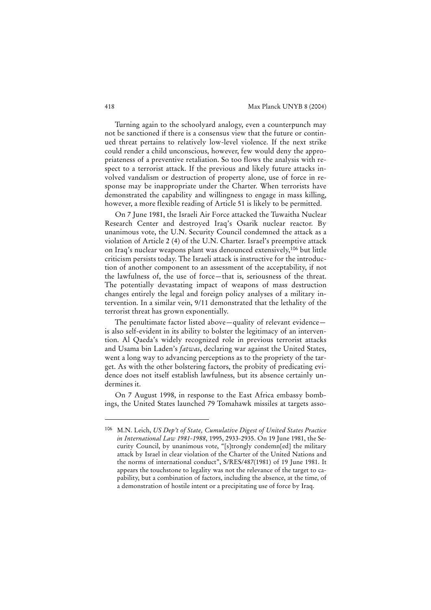Turning again to the schoolyard analogy, even a counterpunch may not be sanctioned if there is a consensus view that the future or continued threat pertains to relatively low-level violence. If the next strike could render a child unconscious, however, few would deny the appropriateness of a preventive retaliation. So too flows the analysis with respect to a terrorist attack. If the previous and likely future attacks involved vandalism or destruction of property alone, use of force in response may be inappropriate under the Charter. When terrorists have demonstrated the capability and willingness to engage in mass killing, however, a more flexible reading of Article 51 is likely to be permitted.

On 7 June 1981, the Israeli Air Force attacked the Tuwaitha Nuclear Research Center and destroyed Iraq's Osarik nuclear reactor. By unanimous vote, the U.N. Security Council condemned the attack as a violation of Article 2 (4) of the U.N. Charter. Israel's preemptive attack on Iraq's nuclear weapons plant was denounced extensively,106 but little criticism persists today. The Israeli attack is instructive for the introduction of another component to an assessment of the acceptability, if not the lawfulness of, the use of force—that is, seriousness of the threat. The potentially devastating impact of weapons of mass destruction changes entirely the legal and foreign policy analyses of a military intervention. In a similar vein, 9/11 demonstrated that the lethality of the terrorist threat has grown exponentially.

The penultimate factor listed above—quality of relevant evidence is also self-evident in its ability to bolster the legitimacy of an intervention. Al Qaeda's widely recognized role in previous terrorist attacks and Usama bin Laden's *fatwas*, declaring war against the United States, went a long way to advancing perceptions as to the propriety of the target. As with the other bolstering factors, the probity of predicating evidence does not itself establish lawfulness, but its absence certainly undermines it.

On 7 August 1998, in response to the East Africa embassy bombings, the United States launched 79 Tomahawk missiles at targets asso-

<sup>106</sup> M.N. Leich, *US Dep't of State, Cumulative Digest of United States Practice in International Law 1981-1988*, 1995, 2933-2935. On 19 June 1981, the Security Council, by unanimous vote, "[s]trongly condemn[ed] the military attack by Israel in clear violation of the Charter of the United Nations and the norms of international conduct", S/RES/487(1981) of 19 June 1981. It appears the touchstone to legality was not the relevance of the target to capability, but a combination of factors, including the absence, at the time, of a demonstration of hostile intent or a precipitating use of force by Iraq.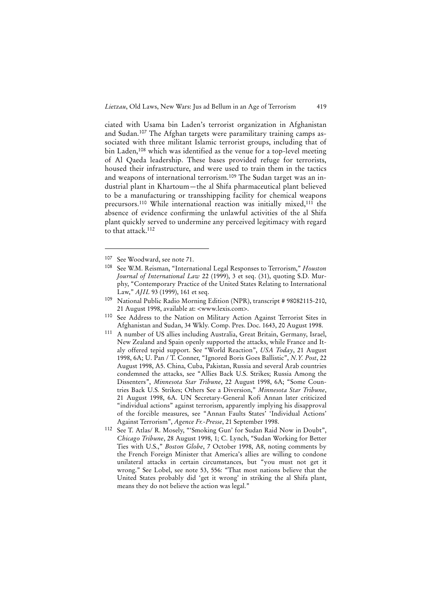ciated with Usama bin Laden's terrorist organization in Afghanistan and Sudan.107 The Afghan targets were paramilitary training camps associated with three militant Islamic terrorist groups, including that of bin Laden,<sup>108</sup> which was identified as the venue for a top-level meeting of Al Qaeda leadership. These bases provided refuge for terrorists, housed their infrastructure, and were used to train them in the tactics and weapons of international terrorism.109 The Sudan target was an industrial plant in Khartoum—the al Shifa pharmaceutical plant believed to be a manufacturing or transshipping facility for chemical weapons precursors.<sup>110</sup> While international reaction was initially mixed,<sup>111</sup> the absence of evidence confirming the unlawful activities of the al Shifa plant quickly served to undermine any perceived legitimacy with regard to that attack.112

<sup>107</sup> See Woodward, see note 71.

<sup>108</sup> See W.M. Reisman, "International Legal Responses to Terrorism," *Houston Journal of International Law* 22 (1999), 3 et seq. (31), quoting S.D. Murphy, "Contemporary Practice of the United States Relating to International Law," *AJIL* 93 (1999), 161 et seq.

<sup>109</sup> National Public Radio Morning Edition (NPR), transcript # 98082115-210, 21 August 1998, available at: <www.lexis.com>.

<sup>110</sup> See Address to the Nation on Military Action Against Terrorist Sites in Afghanistan and Sudan, 34 Wkly. Comp. Pres. Doc. 1643, 20 August 1998.

<sup>111</sup> A number of US allies including Australia, Great Britain, Germany, Israel, New Zealand and Spain openly supported the attacks, while France and Italy offered tepid support. See "World Reaction", *USA Today*, 21 August 1998, 6A; U. Pan / T. Conner, "Ignored Boris Goes Ballistic", *N.Y. Post*, 22 August 1998, A5. China, Cuba, Pakistan, Russia and several Arab countries condemned the attacks, see "Allies Back U.S. Strikes; Russia Among the Dissenters", *Minnesota Star Tribune*, 22 August 1998, 6A; "Some Countries Back U.S. Strikes; Others See a Diversion," *Minnesota Star Tribune*, 21 August 1998, 6A. UN Secretary-General Kofi Annan later criticized "individual actions" against terrorism, apparently implying his disapproval of the forcible measures, see "Annan Faults States' 'Individual Actions' Against Terrorism", *Agence Fr.-Presse*, 21 September 1998.

<sup>112</sup> See T. Atlas/ R. Mosely, "'Smoking Gun' for Sudan Raid Now in Doubt", *Chicago Tribune*, 28 August 1998, 1; C. Lynch, "Sudan Working for Better Ties with U.S.," *Boston Globe*, 7 October 1998, A8, noting comments by the French Foreign Minister that America's allies are willing to condone unilateral attacks in certain circumstances, but "you must not get it wrong." See Lobel, see note 53, 556: "That most nations believe that the United States probably did 'get it wrong' in striking the al Shifa plant, means they do not believe the action was legal."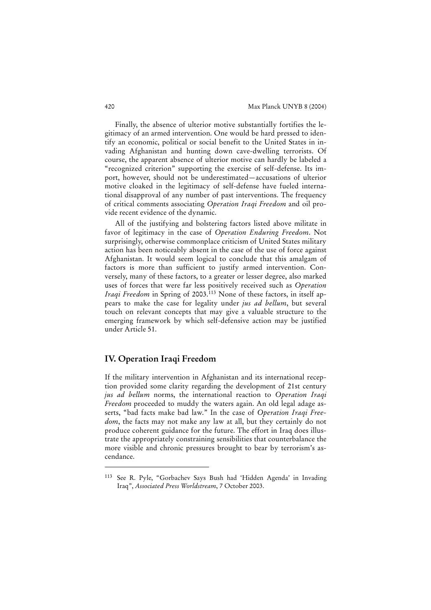Finally, the absence of ulterior motive substantially fortifies the legitimacy of an armed intervention. One would be hard pressed to identify an economic, political or social benefit to the United States in invading Afghanistan and hunting down cave-dwelling terrorists. Of course, the apparent absence of ulterior motive can hardly be labeled a "recognized criterion" supporting the exercise of self-defense. Its import, however, should not be underestimated—accusations of ulterior motive cloaked in the legitimacy of self-defense have fueled international disapproval of any number of past interventions. The frequency of critical comments associating *Operation Iraqi Freedom* and oil provide recent evidence of the dynamic.

All of the justifying and bolstering factors listed above militate in favor of legitimacy in the case of *Operation Enduring Freedom*. Not surprisingly, otherwise commonplace criticism of United States military action has been noticeably absent in the case of the use of force against Afghanistan. It would seem logical to conclude that this amalgam of factors is more than sufficient to justify armed intervention. Conversely, many of these factors, to a greater or lesser degree, also marked uses of forces that were far less positively received such as *Operation Iraqi Freedom* in Spring of 2003.<sup>113</sup> None of these factors, in itself appears to make the case for legality under *jus ad bellum*, but several touch on relevant concepts that may give a valuable structure to the emerging framework by which self-defensive action may be justified under Article 51.

## **IV. Operation Iraqi Freedom**

If the military intervention in Afghanistan and its international reception provided some clarity regarding the development of 21st century *jus ad bellum* norms, the international reaction to *Operation Iraqi Freedom* proceeded to muddy the waters again. An old legal adage asserts, "bad facts make bad law." In the case of *Operation Iraqi Freedom*, the facts may not make any law at all, but they certainly do not produce coherent guidance for the future. The effort in Iraq does illustrate the appropriately constraining sensibilities that counterbalance the more visible and chronic pressures brought to bear by terrorism's ascendance.

<sup>113</sup> See R. Pyle, "Gorbachev Says Bush had 'Hidden Agenda' in Invading Iraq", *Associated Press Worldstream*, 7 October 2003.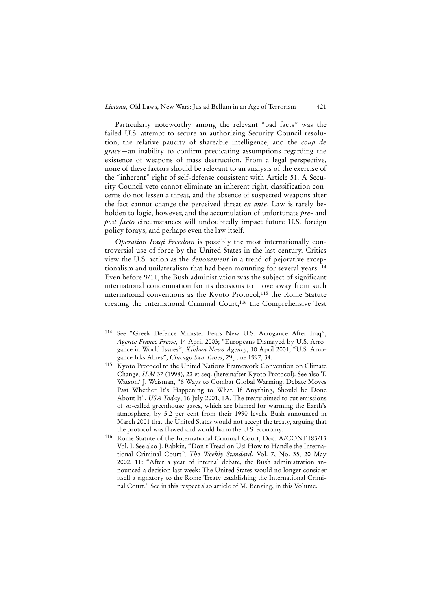Particularly noteworthy among the relevant "bad facts" was the failed U.S. attempt to secure an authorizing Security Council resolution, the relative paucity of shareable intelligence, and the *coup de grace*—an inability to confirm predicating assumptions regarding the existence of weapons of mass destruction. From a legal perspective, none of these factors should be relevant to an analysis of the exercise of the "inherent" right of self-defense consistent with Article 51. A Security Council veto cannot eliminate an inherent right, classification concerns do not lessen a threat, and the absence of suspected weapons after the fact cannot change the perceived threat *ex ante*. Law is rarely beholden to logic, however, and the accumulation of unfortunate *pre-* and *post facto* circumstances will undoubtedly impact future U.S. foreign policy forays, and perhaps even the law itself.

*Operation Iraqi Freedom* is possibly the most internationally controversial use of force by the United States in the last century. Critics view the U.S. action as the *denouement* in a trend of pejorative exceptionalism and unilateralism that had been mounting for several years.114 Even before 9/11, the Bush administration was the subject of significant international condemnation for its decisions to move away from such international conventions as the Kyoto Protocol,<sup>115</sup> the Rome Statute creating the International Criminal Court,<sup>116</sup> the Comprehensive Test

<sup>114</sup> See "Greek Defence Minister Fears New U.S. Arrogance After Iraq", *Agence France Presse*, 14 April 2003; "Europeans Dismayed by U.S. Arrogance in World Issues", *Xinhua News Agency*, 10 April 2001; "U.S. Arrogance Irks Allies", *Chicago Sun Times*, 29 June 1997, 34.

<sup>115</sup> Kyoto Protocol to the United Nations Framework Convention on Climate Change, *ILM* 37 (1998), 22 et seq. (hereinafter Kyoto Protocol). See also T. Watson/ J. Weisman, "6 Ways to Combat Global Warming. Debate Moves Past Whether It's Happening to What, If Anything, Should be Done About It", *USA Today*, 16 July 2001, 1A. The treaty aimed to cut emissions of so-called greenhouse gases, which are blamed for warming the Earth's atmosphere, by 5.2 per cent from their 1990 levels. Bush announced in March 2001 that the United States would not accept the treaty, arguing that the protocol was flawed and would harm the U.S. economy.

<sup>116</sup> Rome Statute of the International Criminal Court, Doc. A/CONF.183/13 Vol. I. See also J. Rabkin, "Don't Tread on Us! How to Handle the International Criminal Court*", The Weekly Standard*, Vol. 7, No. 35, 20 May 2002, 11: "After a year of internal debate, the Bush administration announced a decision last week: The United States would no longer consider itself a signatory to the Rome Treaty establishing the International Criminal Court." See in this respect also article of M. Benzing, in this Volume.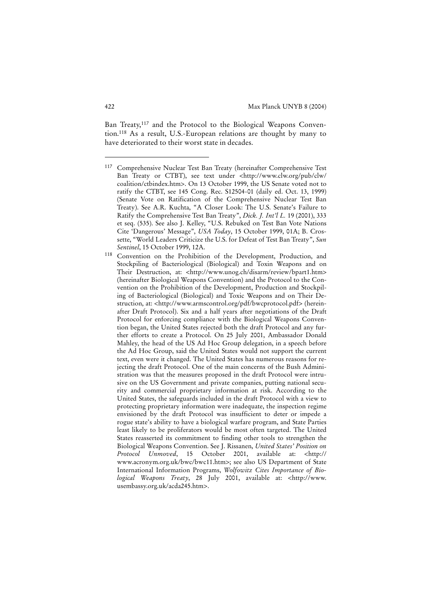Ban Treaty,<sup>117</sup> and the Protocol to the Biological Weapons Convention.118 As a result, U.S.-European relations are thought by many to have deteriorated to their worst state in decades.

<sup>117</sup> Comprehensive Nuclear Test Ban Treaty (hereinafter Comprehensive Test Ban Treaty or CTBT), see text under <http://www.clw.org/pub/clw/ coalition/ctbindex.htm>. On 13 October 1999, the US Senate voted not to ratify the CTBT, see 145 Cong. Rec. S12504-01 (daily ed. Oct. 13, 1999) (Senate Vote on Ratification of the Comprehensive Nuclear Test Ban Treaty). See A.R. Kuchta, "A Closer Look: The U.S. Senate's Failure to Ratify the Comprehensive Test Ban Treaty", *Dick. J. Int'l L.* 19 (2001), 333 et seq. (535). See also J. Kelley, "U.S. Rebuked on Test Ban Vote Nations Cite 'Dangerous' Message", *USA Today*, 15 October 1999, 01A; B. Crossette, "World Leaders Criticize the U.S. for Defeat of Test Ban Treaty", *Sun Sentinel*, 15 October 1999, 12A.

<sup>118</sup> Convention on the Prohibition of the Development, Production, and Stockpiling of Bacteriological (Biological) and Toxin Weapons and on Their Destruction, at: <http://www.unog.ch/disarm/review/bpart1.htm> (hereinafter Biological Weapons Convention) and the Protocol to the Convention on the Prohibition of the Development, Production and Stockpiling of Bacteriological (Biological) and Toxic Weapons and on Their Destruction, at: <http://www.armscontrol.org/pdf/bwcprotocol.pdf> (hereinafter Draft Protocol). Six and a half years after negotiations of the Draft Protocol for enforcing compliance with the Biological Weapons Convention began, the United States rejected both the draft Protocol and any further efforts to create a Protocol. On 25 July 2001, Ambassador Donald Mahley, the head of the US Ad Hoc Group delegation, in a speech before the Ad Hoc Group, said the United States would not support the current text, even were it changed. The United States has numerous reasons for rejecting the draft Protocol. One of the main concerns of the Bush Administration was that the measures proposed in the draft Protocol were intrusive on the US Government and private companies, putting national security and commercial proprietary information at risk. According to the United States, the safeguards included in the draft Protocol with a view to protecting proprietary information were inadequate, the inspection regime envisioned by the draft Protocol was insufficient to deter or impede a rogue state's ability to have a biological warfare program, and State Parties least likely to be proliferators would be most often targeted. The United States reasserted its commitment to finding other tools to strengthen the Biological Weapons Convention. See J. Rissanen, *United States' Position on Protocol Unmoved*, 15 October 2001, available at: <http:// www.acronym.org.uk/bwc/bwc11.htm>; see also US Department of State International Information Programs, *Wolfowitz Cites Importance of Biological Weapons Treaty*, 28 July 2001, available at: <http://www. usembassy.org.uk/acda245.htm>.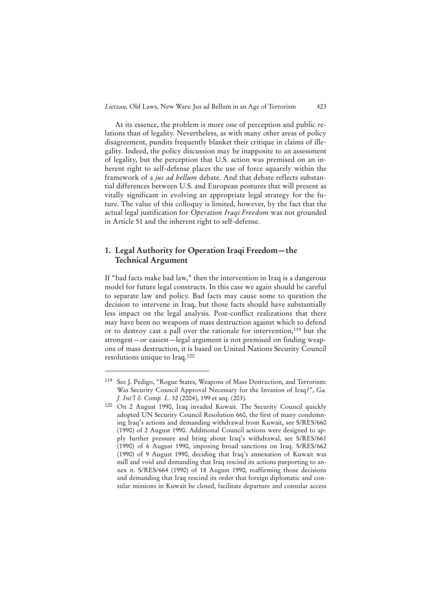At its essence, the problem is more one of perception and public relations than of legality. Nevertheless, as with many other areas of policy disagreement, pundits frequently blanket their critique in claims of illegality. Indeed, the policy discussion may be inapposite to an assessment of legality, but the perception that U.S. action was premised on an inherent right to self-defense places the use of force squarely within the framework of a *jus ad bellum* debate. And that debate reflects substantial differences between U.S. and European postures that will present as vitally significant in evolving an appropriate legal strategy for the future. The value of this colloquy is limited, however, by the fact that the actual legal justification for *Operation Iraqi Freedom* was not grounded in Article 51 and the inherent right to self-defense.

## **1. Legal Authority for Operation Iraqi Freedom—the Technical Argument**

If "bad facts make bad law," then the intervention in Iraq is a dangerous model for future legal constructs. In this case we again should be careful to separate law and policy. Bad facts may cause some to question the decision to intervene in Iraq, but those facts should have substantially less impact on the legal analysis. Post-conflict realizations that there may have been no weapons of mass destruction against which to defend or to destroy cast a pall over the rationale for intervention,<sup>119</sup> but the strongest—or easiest—legal argument is not premised on finding weapons of mass destruction, it is based on United Nations Security Council resolutions unique to Iraq.120

<sup>119</sup> See J. Pedigo, "Rogue States, Weapons of Mass Destruction, and Terrorism: Was Security Council Approval Necessary for the Invasion of Iraq?", *Ga. J. Int'l & Comp. L*. 32 (2004), 199 et seq. (203).

<sup>120</sup> On 2 August 1990, Iraq invaded Kuwait. The Security Council quickly adopted UN Security Council Resolution 660, the first of many condemning Iraq's actions and demanding withdrawal from Kuwait, see S/RES/660 (1990) of 2 August 1990. Additional Council actions were designed to apply further pressure and bring about Iraq's withdrawal, see S/RES/661 (1990) of 6 August 1990, imposing broad sanctions on Iraq. S/RES/662 (1990) of 9 August 1990, deciding that Iraq's annexation of Kuwait was null and void and demanding that Iraq rescind its actions purporting to annex it. S/RES/664 (1990) of 18 August 1990, reaffirming those decisions and demanding that Iraq rescind its order that foreign diplomatic and consular missions in Kuwait be closed, facilitate departure and consular access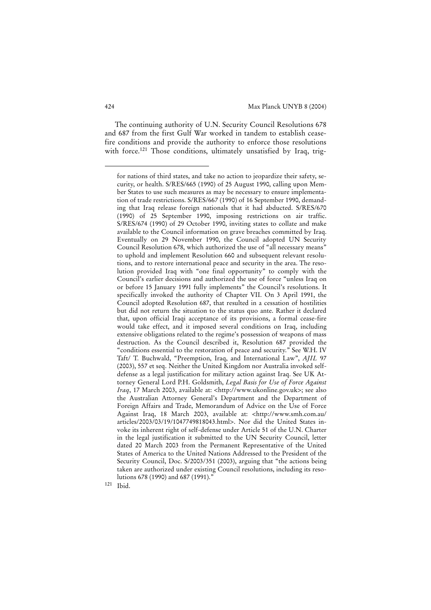The continuing authority of U.N. Security Council Resolutions 678 and 687 from the first Gulf War worked in tandem to establish ceasefire conditions and provide the authority to enforce those resolutions with force.<sup>121</sup> Those conditions, ultimately unsatisfied by Iraq, trig-

121 Ibid.

for nations of third states, and take no action to jeopardize their safety, security, or health. S/RES/665 (1990) of 25 August 1990, calling upon Member States to use such measures as may be necessary to ensure implementation of trade restrictions. S/RES/667 (1990) of 16 September 1990, demanding that Iraq release foreign nationals that it had abducted. S/RES/670 (1990) of 25 September 1990, imposing restrictions on air traffic. S/RES/674 (1990) of 29 October 1990, inviting states to collate and make available to the Council information on grave breaches committed by Iraq. Eventually on 29 November 1990, the Council adopted UN Security Council Resolution 678, which authorized the use of "all necessary means" to uphold and implement Resolution 660 and subsequent relevant resolutions, and to restore international peace and security in the area. The resolution provided Iraq with "one final opportunity" to comply with the Council's earlier decisions and authorized the use of force "unless Iraq on or before 15 January 1991 fully implements" the Council's resolutions. It specifically invoked the authority of Chapter VII. On 3 April 1991, the Council adopted Resolution 687, that resulted in a cessation of hostilities but did not return the situation to the status quo ante. Rather it declared that, upon official Iraqi acceptance of its provisions, a formal cease-fire would take effect, and it imposed several conditions on Iraq, including extensive obligations related to the regime's possession of weapons of mass destruction. As the Council described it, Resolution 687 provided the "conditions essential to the restoration of peace and security." See W.H. IV Taft/ T. Buchwald, "Preemption, Iraq, and International Law", *AJIL* 97 (2003), 557 et seq. Neither the United Kingdom nor Australia invoked selfdefense as a legal justification for military action against Iraq. See UK Attorney General Lord P.H. Goldsmith, *Legal Basis for Use of Force Against Iraq*, 17 March 2003, available at: <http://www.ukonline.gov.uk>; see also the Australian Attorney General's Department and the Department of Foreign Affairs and Trade, Memorandum of Advice on the Use of Force Against Iraq, 18 March 2003, available at: <http://www.smh.com.au/ articles/2003/03/19/1047749818043.html>. Nor did the United States invoke its inherent right of self-defense under Article 51 of the U.N. Charter in the legal justification it submitted to the UN Security Council, letter dated 20 March 2003 from the Permanent Representative of the United States of America to the United Nations Addressed to the President of the Security Council, Doc. S/2003/351 (2003), arguing that "the actions being taken are authorized under existing Council resolutions, including its resolutions 678 (1990) and 687 (1991)."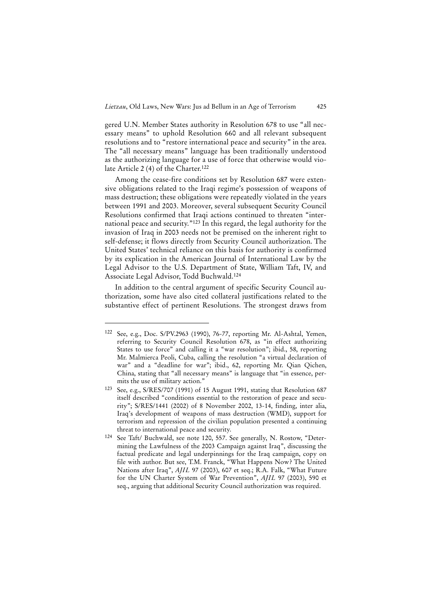gered U.N. Member States authority in Resolution 678 to use "all necessary means" to uphold Resolution 660 and all relevant subsequent resolutions and to "restore international peace and security" in the area. The "all necessary means" language has been traditionally understood as the authorizing language for a use of force that otherwise would violate Article 2 (4) of the Charter.<sup>122</sup>

Among the cease-fire conditions set by Resolution 687 were extensive obligations related to the Iraqi regime's possession of weapons of mass destruction; these obligations were repeatedly violated in the years between 1991 and 2003. Moreover, several subsequent Security Council Resolutions confirmed that Iraqi actions continued to threaten "international peace and security."123 In this regard, the legal authority for the invasion of Iraq in 2003 needs not be premised on the inherent right to self-defense; it flows directly from Security Council authorization. The United States' technical reliance on this basis for authority is confirmed by its explication in the American Journal of International Law by the Legal Advisor to the U.S. Department of State, William Taft, IV, and Associate Legal Advisor, Todd Buchwald.124

In addition to the central argument of specific Security Council authorization, some have also cited collateral justifications related to the substantive effect of pertinent Resolutions. The strongest draws from

<sup>122</sup> See, e.g., Doc. S/PV.2963 (1990), 76-77, reporting Mr. Al-Ashtal, Yemen, referring to Security Council Resolution 678, as "in effect authorizing States to use force" and calling it a "war resolution"; ibid., 58, reporting Mr. Malmierca Peoli, Cuba, calling the resolution "a virtual declaration of war" and a "deadline for war"; ibid., 62, reporting Mr. Qian Qichen, China, stating that "all necessary means" is language that "in essence, permits the use of military action."

<sup>123</sup> See, e.g., S/RES/707 (1991) of 15 August 1991, stating that Resolution 687 itself described "conditions essential to the restoration of peace and security"; S/RES/1441 (2002) of 8 November 2002, 13-14, finding, inter alia, Iraq's development of weapons of mass destruction (WMD), support for terrorism and repression of the civilian population presented a continuing threat to international peace and security.

<sup>124</sup> See Taft/ Buchwald, see note 120, 557. See generally, N. Rostow, "Determining the Lawfulness of the 2003 Campaign against Iraq", discussing the factual predicate and legal underpinnings for the Iraq campaign, copy on file with author. But see, T.M. Franck, "What Happens Now? The United Nations after Iraq", *AJIL* 97 (2003), 607 et seq.; R.A. Falk, "What Future for the UN Charter System of War Prevention", *AJIL* 97 (2003), 590 et seq., arguing that additional Security Council authorization was required.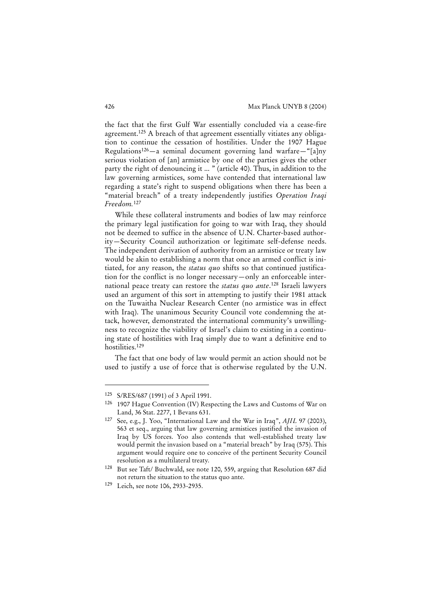the fact that the first Gulf War essentially concluded via a cease-fire agreement.125 A breach of that agreement essentially vitiates any obligation to continue the cessation of hostilities. Under the 1907 Hague Regulations126—a seminal document governing land warfare—"[a]ny serious violation of [an] armistice by one of the parties gives the other party the right of denouncing it ... " (article 40). Thus, in addition to the law governing armistices, some have contended that international law regarding a state's right to suspend obligations when there has been a "material breach" of a treaty independently justifies *Operation Iraqi Freedom.*127

While these collateral instruments and bodies of law may reinforce the primary legal justification for going to war with Iraq, they should not be deemed to suffice in the absence of U.N. Charter-based authority—Security Council authorization or legitimate self-defense needs. The independent derivation of authority from an armistice or treaty law would be akin to establishing a norm that once an armed conflict is initiated, for any reason, the *status quo* shifts so that continued justification for the conflict is no longer necessary—only an enforceable international peace treaty can restore the *status quo ante*. 128 Israeli lawyers used an argument of this sort in attempting to justify their 1981 attack on the Tuwaitha Nuclear Research Center (no armistice was in effect with Iraq). The unanimous Security Council vote condemning the attack, however, demonstrated the international community's unwillingness to recognize the viability of Israel's claim to existing in a continuing state of hostilities with Iraq simply due to want a definitive end to hostilities.<sup>129</sup>

The fact that one body of law would permit an action should not be used to justify a use of force that is otherwise regulated by the U.N.

<sup>125</sup> S/RES/687 (1991) of 3 April 1991.

<sup>126 1907</sup> Hague Convention (IV) Respecting the Laws and Customs of War on Land, 36 Stat. 2277, 1 Bevans 631.

<sup>127</sup> See, e.g., J. Yoo, "International Law and the War in Iraq", *AJIL* 97 (2003), 563 et seq., arguing that law governing armistices justified the invasion of Iraq by US forces. Yoo also contends that well-established treaty law would permit the invasion based on a "material breach" by Iraq (575). This argument would require one to conceive of the pertinent Security Council resolution as a multilateral treaty.

<sup>128</sup> But see Taft/ Buchwald, see note 120, 559, arguing that Resolution 687 did not return the situation to the status quo ante.

<sup>129</sup> Leich, see note 106, 2933-2935.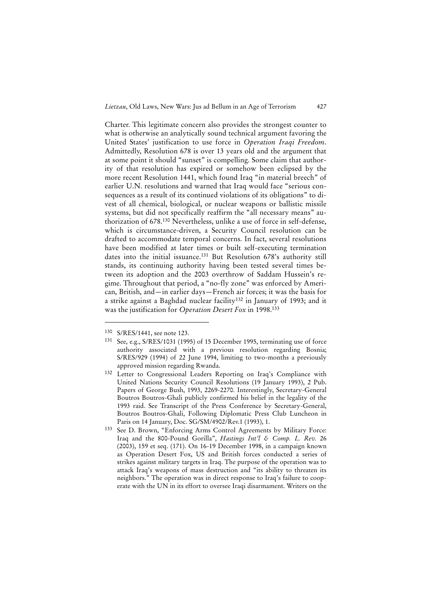Charter. This legitimate concern also provides the strongest counter to what is otherwise an analytically sound technical argument favoring the United States' justification to use force in *Operation Iraqi Freedom*. Admittedly, Resolution 678 is over 13 years old and the argument that at some point it should "sunset" is compelling. Some claim that authority of that resolution has expired or somehow been eclipsed by the more recent Resolution 1441, which found Iraq "in material breech" of earlier U.N. resolutions and warned that Iraq would face "serious consequences as a result of its continued violations of its obligations" to divest of all chemical, biological, or nuclear weapons or ballistic missile systems, but did not specifically reaffirm the "all necessary means" authorization of 678.130 Nevertheless, unlike a use of force in self-defense, which is circumstance-driven, a Security Council resolution can be drafted to accommodate temporal concerns. In fact, several resolutions have been modified at later times or built self-executing termination dates into the initial issuance.131 But Resolution 678's authority still stands, its continuing authority having been tested several times between its adoption and the 2003 overthrow of Saddam Hussein's regime. Throughout that period, a "no-fly zone" was enforced by American, British, and—in earlier days—French air forces; it was the basis for a strike against a Baghdad nuclear facility132 in January of 1993; and it was the justification for *Operation Desert Fox* in 1998.133

<sup>130</sup> S/RES/1441, see note 123.

<sup>131</sup> See, e.g., S/RES/1031 (1995) of 15 December 1995, terminating use of force authority associated with a previous resolution regarding Bosnia; S/RES/929 (1994) of 22 June 1994, limiting to two-months a previously approved mission regarding Rwanda.

<sup>132</sup> Letter to Congressional Leaders Reporting on Iraq's Compliance with United Nations Security Council Resolutions (19 January 1993), 2 Pub. Papers of George Bush, 1993, 2269-2270. Interestingly, Secretary-General Boutros Boutros-Ghali publicly confirmed his belief in the legality of the 1993 raid. See Transcript of the Press Conference by Secretary-General, Boutros Boutros-Ghali, Following Diplomatic Press Club Luncheon in Paris on 14 January, Doc. SG/SM/4902/Rev.1 (1993), 1.

<sup>133</sup> See D. Brown, "Enforcing Arms Control Agreements by Military Force: Iraq and the 800-Pound Gorilla", *Hastings Int'l & Comp. L. Rev.* 26 (2003), 159 et seq. (171). On 16-19 December 1998, in a campaign known as Operation Desert Fox, US and British forces conducted a series of strikes against military targets in Iraq. The purpose of the operation was to attack Iraq's weapons of mass destruction and "its ability to threaten its neighbors." The operation was in direct response to Iraq's failure to cooperate with the UN in its effort to oversee Iraqi disarmament. Writers on the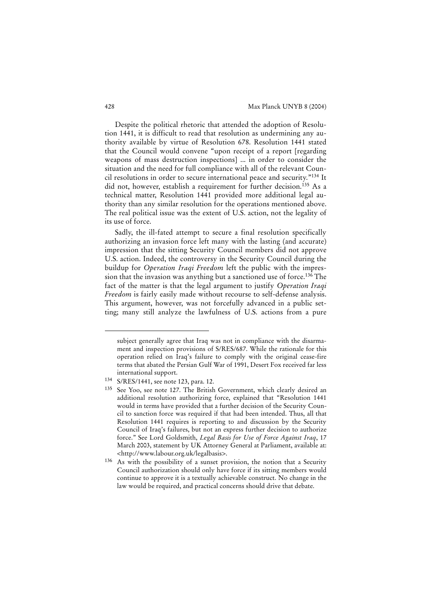Despite the political rhetoric that attended the adoption of Resolution 1441, it is difficult to read that resolution as undermining any authority available by virtue of Resolution 678. Resolution 1441 stated that the Council would convene "upon receipt of a report [regarding weapons of mass destruction inspections] ... in order to consider the situation and the need for full compliance with all of the relevant Council resolutions in order to secure international peace and security."134 It did not, however, establish a requirement for further decision.135 As a technical matter, Resolution 1441 provided more additional legal authority than any similar resolution for the operations mentioned above. The real political issue was the extent of U.S. action, not the legality of its use of force.

Sadly, the ill-fated attempt to secure a final resolution specifically authorizing an invasion force left many with the lasting (and accurate) impression that the sitting Security Council members did not approve U.S. action. Indeed, the controversy in the Security Council during the buildup for *Operation Iraqi Freedom* left the public with the impression that the invasion was anything but a sanctioned use of force.136 The fact of the matter is that the legal argument to justify *Operation Iraqi Freedom* is fairly easily made without recourse to self-defense analysis. This argument, however, was not forcefully advanced in a public setting; many still analyze the lawfulness of U.S. actions from a pure

subject generally agree that Iraq was not in compliance with the disarmament and inspection provisions of S/RES/687. While the rationale for this operation relied on Iraq's failure to comply with the original cease-fire terms that abated the Persian Gulf War of 1991, Desert Fox received far less international support.

<sup>134</sup> S/RES/1441, see note 123, para. 12.

<sup>135</sup> See Yoo, see note 127. The British Government, which clearly desired an additional resolution authorizing force, explained that "Resolution 1441 would in terms have provided that a further decision of the Security Council to sanction force was required if that had been intended. Thus, all that Resolution 1441 requires is reporting to and discussion by the Security Council of Iraq's failures, but not an express further decision to authorize force." See Lord Goldsmith, *Legal Basis for Use of Force Against Iraq*, 17 March 2003, statement by UK Attorney General at Parliament, available at: <http://www.labour.org.uk/legalbasis>.

<sup>136</sup> As with the possibility of a sunset provision, the notion that a Security Council authorization should only have force if its sitting members would continue to approve it is a textually achievable construct. No change in the law would be required, and practical concerns should drive that debate.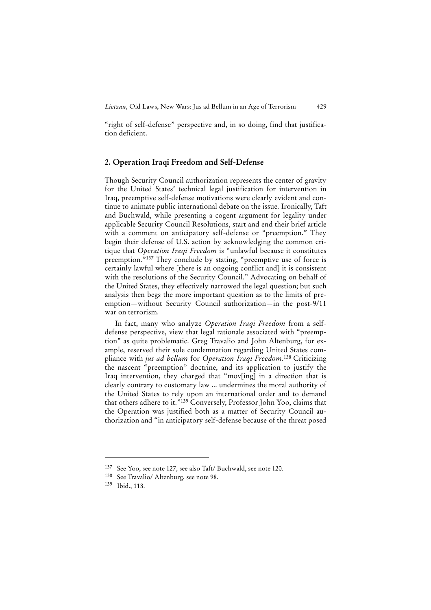"right of self-defense" perspective and, in so doing, find that justification deficient.

### **2. Operation Iraqi Freedom and Self-Defense**

Though Security Council authorization represents the center of gravity for the United States' technical legal justification for intervention in Iraq, preemptive self-defense motivations were clearly evident and continue to animate public international debate on the issue. Ironically, Taft and Buchwald, while presenting a cogent argument for legality under applicable Security Council Resolutions, start and end their brief article with a comment on anticipatory self-defense or "preemption." They begin their defense of U.S. action by acknowledging the common critique that *Operation Iraqi Freedom* is "unlawful because it constitutes preemption."137 They conclude by stating, "preemptive use of force is certainly lawful where [there is an ongoing conflict and] it is consistent with the resolutions of the Security Council." Advocating on behalf of the United States, they effectively narrowed the legal question; but such analysis then begs the more important question as to the limits of preemption—without Security Council authorization—in the post-9/11 war on terrorism.

In fact, many who analyze *Operation Iraqi Freedom* from a selfdefense perspective, view that legal rationale associated with "preemption" as quite problematic. Greg Travalio and John Altenburg, for example, reserved their sole condemnation regarding United States compliance with *jus ad bellum* for *Operation Iraqi Freedom*. 138 Criticizing the nascent "preemption" doctrine, and its application to justify the Iraq intervention, they charged that "mov[ing] in a direction that is clearly contrary to customary law ... undermines the moral authority of the United States to rely upon an international order and to demand that others adhere to it."139 Conversely, Professor John Yoo, claims that the Operation was justified both as a matter of Security Council authorization and "in anticipatory self-defense because of the threat posed

<sup>137</sup> See Yoo, see note 127, see also Taft/ Buchwald, see note 120.

<sup>138</sup> See Travalio/ Altenburg, see note 98.

<sup>139</sup> Ibid., 118.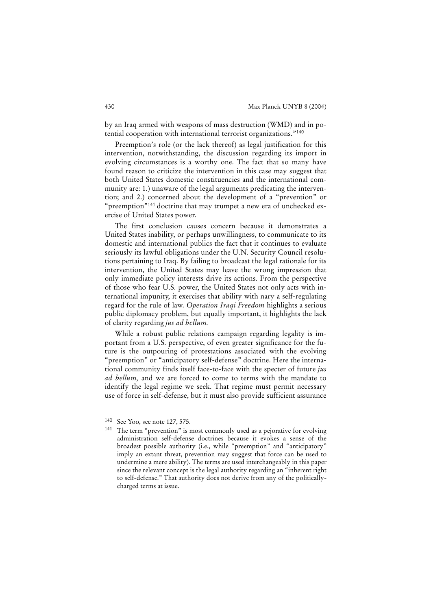by an Iraq armed with weapons of mass destruction (WMD) and in potential cooperation with international terrorist organizations."140

Preemption's role (or the lack thereof) as legal justification for this intervention, notwithstanding, the discussion regarding its import in evolving circumstances is a worthy one. The fact that so many have found reason to criticize the intervention in this case may suggest that both United States domestic constituencies and the international community are: 1.) unaware of the legal arguments predicating the intervention; and 2.) concerned about the development of a "prevention" or "preemption"141 doctrine that may trumpet a new era of unchecked exercise of United States power.

The first conclusion causes concern because it demonstrates a United States inability, or perhaps unwillingness, to communicate to its domestic and international publics the fact that it continues to evaluate seriously its lawful obligations under the U.N. Security Council resolutions pertaining to Iraq. By failing to broadcast the legal rationale for its intervention, the United States may leave the wrong impression that only immediate policy interests drive its actions. From the perspective of those who fear U.S. power, the United States not only acts with international impunity, it exercises that ability with nary a self-regulating regard for the rule of law. *Operation Iraqi Freedom* highlights a serious public diplomacy problem, but equally important, it highlights the lack of clarity regarding *jus ad bellum.*

While a robust public relations campaign regarding legality is important from a U.S. perspective, of even greater significance for the future is the outpouring of protestations associated with the evolving "preemption" or "anticipatory self-defense" doctrine. Here the international community finds itself face-to-face with the specter of future *jus ad bellum,* and we are forced to come to terms with the mandate to identify the legal regime we seek. That regime must permit necessary use of force in self-defense, but it must also provide sufficient assurance

<sup>140</sup> See Yoo, see note 127, 575.

<sup>&</sup>lt;sup>141</sup> The term "prevention" is most commonly used as a pejorative for evolving administration self-defense doctrines because it evokes a sense of the broadest possible authority (i.e., while "preemption" and "anticipatory" imply an extant threat, prevention may suggest that force can be used to undermine a mere ability). The terms are used interchangeably in this paper since the relevant concept is the legal authority regarding an "inherent right to self-defense." That authority does not derive from any of the politicallycharged terms at issue.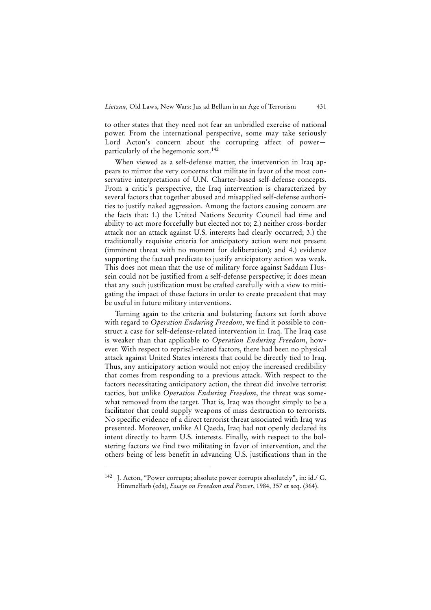to other states that they need not fear an unbridled exercise of national power. From the international perspective, some may take seriously Lord Acton's concern about the corrupting affect of powerparticularly of the hegemonic sort.142

When viewed as a self-defense matter, the intervention in Iraq appears to mirror the very concerns that militate in favor of the most conservative interpretations of U.N. Charter-based self-defense concepts. From a critic's perspective, the Iraq intervention is characterized by several factors that together abused and misapplied self-defense authorities to justify naked aggression. Among the factors causing concern are the facts that: 1.) the United Nations Security Council had time and ability to act more forcefully but elected not to; 2.) neither cross-border attack nor an attack against U.S. interests had clearly occurred; 3.) the traditionally requisite criteria for anticipatory action were not present (imminent threat with no moment for deliberation); and 4.) evidence supporting the factual predicate to justify anticipatory action was weak. This does not mean that the use of military force against Saddam Hussein could not be justified from a self-defense perspective; it does mean that any such justification must be crafted carefully with a view to mitigating the impact of these factors in order to create precedent that may be useful in future military interventions.

Turning again to the criteria and bolstering factors set forth above with regard to *Operation Enduring Freedom*, we find it possible to construct a case for self-defense-related intervention in Iraq. The Iraq case is weaker than that applicable to *Operation Enduring Freedom*, however. With respect to reprisal-related factors, there had been no physical attack against United States interests that could be directly tied to Iraq. Thus, any anticipatory action would not enjoy the increased credibility that comes from responding to a previous attack. With respect to the factors necessitating anticipatory action, the threat did involve terrorist tactics, but unlike *Operation Enduring Freedom*, the threat was somewhat removed from the target. That is, Iraq was thought simply to be a facilitator that could supply weapons of mass destruction to terrorists. No specific evidence of a direct terrorist threat associated with Iraq was presented. Moreover, unlike Al Qaeda, Iraq had not openly declared its intent directly to harm U.S. interests. Finally, with respect to the bolstering factors we find two militating in favor of intervention, and the others being of less benefit in advancing U.S. justifications than in the

<sup>142</sup> J. Acton, "Power corrupts; absolute power corrupts absolutely", in: id./ G. Himmelfarb (eds), *Essays on Freedom and Power*, 1984, 357 et seq. (364).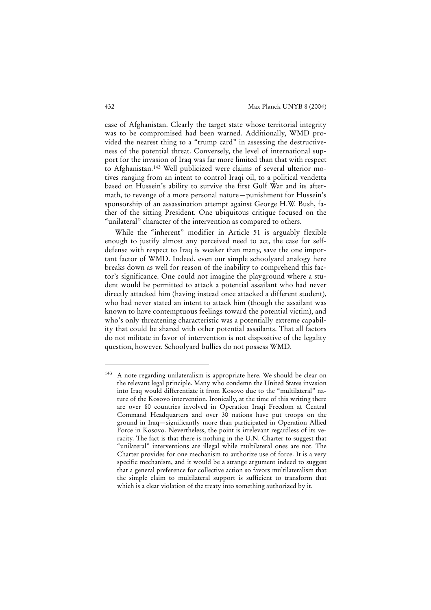case of Afghanistan. Clearly the target state whose territorial integrity was to be compromised had been warned. Additionally, WMD provided the nearest thing to a "trump card" in assessing the destructiveness of the potential threat. Conversely, the level of international support for the invasion of Iraq was far more limited than that with respect to Afghanistan.143 Well publicized were claims of several ulterior motives ranging from an intent to control Iraqi oil, to a political vendetta based on Hussein's ability to survive the first Gulf War and its aftermath, to revenge of a more personal nature—punishment for Hussein's sponsorship of an assassination attempt against George H.W. Bush, father of the sitting President. One ubiquitous critique focused on the "unilateral" character of the intervention as compared to others.

While the "inherent" modifier in Article 51 is arguably flexible enough to justify almost any perceived need to act, the case for selfdefense with respect to Iraq is weaker than many, save the one important factor of WMD. Indeed, even our simple schoolyard analogy here breaks down as well for reason of the inability to comprehend this factor's significance. One could not imagine the playground where a student would be permitted to attack a potential assailant who had never directly attacked him (having instead once attacked a different student), who had never stated an intent to attack him (though the assailant was known to have contemptuous feelings toward the potential victim), and who's only threatening characteristic was a potentially extreme capability that could be shared with other potential assailants. That all factors do not militate in favor of intervention is not dispositive of the legality question, however. Schoolyard bullies do not possess WMD.

A note regarding unilateralism is appropriate here. We should be clear on the relevant legal principle. Many who condemn the United States invasion into Iraq would differentiate it from Kosovo due to the "multilateral" nature of the Kosovo intervention. Ironically, at the time of this writing there are over 80 countries involved in Operation Iraqi Freedom at Central Command Headquarters and over 30 nations have put troops on the ground in Iraq—significantly more than participated in Operation Allied Force in Kosovo. Nevertheless, the point is irrelevant regardless of its veracity. The fact is that there is nothing in the U.N. Charter to suggest that "unilateral" interventions are illegal while multilateral ones are not. The Charter provides for one mechanism to authorize use of force. It is a very specific mechanism, and it would be a strange argument indeed to suggest that a general preference for collective action so favors multilateralism that the simple claim to multilateral support is sufficient to transform that which is a clear violation of the treaty into something authorized by it.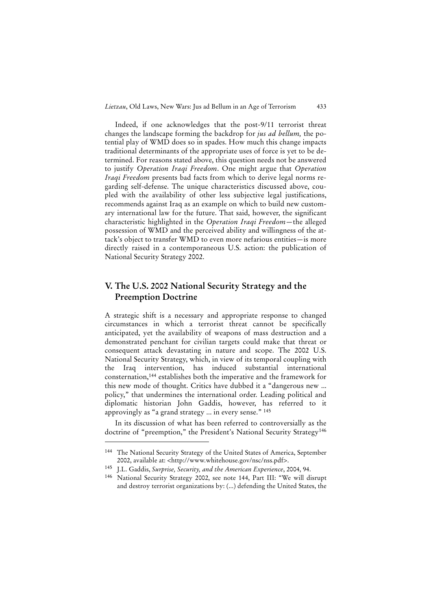Indeed, if one acknowledges that the post-9/11 terrorist threat changes the landscape forming the backdrop for *jus ad bellum,* the potential play of WMD does so in spades. How much this change impacts traditional determinants of the appropriate uses of force is yet to be determined. For reasons stated above, this question needs not be answered to justify *Operation Iraqi Freedom*. One might argue that *Operation Iraqi Freedom* presents bad facts from which to derive legal norms regarding self-defense. The unique characteristics discussed above, coupled with the availability of other less subjective legal justifications, recommends against Iraq as an example on which to build new customary international law for the future. That said, however, the significant characteristic highlighted in the *Operation Iraqi Freedom*—the alleged possession of WMD and the perceived ability and willingness of the attack's object to transfer WMD to even more nefarious entities—is more directly raised in a contemporaneous U.S. action: the publication of National Security Strategy 2002.

# **V. The U.S. 2002 National Security Strategy and the Preemption Doctrine**

A strategic shift is a necessary and appropriate response to changed circumstances in which a terrorist threat cannot be specifically anticipated, yet the availability of weapons of mass destruction and a demonstrated penchant for civilian targets could make that threat or consequent attack devastating in nature and scope. The 2002 U.S. National Security Strategy, which, in view of its temporal coupling with the Iraq intervention, has induced substantial international consternation,144 establishes both the imperative and the framework for this new mode of thought. Critics have dubbed it a "dangerous new ... policy," that undermines the international order. Leading political and diplomatic historian John Gaddis, however, has referred to it approvingly as "a grand strategy ... in every sense." 145

In its discussion of what has been referred to controversially as the doctrine of "preemption," the President's National Security Strategy<sup>146</sup>

<sup>144</sup> The National Security Strategy of the United States of America, September 2002, available at: <http://www.whitehouse.gov/nsc/nss.pdf>.

<sup>145</sup> J.L. Gaddis, *Surprise, Security, and the American Experience*, 2004, 94.

<sup>146</sup> National Security Strategy 2002, see note 144, Part III: "We will disrupt and destroy terrorist organizations by: (...) defending the United States, the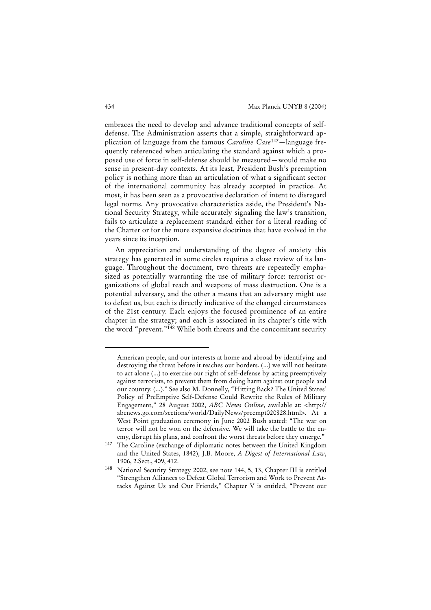embraces the need to develop and advance traditional concepts of selfdefense. The Administration asserts that a simple, straightforward application of language from the famous *Caroline Case*147—language frequently referenced when articulating the standard against which a proposed use of force in self-defense should be measured—would make no sense in present-day contexts. At its least, President Bush's preemption policy is nothing more than an articulation of what a significant sector of the international community has already accepted in practice. At most, it has been seen as a provocative declaration of intent to disregard legal norms. Any provocative characteristics aside, the President's National Security Strategy, while accurately signaling the law's transition, fails to articulate a replacement standard either for a literal reading of the Charter or for the more expansive doctrines that have evolved in the years since its inception.

An appreciation and understanding of the degree of anxiety this strategy has generated in some circles requires a close review of its language. Throughout the document, two threats are repeatedly emphasized as potentially warranting the use of military force: terrorist organizations of global reach and weapons of mass destruction. One is a potential adversary, and the other a means that an adversary might use to defeat us, but each is directly indicative of the changed circumstances of the 21st century. Each enjoys the focused prominence of an entire chapter in the strategy; and each is associated in its chapter's title with the word "prevent."148 While both threats and the concomitant security

American people, and our interests at home and abroad by identifying and destroying the threat before it reaches our borders. (...) we will not hesitate to act alone (...) to exercise our right of self-defense by acting preemptively against terrorists, to prevent them from doing harm against our people and our country. (...)." See also M. Donnelly, "Hitting Back? The United States' Policy of PreEmptive Self-Defense Could Rewrite the Rules of Military Engagement," 28 August 2002, *ABC News Online*, available at: <http:// abcnews.go.com/sections/world/DailyNews/preempt020828.html>. At a West Point graduation ceremony in June 2002 Bush stated: "The war on terror will not be won on the defensive. We will take the battle to the enemy, disrupt his plans, and confront the worst threats before they emerge."

<sup>&</sup>lt;sup>147</sup> The Caroline (exchange of diplomatic notes between the United Kingdom and the United States, 1842), J.B. Moore, *A Digest of International Law*, 1906, 2.Sect., 409, 412.

<sup>148</sup> National Security Strategy 2002, see note 144, 5, 13, Chapter III is entitled "Strengthen Alliances to Defeat Global Terrorism and Work to Prevent Attacks Against Us and Our Friends," Chapter V is entitled, "Prevent our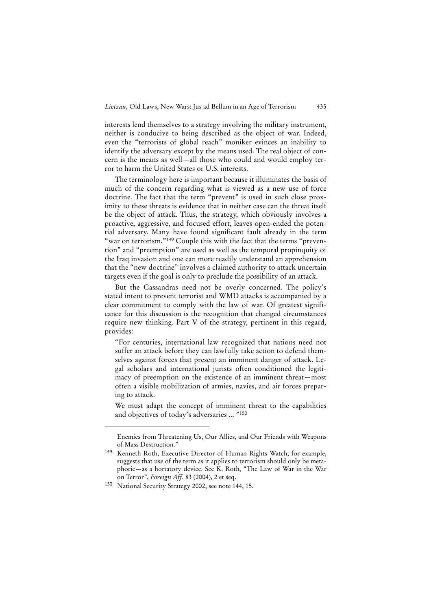interests lend themselves to a strategy involving the military instrument, neither is conducive to being described as the object of war. Indeed, even the "terrorists of global reach" moniker evinces an inability to identify the adversary except by the means used. The real object of concern is the means as well—all those who could and would employ terror to harm the United States or U.S. interests.

The terminology here is important because it illuminates the basis of much of the concern regarding what is viewed as a new use of force doctrine. The fact that the term "prevent" is used in such close proximity to these threats is evidence that in neither case can the threat itself be the object of attack. Thus, the strategy, which obviously involves a proactive, aggressive, and focused effort, leaves open-ended the potential adversary. Many have found significant fault already in the term "war on terrorism."<sup>149</sup> Couple this with the fact that the terms "prevention" and "preemption" are used as well as the temporal propinquity of the Iraq invasion and one can more readily understand an apprehension that the "new doctrine" involves a claimed authority to attack uncertain targets even if the goal is only to preclude the possibility of an attack.

But the Cassandras need not be overly concerned. The policy's stated intent to prevent terrorist and WMD attacks is accompanied by a clear commitment to comply with the law of war. Of greatest significance for this discussion is the recognition that changed circumstances require new thinking. Part V of the strategy, pertinent in this regard, provides:

"For centuries, international law recognized that nations need not suffer an attack before they can lawfully take action to defend themselves against forces that present an imminent danger of attack. Legal scholars and international jurists often conditioned the legitimacy of preemption on the existence of an imminent threat—most often a visible mobilization of armies, navies, and air forces preparing to attack.

We must adapt the concept of imminent threat to the capabilities and objectives of today's adversaries ... "150

Enemies from Threatening Us, Our Allies, and Our Friends with Weapons of Mass Destruction."

<sup>149</sup> Kenneth Roth, Executive Director of Human Rights Watch, for example, suggests that use of the term as it applies to terrorism should only be metaphoric—as a hortatory device. See K. Roth, "The Law of War in the War on Terror", *Foreign Aff.* 83 (2004), 2 et seq.

<sup>150</sup> National Security Strategy 2002, see note 144, 15.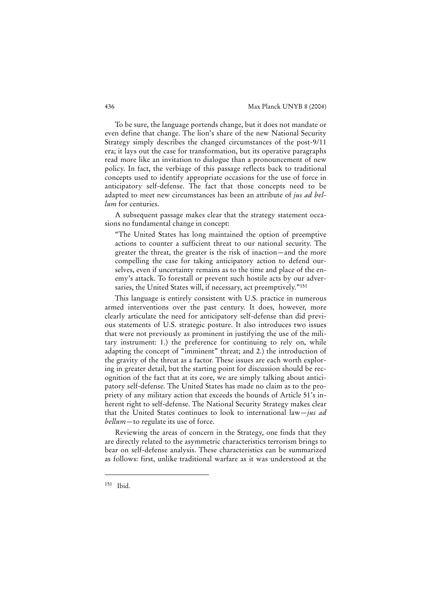To be sure, the language portends change, but it does not mandate or even define that change. The lion's share of the new National Security Strategy simply describes the changed circumstances of the post-9/11 era; it lays out the case for transformation, but its operative paragraphs read more like an invitation to dialogue than a pronouncement of new policy. In fact, the verbiage of this passage reflects back to traditional concepts used to identify appropriate occasions for the use of force in anticipatory self-defense. The fact that those concepts need to be adapted to meet new circumstances has been an attribute of *jus ad bellum* for centuries.

A subsequent passage makes clear that the strategy statement occasions no fundamental change in concept:

"The United States has long maintained the option of preemptive actions to counter a sufficient threat to our national security. The greater the threat, the greater is the risk of inaction—and the more compelling the case for taking anticipatory action to defend ourselves, even if uncertainty remains as to the time and place of the enemy's attack. To forestall or prevent such hostile acts by our adversaries, the United States will, if necessary, act preemptively."<sup>151</sup>

This language is entirely consistent with U.S. practice in numerous armed interventions over the past century. It does, however, more clearly articulate the need for anticipatory self-defense than did previous statements of U.S. strategic posture. It also introduces two issues that were not previously as prominent in justifying the use of the military instrument: 1.) the preference for continuing to rely on, while adapting the concept of "imminent" threat; and 2.) the introduction of the gravity of the threat as a factor. These issues are each worth exploring in greater detail, but the starting point for discussion should be recognition of the fact that at its core, we are simply talking about anticipatory self-defense. The United States has made no claim as to the propriety of any military action that exceeds the bounds of Article 51's inherent right to self-defense. The National Security Strategy makes clear that the United States continues to look to international law—*jus ad bellum—*to regulate its use of force.

Reviewing the areas of concern in the Strategy, one finds that they are directly related to the asymmetric characteristics terrorism brings to bear on self-defense analysis. These characteristics can be summarized as follows: first, unlike traditional warfare as it was understood at the

<sup>151</sup> Ibid.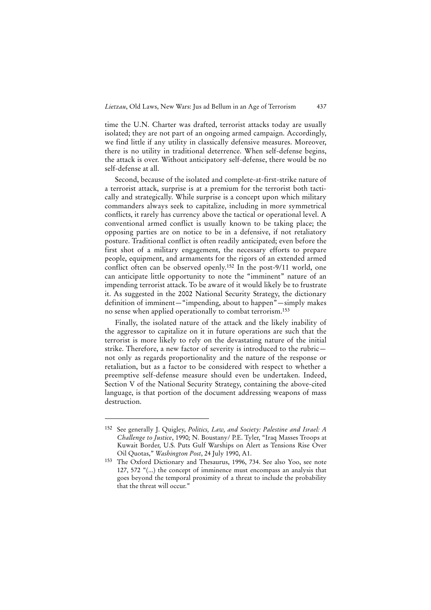time the U.N. Charter was drafted, terrorist attacks today are usually isolated; they are not part of an ongoing armed campaign. Accordingly, we find little if any utility in classically defensive measures. Moreover, there is no utility in traditional deterrence. When self-defense begins, the attack is over. Without anticipatory self-defense, there would be no self-defense at all.

Second, because of the isolated and complete-at-first-strike nature of a terrorist attack, surprise is at a premium for the terrorist both tactically and strategically. While surprise is a concept upon which military commanders always seek to capitalize, including in more symmetrical conflicts, it rarely has currency above the tactical or operational level. A conventional armed conflict is usually known to be taking place; the opposing parties are on notice to be in a defensive, if not retaliatory posture. Traditional conflict is often readily anticipated; even before the first shot of a military engagement, the necessary efforts to prepare people, equipment, and armaments for the rigors of an extended armed conflict often can be observed openly.<sup>152</sup> In the post-9/11 world, one can anticipate little opportunity to note the "imminent" nature of an impending terrorist attack. To be aware of it would likely be to frustrate it. As suggested in the 2002 National Security Strategy, the dictionary definition of imminent—"impending, about to happen"—simply makes no sense when applied operationally to combat terrorism.153

Finally, the isolated nature of the attack and the likely inability of the aggressor to capitalize on it in future operations are such that the terrorist is more likely to rely on the devastating nature of the initial strike. Therefore, a new factor of severity is introduced to the rubric not only as regards proportionality and the nature of the response or retaliation, but as a factor to be considered with respect to whether a preemptive self-defense measure should even be undertaken. Indeed, Section V of the National Security Strategy, containing the above-cited language, is that portion of the document addressing weapons of mass destruction.

<sup>152</sup> See generally J. Quigley, *Politics, Law, and Society: Palestine and Israel: A Challenge to Justice*, 1990; N. Boustany/ P.E. Tyler, "Iraq Masses Troops at Kuwait Border, U.S. Puts Gulf Warships on Alert as Tensions Rise Over Oil Quotas," *Washington Post*, 24 July 1990, A1.

<sup>153</sup> The Oxford Dictionary and Thesaurus, 1996, 734. See also Yoo, see note 127, 572 "(...) the concept of imminence must encompass an analysis that goes beyond the temporal proximity of a threat to include the probability that the threat will occur."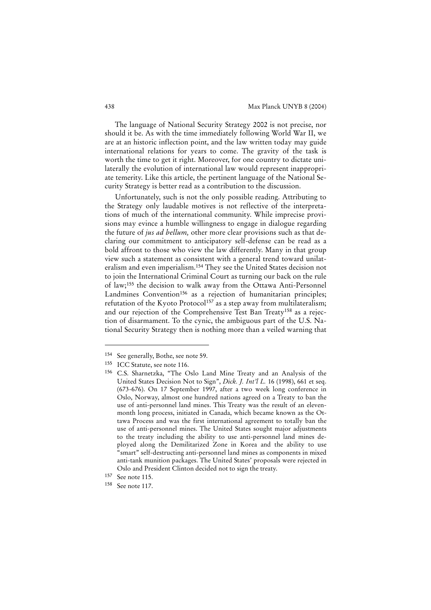The language of National Security Strategy 2002 is not precise, nor should it be. As with the time immediately following World War II, we are at an historic inflection point, and the law written today may guide international relations for years to come. The gravity of the task is worth the time to get it right. Moreover, for one country to dictate unilaterally the evolution of international law would represent inappropriate temerity. Like this article, the pertinent language of the National Security Strategy is better read as a contribution to the discussion.

Unfortunately, such is not the only possible reading. Attributing to the Strategy only laudable motives is not reflective of the interpretations of much of the international community. While imprecise provisions may evince a humble willingness to engage in dialogue regarding the future of *jus ad bellum,* other more clear provisions such as that declaring our commitment to anticipatory self-defense can be read as a bold affront to those who view the law differently. Many in that group view such a statement as consistent with a general trend toward unilateralism and even imperialism.154 They see the United States decision not to join the International Criminal Court as turning our back on the rule of law;155 the decision to walk away from the Ottawa Anti-Personnel Landmines Convention<sup>156</sup> as a rejection of humanitarian principles; refutation of the Kyoto Protocol<sup>157</sup> as a step away from multilateralism; and our rejection of the Comprehensive Test Ban Treaty158 as a rejection of disarmament. To the cynic, the ambiguous part of the U.S. National Security Strategy then is nothing more than a veiled warning that

<sup>154</sup> See generally, Bothe, see note 59.

<sup>155</sup> ICC Statute, see note 116.

<sup>156</sup> C.S. Sharnetzka, "The Oslo Land Mine Treaty and an Analysis of the United States Decision Not to Sign", *Dick. J. Int'l L.* 16 (1998), 661 et seq. (673-676). On 17 September 1997, after a two week long conference in Oslo, Norway, almost one hundred nations agreed on a Treaty to ban the use of anti-personnel land mines. This Treaty was the result of an elevenmonth long process, initiated in Canada, which became known as the Ottawa Process and was the first international agreement to totally ban the use of anti-personnel mines. The United States sought major adjustments to the treaty including the ability to use anti-personnel land mines deployed along the Demilitarized Zone in Korea and the ability to use "smart" self-destructing anti-personnel land mines as components in mixed anti-tank munition packages. The United States' proposals were rejected in Oslo and President Clinton decided not to sign the treaty.

<sup>157</sup> See note 115.

<sup>158</sup> See note 117.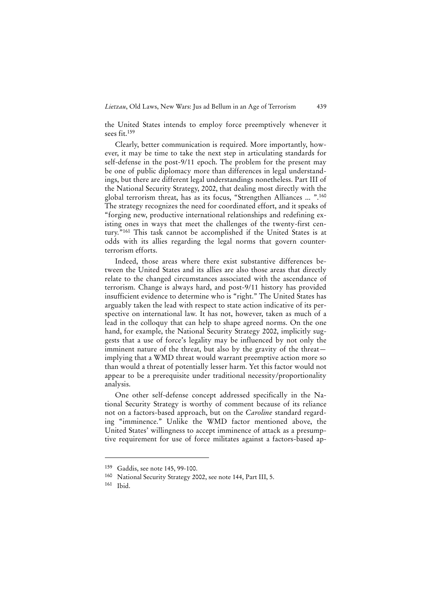the United States intends to employ force preemptively whenever it sees fit.159

Clearly, better communication is required. More importantly, however, it may be time to take the next step in articulating standards for self-defense in the post-9/11 epoch. The problem for the present may be one of public diplomacy more than differences in legal understandings, but there are different legal understandings nonetheless. Part III of the National Security Strategy, 2002, that dealing most directly with the global terrorism threat, has as its focus, "Strengthen Alliances ... ".160 The strategy recognizes the need for coordinated effort, and it speaks of "forging new, productive international relationships and redefining existing ones in ways that meet the challenges of the twenty-first century."161 This task cannot be accomplished if the United States is at odds with its allies regarding the legal norms that govern counterterrorism efforts.

Indeed, those areas where there exist substantive differences between the United States and its allies are also those areas that directly relate to the changed circumstances associated with the ascendance of terrorism. Change is always hard, and post-9/11 history has provided insufficient evidence to determine who is "right." The United States has arguably taken the lead with respect to state action indicative of its perspective on international law. It has not, however, taken as much of a lead in the colloquy that can help to shape agreed norms. On the one hand, for example, the National Security Strategy 2002, implicitly suggests that a use of force's legality may be influenced by not only the imminent nature of the threat, but also by the gravity of the threat implying that a WMD threat would warrant preemptive action more so than would a threat of potentially lesser harm. Yet this factor would not appear to be a prerequisite under traditional necessity/proportionality analysis.

One other self-defense concept addressed specifically in the National Security Strategy is worthy of comment because of its reliance not on a factors-based approach, but on the *Caroline* standard regarding "imminence." Unlike the WMD factor mentioned above, the United States' willingness to accept imminence of attack as a presumptive requirement for use of force militates against a factors-based ap-

<sup>159</sup> Gaddis, see note 145, 99-100.

<sup>160</sup> National Security Strategy 2002, see note 144, Part III, 5.

<sup>161</sup> Ibid.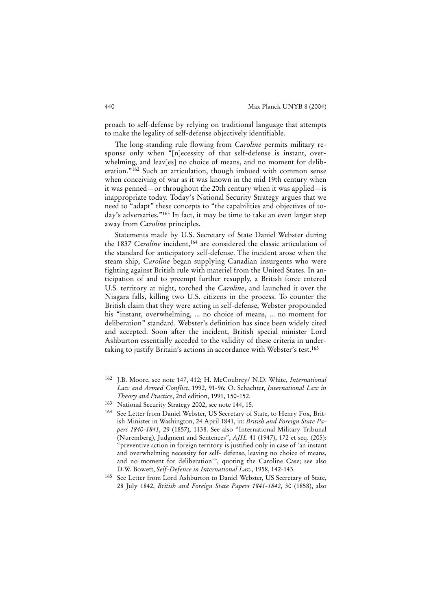proach to self-defense by relying on traditional language that attempts to make the legality of self-defense objectively identifiable.

The long-standing rule flowing from *Caroline* permits military response only when "[n]ecessity of that self-defense is instant, overwhelming, and leav[es] no choice of means, and no moment for deliberation."162 Such an articulation, though imbued with common sense when conceiving of war as it was known in the mid 19th century when it was penned—or throughout the 20th century when it was applied—is inappropriate today. Today's National Security Strategy argues that we need to "adapt" these concepts to "the capabilities and objectives of today's adversaries."163 In fact, it may be time to take an even larger step away from *Caroline* principles.

Statements made by U.S. Secretary of State Daniel Webster during the 1837 Caroline incident,<sup>164</sup> are considered the classic articulation of the standard for anticipatory self-defense. The incident arose when the steam ship, *Caroline* began supplying Canadian insurgents who were fighting against British rule with materiel from the United States. In anticipation of and to preempt further resupply, a British force entered U.S. territory at night, torched the *Caroline*, and launched it over the Niagara falls, killing two U.S. citizens in the process. To counter the British claim that they were acting in self-defense, Webster propounded his "instant, overwhelming, ... no choice of means, ... no moment for deliberation" standard. Webster's definition has since been widely cited and accepted. Soon after the incident, British special minister Lord Ashburton essentially acceded to the validity of these criteria in undertaking to justify Britain's actions in accordance with Webster's test.165

<sup>162</sup> J.B. Moore, see note 147, 412; H. McCoubrey/ N.D. White, *International Law and Armed Conflict*, 1992, 91-96; O. Schachter, *International Law in Theory and Practice*, 2nd edition, 1991, 150-152.

<sup>163</sup> National Security Strategy 2002, see note 144, 15.

<sup>164</sup> See Letter from Daniel Webster, US Secretary of State, to Henry Fox, British Minister in Washington, 24 April 1841, in: *British and Foreign State Papers 1840-1841*, 29 (1857), 1138. See also "International Military Tribunal (Nuremberg), Judgment and Sentences", *AJIL* 41 (1947), 172 et seq. (205): "preventive action in foreign territory is justified only in case of 'an instant and overwhelming necessity for self- defense, leaving no choice of means, and no moment for deliberation'", quoting the Caroline Case; see also D.W. Bowett, *Self-Defence in International Law*, 1958, 142-143.

<sup>165</sup> See Letter from Lord Ashburton to Daniel Webster, US Secretary of State, 28 July 1842, *British and Foreign State Papers 1841-1842*, 30 (1858), also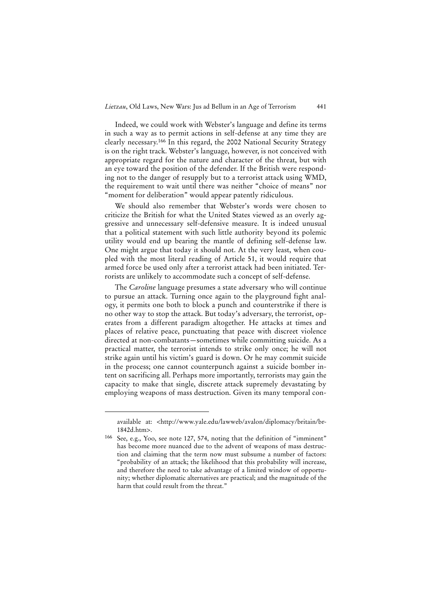Indeed, we could work with Webster's language and define its terms in such a way as to permit actions in self-defense at any time they are clearly necessary.166 In this regard, the 2002 National Security Strategy is on the right track. Webster's language, however, is not conceived with appropriate regard for the nature and character of the threat, but with an eye toward the position of the defender. If the British were responding not to the danger of resupply but to a terrorist attack using WMD, the requirement to wait until there was neither "choice of means" nor "moment for deliberation" would appear patently ridiculous.

We should also remember that Webster's words were chosen to criticize the British for what the United States viewed as an overly aggressive and unnecessary self-defensive measure. It is indeed unusual that a political statement with such little authority beyond its polemic utility would end up bearing the mantle of defining self-defense law. One might argue that today it should not. At the very least, when coupled with the most literal reading of Article 51, it would require that armed force be used only after a terrorist attack had been initiated. Terrorists are unlikely to accommodate such a concept of self-defense.

The *Caroline* language presumes a state adversary who will continue to pursue an attack. Turning once again to the playground fight analogy, it permits one both to block a punch and counterstrike if there is no other way to stop the attack. But today's adversary, the terrorist, operates from a different paradigm altogether. He attacks at times and places of relative peace, punctuating that peace with discreet violence directed at non-combatants—sometimes while committing suicide. As a practical matter, the terrorist intends to strike only once; he will not strike again until his victim's guard is down. Or he may commit suicide in the process; one cannot counterpunch against a suicide bomber intent on sacrificing all. Perhaps more importantly, terrorists may gain the capacity to make that single, discrete attack supremely devastating by employing weapons of mass destruction. Given its many temporal con-

available at: <http://www.yale.edu/lawweb/avalon/diplomacy/britain/br-1842d.htm>.

<sup>166</sup> See, e.g., Yoo, see note 127, 574, noting that the definition of "imminent" has become more nuanced due to the advent of weapons of mass destruction and claiming that the term now must subsume a number of factors: "probability of an attack; the likelihood that this probability will increase, and therefore the need to take advantage of a limited window of opportunity; whether diplomatic alternatives are practical; and the magnitude of the harm that could result from the threat."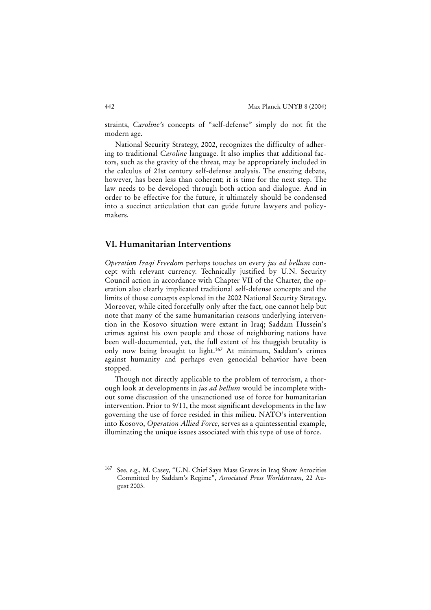straints, *Caroline's* concepts of "self-defense" simply do not fit the modern age.

National Security Strategy, 2002, recognizes the difficulty of adhering to traditional *Caroline* language. It also implies that additional factors, such as the gravity of the threat, may be appropriately included in the calculus of 21st century self-defense analysis. The ensuing debate, however, has been less than coherent; it is time for the next step. The law needs to be developed through both action and dialogue. And in order to be effective for the future, it ultimately should be condensed into a succinct articulation that can guide future lawyers and policymakers.

### **VI. Humanitarian Interventions**

*Operation Iraqi Freedom* perhaps touches on every *jus ad bellum* concept with relevant currency. Technically justified by U.N. Security Council action in accordance with Chapter VII of the Charter, the operation also clearly implicated traditional self-defense concepts and the limits of those concepts explored in the 2002 National Security Strategy. Moreover, while cited forcefully only after the fact, one cannot help but note that many of the same humanitarian reasons underlying intervention in the Kosovo situation were extant in Iraq; Saddam Hussein's crimes against his own people and those of neighboring nations have been well-documented, yet, the full extent of his thuggish brutality is only now being brought to light.167 At minimum, Saddam's crimes against humanity and perhaps even genocidal behavior have been stopped.

Though not directly applicable to the problem of terrorism, a thorough look at developments in *jus ad bellum* would be incomplete without some discussion of the unsanctioned use of force for humanitarian intervention. Prior to 9/11, the most significant developments in the law governing the use of force resided in this milieu. NATO's intervention into Kosovo, *Operation Allied Force*, serves as a quintessential example, illuminating the unique issues associated with this type of use of force.

<sup>167</sup> See, e.g., M. Casey, "U.N. Chief Says Mass Graves in Iraq Show Atrocities Committed by Saddam's Regime", *Associated Press Worldstream*, 22 August 2003.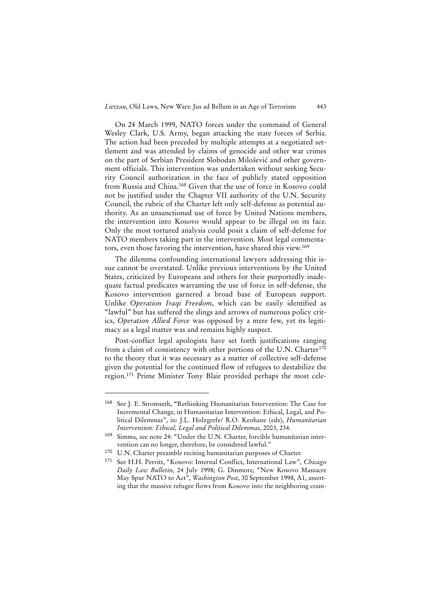On 24 March 1999, NATO forces under the command of General Wesley Clark, U.S. Army, began attacking the state forces of Serbia. The action had been preceded by multiple attempts at a negotiated settlement and was attended by claims of genocide and other war crimes on the part of Serbian President Slobodan Milošević and other government officials. This intervention was undertaken without seeking Security Council authorization in the face of publicly stated opposition from Russia and China.168 Given that the use of force in Kosovo could not be justified under the Chapter VII authority of the U.N. Security Council, the rubric of the Charter left only self-defense as potential authority. As an unsanctioned use of force by United Nations members, the intervention into Kosovo would appear to be illegal on its face. Only the most tortured analysis could posit a claim of self-defense for NATO members taking part in the intervention. Most legal commentators, even those favoring the intervention, have shared this view.169

The dilemma confounding international lawyers addressing this issue cannot be overstated. Unlike previous interventions by the United States, criticized by Europeans and others for their purportedly inadequate factual predicates warranting the use of force in self-defense, the Kosovo intervention garnered a broad base of European support. Unlike *Operation Iraqi Freedom*, which can be easily identified as "lawful" but has suffered the slings and arrows of numerous policy critics, *Operation Allied Force* was opposed by a mere few, yet its legitimacy as a legal matter was and remains highly suspect.

Post-conflict legal apologists have set forth justifications ranging from a claim of consistency with other portions of the U.N. Charter<sup>170</sup> to the theory that it was necessary as a matter of collective self-defense given the potential for the continued flow of refugees to destabilize the region.171 Prime Minister Tony Blair provided perhaps the most cele-

<sup>168</sup> See J. E. Stromseth, **"**Rethinking Humanitarian Intervention: The Case for Incremental Change, in Humanitarian Intervention: Ethical, Legal, and Political Dilemmas", in: J.L. Holzgrefe/ R.O. Keohane (eds), *Humanitarian Intervention: Ethical, Legal and Political Dilemmas*, 2003, 234.

<sup>169</sup> Simma, see note 24: "Under the U.N. Charter, forcible humanitarian intervention can no longer, therefore, be considered lawful."

<sup>170</sup> U.N. Charter preamble reciting humanitarian purposes of Charter.

<sup>171</sup> See H.H. Perritt, "Kosovo: Internal Conflict, International Law", *Chicago Daily Law Bulletin*, 24 July 1998; G. Dinmore, "New Kosovo Massacre May Spur NATO to Act", *Washington Post*, 30 September 1998, A1, asserting that the massive refugee flows from Kosovo into the neighboring coun-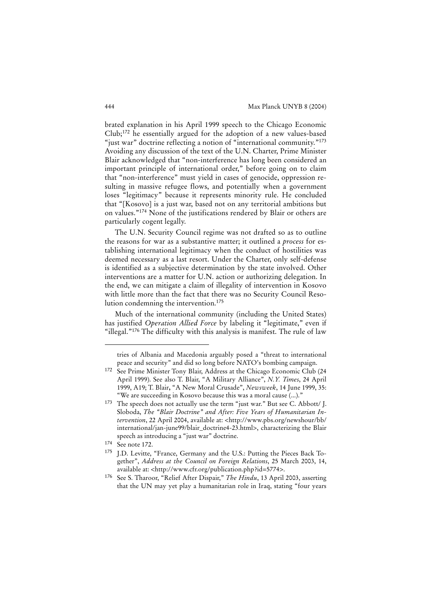brated explanation in his April 1999 speech to the Chicago Economic Club;172 he essentially argued for the adoption of a new values-based "just war" doctrine reflecting a notion of "international community."<sup>173</sup> Avoiding any discussion of the text of the U.N. Charter, Prime Minister Blair acknowledged that "non-interference has long been considered an important principle of international order," before going on to claim that "non-interference" must yield in cases of genocide, oppression resulting in massive refugee flows, and potentially when a government loses "legitimacy" because it represents minority rule. He concluded that "[Kosovo] is a just war, based not on any territorial ambitions but on values."174 None of the justifications rendered by Blair or others are particularly cogent legally.

The U.N. Security Council regime was not drafted so as to outline the reasons for war as a substantive matter; it outlined a *process* for establishing international legitimacy when the conduct of hostilities was deemed necessary as a last resort. Under the Charter, only self-defense is identified as a subjective determination by the state involved. Other interventions are a matter for U.N. action or authorizing delegation. In the end, we can mitigate a claim of illegality of intervention in Kosovo with little more than the fact that there was no Security Council Resolution condemning the intervention.175

Much of the international community (including the United States) has justified *Operation Allied Force* by labeling it "legitimate," even if "illegal."176 The difficulty with this analysis is manifest. The rule of law

tries of Albania and Macedonia arguably posed a "threat to international peace and security" and did so long before NATO's bombing campaign.

<sup>172</sup> See Prime Minister Tony Blair, Address at the Chicago Economic Club (24 April 1999). See also T. Blair, "A Military Alliance", *N.Y. Times*, 24 April 1999, A19; T. Blair**,** "A New Moral Crusade", *Newsweek*, 14 June 1999, 35: "We are succeeding in Kosovo because this was a moral cause (...)."

<sup>173</sup> The speech does not actually use the term "just war." But see C. Abbott/ J. Sloboda, *The "Blair Doctrine" and After: Five Years of Humanitarian Intervention*, 22 April 2004, available at: <http://www.pbs.org/newshour/bb/ international/jan-june99/blair\_doctrine4-23.html>, characterizing the Blair speech as introducing a "just war" doctrine.

<sup>174</sup> See note 172.

<sup>175</sup> J.D. Levitte, "France, Germany and the U.S.: Putting the Pieces Back Together", *Address at the Council on Foreign Relations*, 25 March 2003, 14, available at: <http://www.cfr.org/publication.php?id=5774>.

<sup>176</sup> See S. Tharoor, "Relief After Dispair," *The Hindu*, 13 April 2003, asserting that the UN may yet play a humanitarian role in Iraq, stating "four years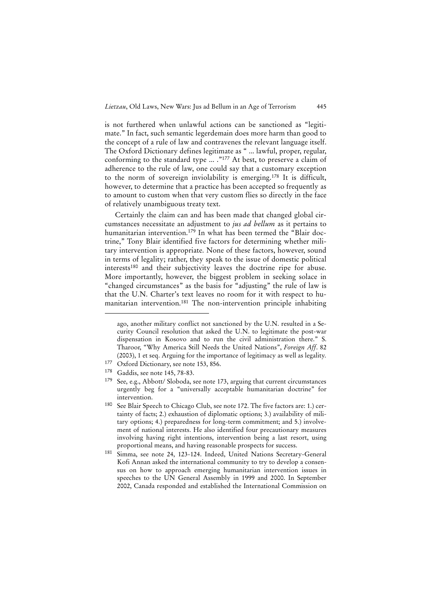is not furthered when unlawful actions can be sanctioned as "legitimate." In fact, such semantic legerdemain does more harm than good to the concept of a rule of law and contravenes the relevant language itself. The Oxford Dictionary defines legitimate as " ... lawful, proper, regular, conforming to the standard type ... ."177 At best, to preserve a claim of adherence to the rule of law, one could say that a customary exception to the norm of sovereign inviolability is emerging.178 It is difficult, however, to determine that a practice has been accepted so frequently as to amount to custom when that very custom flies so directly in the face of relatively unambiguous treaty text.

Certainly the claim can and has been made that changed global circumstances necessitate an adjustment to *jus ad bellum* as it pertains to humanitarian intervention.<sup>179</sup> In what has been termed the "Blair doctrine," Tony Blair identified five factors for determining whether military intervention is appropriate. None of these factors, however, sound in terms of legality; rather, they speak to the issue of domestic political interests180 and their subjectivity leaves the doctrine ripe for abuse. More importantly, however, the biggest problem in seeking solace in "changed circumstances" as the basis for "adjusting" the rule of law is that the U.N. Charter's text leaves no room for it with respect to humanitarian intervention.181 The non-intervention principle inhabiting

ago, another military conflict not sanctioned by the U.N. resulted in a Security Council resolution that asked the U.N. to legitimate the post-war dispensation in Kosovo and to run the civil administration there." S. Tharoor, "Why America Still Needs the United Nations", *Foreign Aff*. 82 (2003), 1 et seq. Arguing for the importance of legitimacy as well as legality.

<sup>177</sup> Oxford Dictionary, see note 153, 856.

<sup>178</sup> Gaddis, see note 145, 78-83.

<sup>179</sup> See, e.g., Abbott/ Sloboda, see note 173, arguing that current circumstances urgently beg for a "universally acceptable humanitarian doctrine" for intervention.

<sup>180</sup> See Blair Speech to Chicago Club, see note 172. The five factors are: 1.) certainty of facts; 2.) exhaustion of diplomatic options; 3.) availability of military options; 4.) preparedness for long-term commitment; and 5.) involvement of national interests. He also identified four precautionary measures involving having right intentions, intervention being a last resort, using proportional means, and having reasonable prospects for success.

<sup>181</sup> Simma, see note 24, 123-124. Indeed, United Nations Secretary-General Kofi Annan asked the international community to try to develop a consensus on how to approach emerging humanitarian intervention issues in speeches to the UN General Assembly in 1999 and 2000. In September 2002, Canada responded and established the International Commission on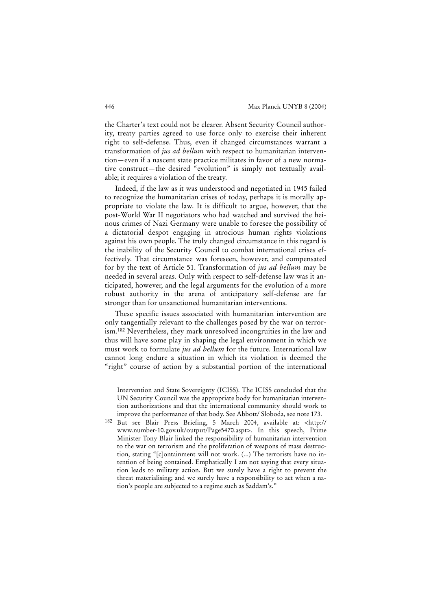the Charter's text could not be clearer. Absent Security Council authority, treaty parties agreed to use force only to exercise their inherent right to self-defense. Thus, even if changed circumstances warrant a transformation of *jus ad bellum* with respect to humanitarian intervention—even if a nascent state practice militates in favor of a new normative construct—the desired "evolution" is simply not textually available; it requires a violation of the treaty.

Indeed, if the law as it was understood and negotiated in 1945 failed to recognize the humanitarian crises of today, perhaps it is morally appropriate to violate the law. It is difficult to argue, however, that the post-World War II negotiators who had watched and survived the heinous crimes of Nazi Germany were unable to foresee the possibility of a dictatorial despot engaging in atrocious human rights violations against his own people. The truly changed circumstance in this regard is the inability of the Security Council to combat international crises effectively. That circumstance was foreseen, however, and compensated for by the text of Article 51. Transformation of *jus ad bellum* may be needed in several areas. Only with respect to self-defense law was it anticipated, however, and the legal arguments for the evolution of a more robust authority in the arena of anticipatory self-defense are far stronger than for unsanctioned humanitarian interventions.

These specific issues associated with humanitarian intervention are only tangentially relevant to the challenges posed by the war on terrorism.182 Nevertheless, they mark unresolved incongruities in the law and thus will have some play in shaping the legal environment in which we must work to formulate *jus ad bellum* for the future*.* International law cannot long endure a situation in which its violation is deemed the "right" course of action by a substantial portion of the international

Intervention and State Sovereignty (ICISS). The ICISS concluded that the UN Security Council was the appropriate body for humanitarian intervention authorizations and that the international community should work to improve the performance of that body. See Abbott/ Sloboda, see note 173.

<sup>182</sup> But see Blair Press Briefing, 5 March 2004, available at: <http:// www.number-10.gov.uk/output/Page5470.aspt>. In this speech, Prime Minister Tony Blair linked the responsibility of humanitarian intervention to the war on terrorism and the proliferation of weapons of mass destruction, stating "[c]ontainment will not work. (...) The terrorists have no intention of being contained. Emphatically I am not saying that every situation leads to military action. But we surely have a right to prevent the threat materialising; and we surely have a responsibility to act when a nation's people are subjected to a regime such as Saddam's."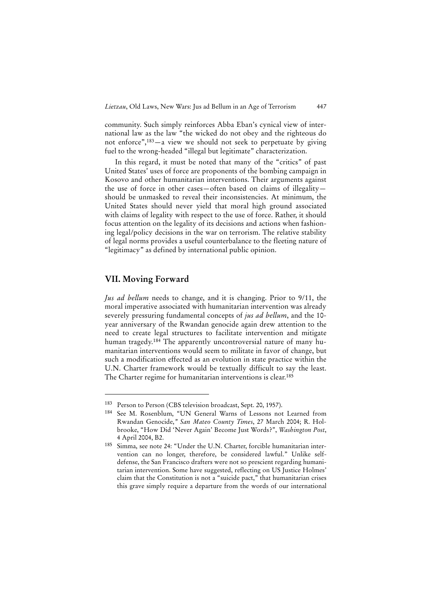community. Such simply reinforces Abba Eban's cynical view of international law as the law "the wicked do not obey and the righteous do not enforce",183—a view we should not seek to perpetuate by giving fuel to the wrong-headed "illegal but legitimate" characterization.

In this regard, it must be noted that many of the "critics" of past United States' uses of force are proponents of the bombing campaign in Kosovo and other humanitarian interventions. Their arguments against the use of force in other cases—often based on claims of illegality should be unmasked to reveal their inconsistencies. At minimum, the United States should never yield that moral high ground associated with claims of legality with respect to the use of force. Rather, it should focus attention on the legality of its decisions and actions when fashioning legal/policy decisions in the war on terrorism. The relative stability of legal norms provides a useful counterbalance to the fleeting nature of "legitimacy" as defined by international public opinion.

### **VII. Moving Forward**

1

*Jus ad bellum* needs to change, and it is changing. Prior to 9/11, the moral imperative associated with humanitarian intervention was already severely pressuring fundamental concepts of *jus ad bellum*, and the 10 year anniversary of the Rwandan genocide again drew attention to the need to create legal structures to facilitate intervention and mitigate human tragedy.184 The apparently uncontroversial nature of many humanitarian interventions would seem to militate in favor of change, but such a modification effected as an evolution in state practice within the U.N. Charter framework would be textually difficult to say the least. The Charter regime for humanitarian interventions is clear.<sup>185</sup>

<sup>183</sup> Person to Person (CBS television broadcast, Sept. 20, 1957).

<sup>184</sup> See M. Rosenblum, "UN General Warns of Lessons not Learned from Rwandan Genocide,*" San Mateo County Times*, 27 March 2004; R. Holbrooke, "How Did 'Never Again' Become Just Words?", *Washington Post*, 4 April 2004, B2.

<sup>185</sup> Simma, see note 24: "Under the U.N. Charter, forcible humanitarian intervention can no longer, therefore, be considered lawful." Unlike selfdefense, the San Francisco drafters were not so prescient regarding humanitarian intervention. Some have suggested, reflecting on US Justice Holmes' claim that the Constitution is not a "suicide pact," that humanitarian crises this grave simply require a departure from the words of our international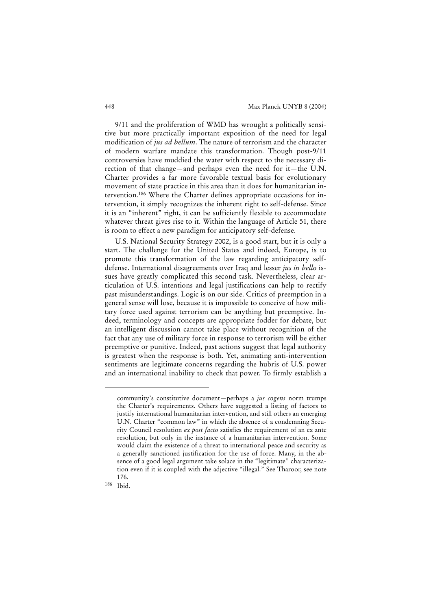9/11 and the proliferation of WMD has wrought a politically sensitive but more practically important exposition of the need for legal modification of *jus ad bellum*. The nature of terrorism and the character of modern warfare mandate this transformation. Though post-9/11 controversies have muddied the water with respect to the necessary direction of that change—and perhaps even the need for it—the U.N. Charter provides a far more favorable textual basis for evolutionary movement of state practice in this area than it does for humanitarian intervention.186 Where the Charter defines appropriate occasions for intervention, it simply recognizes the inherent right to self-defense. Since it is an "inherent" right, it can be sufficiently flexible to accommodate whatever threat gives rise to it. Within the language of Article 51, there is room to effect a new paradigm for anticipatory self-defense.

U.S. National Security Strategy 2002, is a good start, but it is only a start. The challenge for the United States and indeed, Europe, is to promote this transformation of the law regarding anticipatory selfdefense. International disagreements over Iraq and lesser *jus in bello* issues have greatly complicated this second task. Nevertheless, clear articulation of U.S. intentions and legal justifications can help to rectify past misunderstandings. Logic is on our side. Critics of preemption in a general sense will lose, because it is impossible to conceive of how military force used against terrorism can be anything but preemptive. Indeed, terminology and concepts are appropriate fodder for debate, but an intelligent discussion cannot take place without recognition of the fact that any use of military force in response to terrorism will be either preemptive or punitive. Indeed, past actions suggest that legal authority is greatest when the response is both. Yet, animating anti-intervention sentiments are legitimate concerns regarding the hubris of U.S. power and an international inability to check that power. To firmly establish a

community's constitutive document—perhaps a *jus cogens* norm trumps the Charter's requirements. Others have suggested a listing of factors to justify international humanitarian intervention, and still others an emerging U.N. Charter "common law" in which the absence of a condemning Security Council resolution *ex post facto* satisfies the requirement of an ex ante resolution, but only in the instance of a humanitarian intervention. Some would claim the existence of a threat to international peace and security as a generally sanctioned justification for the use of force. Many, in the absence of a good legal argument take solace in the "legitimate" characterization even if it is coupled with the adjective "illegal." See Tharoor, see note 176.

<sup>186</sup> Ibid.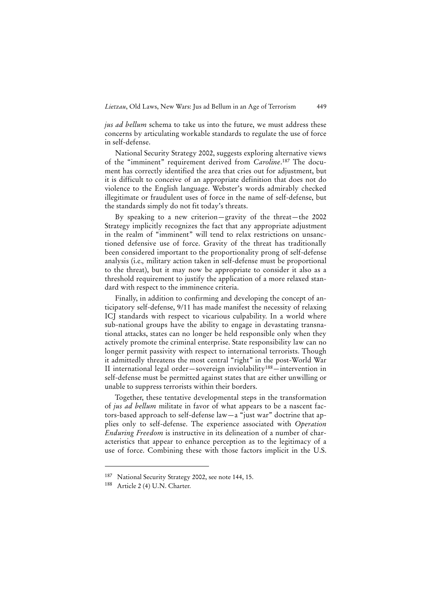*jus ad bellum* schema to take us into the future, we must address these concerns by articulating workable standards to regulate the use of force in self-defense.

National Security Strategy 2002, suggests exploring alternative views of the "imminent" requirement derived from *Caroline*. 187 The document has correctly identified the area that cries out for adjustment, but it is difficult to conceive of an appropriate definition that does not do violence to the English language. Webster's words admirably checked illegitimate or fraudulent uses of force in the name of self-defense, but the standards simply do not fit today's threats.

By speaking to a new criterion—gravity of the threat—the 2002 Strategy implicitly recognizes the fact that any appropriate adjustment in the realm of "imminent" will tend to relax restrictions on unsanctioned defensive use of force. Gravity of the threat has traditionally been considered important to the proportionality prong of self-defense analysis (i.e.*,* military action taken in self-defense must be proportional to the threat), but it may now be appropriate to consider it also as a threshold requirement to justify the application of a more relaxed standard with respect to the imminence criteria.

Finally, in addition to confirming and developing the concept of anticipatory self-defense, 9/11 has made manifest the necessity of relaxing ICJ standards with respect to vicarious culpability. In a world where sub-national groups have the ability to engage in devastating transnational attacks, states can no longer be held responsible only when they actively promote the criminal enterprise. State responsibility law can no longer permit passivity with respect to international terrorists. Though it admittedly threatens the most central "right" in the post-World War II international legal order—sovereign inviolability188—intervention in self-defense must be permitted against states that are either unwilling or unable to suppress terrorists within their borders.

Together, these tentative developmental steps in the transformation of *jus ad bellum* militate in favor of what appears to be a nascent factors-based approach to self-defense law—a "just war" doctrine that applies only to self-defense. The experience associated with *Operation Enduring Freedom* is instructive in its delineation of a number of characteristics that appear to enhance perception as to the legitimacy of a use of force. Combining these with those factors implicit in the U.S.

<sup>187</sup> National Security Strategy 2002, see note 144, 15.

<sup>188</sup> Article 2 (4) U.N. Charter.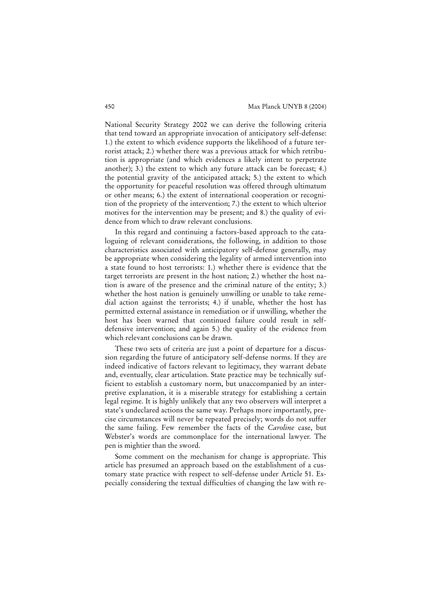National Security Strategy 2002 we can derive the following criteria that tend toward an appropriate invocation of anticipatory self-defense: 1.) the extent to which evidence supports the likelihood of a future terrorist attack; 2.) whether there was a previous attack for which retribution is appropriate (and which evidences a likely intent to perpetrate another); 3.) the extent to which any future attack can be forecast; 4.) the potential gravity of the anticipated attack; 5.) the extent to which the opportunity for peaceful resolution was offered through ultimatum or other means; 6.) the extent of international cooperation or recognition of the propriety of the intervention; 7.) the extent to which ulterior motives for the intervention may be present; and 8.) the quality of evidence from which to draw relevant conclusions.

In this regard and continuing a factors-based approach to the cataloguing of relevant considerations, the following, in addition to those characteristics associated with anticipatory self-defense generally, may be appropriate when considering the legality of armed intervention into a state found to host terrorists: 1.) whether there is evidence that the target terrorists are present in the host nation; 2.) whether the host nation is aware of the presence and the criminal nature of the entity; 3.) whether the host nation is genuinely unwilling or unable to take remedial action against the terrorists; 4.) if unable, whether the host has permitted external assistance in remediation or if unwilling, whether the host has been warned that continued failure could result in selfdefensive intervention; and again 5.) the quality of the evidence from which relevant conclusions can be drawn.

These two sets of criteria are just a point of departure for a discussion regarding the future of anticipatory self-defense norms. If they are indeed indicative of factors relevant to legitimacy, they warrant debate and, eventually, clear articulation. State practice may be technically sufficient to establish a customary norm, but unaccompanied by an interpretive explanation, it is a miserable strategy for establishing a certain legal regime. It is highly unlikely that any two observers will interpret a state's undeclared actions the same way. Perhaps more importantly, precise circumstances will never be repeated precisely; words do not suffer the same failing. Few remember the facts of the *Caroline* case, but Webster's words are commonplace for the international lawyer. The pen is mightier than the sword.

Some comment on the mechanism for change is appropriate. This article has presumed an approach based on the establishment of a customary state practice with respect to self-defense under Article 51. Especially considering the textual difficulties of changing the law with re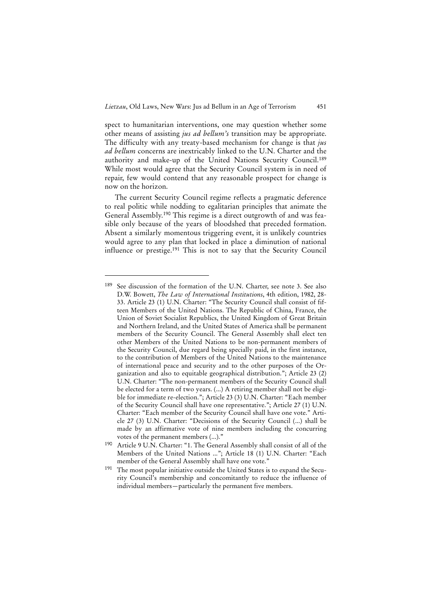spect to humanitarian interventions, one may question whether some other means of assisting *jus ad bellum's* transition may be appropriate. The difficulty with any treaty-based mechanism for change is that *jus ad bellum* concerns are inextricably linked to the U.N. Charter and the authority and make-up of the United Nations Security Council.189 While most would agree that the Security Council system is in need of repair, few would contend that any reasonable prospect for change is now on the horizon.

The current Security Council regime reflects a pragmatic deference to real politic while nodding to egalitarian principles that animate the General Assembly.190 This regime is a direct outgrowth of and was feasible only because of the years of bloodshed that preceded formation. Absent a similarly momentous triggering event, it is unlikely countries would agree to any plan that locked in place a diminution of national influence or prestige.191 This is not to say that the Security Council

<sup>189</sup> See discussion of the formation of the U.N. Charter, see note 3. See also D.W. Bowett, *The Law of International Institutions*, 4th edition, 1982, 28- 33. Article 23 (1) U.N. Charter: "The Security Council shall consist of fifteen Members of the United Nations. The Republic of China, France, the Union of Soviet Socialist Republics, the United Kingdom of Great Britain and Northern Ireland, and the United States of America shall be permanent members of the Security Council. The General Assembly shall elect ten other Members of the United Nations to be non-permanent members of the Security Council, due regard being specially paid, in the first instance, to the contribution of Members of the United Nations to the maintenance of international peace and security and to the other purposes of the Organization and also to equitable geographical distribution."; Article 23 (2) U.N. Charter: "The non-permanent members of the Security Council shall be elected for a term of two years. (...) A retiring member shall not be eligible for immediate re-election."; Article 23 (3) U.N. Charter: "Each member of the Security Council shall have one representative."; Article 27 (1) U.N. Charter: "Each member of the Security Council shall have one vote." Article 27 (3) U.N. Charter: "Decisions of the Security Council (...) shall be made by an affirmative vote of nine members including the concurring votes of the permanent members (...)."

<sup>190</sup> Article 9 U.N. Charter: "1. The General Assembly shall consist of all of the Members of the United Nations ..."; Article 18 (1) U.N. Charter: "Each member of the General Assembly shall have one vote."

<sup>&</sup>lt;sup>191</sup> The most popular initiative outside the United States is to expand the Security Council's membership and concomitantly to reduce the influence of individual members—particularly the permanent five members.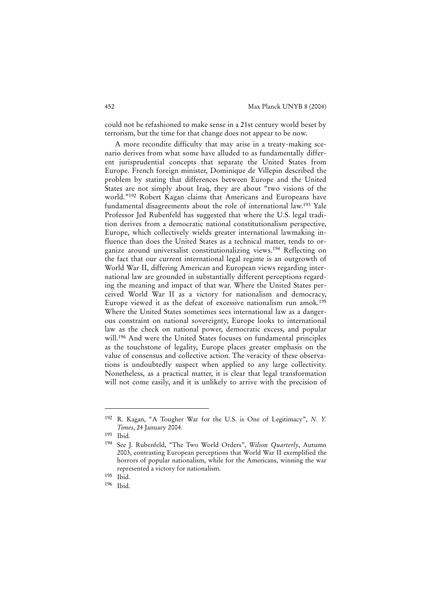could not be refashioned to make sense in a 21st century world beset by terrorism, but the time for that change does not appear to be now.

A more recondite difficulty that may arise in a treaty-making scenario derives from what some have alluded to as fundamentally different jurisprudential concepts that separate the United States from Europe. French foreign minister, Dominique de Villepin described the problem by stating that differences between Europe and the United States are not simply about Iraq, they are about "two visions of the world."192 Robert Kagan claims that Americans and Europeans have fundamental disagreements about the role of international law.193 Yale Professor Jed Rubenfeld has suggested that where the U.S. legal tradition derives from a democratic national constitutionalism perspective, Europe, which collectively wields greater international lawmaking influence than does the United States as a technical matter, tends to organize around universalist constitutionalizing views.194 Reflecting on the fact that our current international legal regime is an outgrowth of World War II, differing American and European views regarding international law are grounded in substantially different perceptions regarding the meaning and impact of that war. Where the United States perceived World War II as a victory for nationalism and democracy, Europe viewed it as the defeat of excessive nationalism run amok.195 Where the United States sometimes sees international law as a dangerous constraint on national sovereignty, Europe looks to international law as the check on national power, democratic excess, and popular will.196 And were the United States focuses on fundamental principles as the touchstone of legality, Europe places greater emphasis on the value of consensus and collective action. The veracity of these observations is undoubtedly suspect when applied to any large collectivity. Nonetheless, as a practical matter, it is clear that legal transformation will not come easily, and it is unlikely to arrive with the precision of

<sup>192</sup> R. Kagan, "A Tougher War for the U.S. is One of Legitimacy", *N. Y. Times*, 24 January 2004.

<sup>193</sup> Ibid.

<sup>194</sup> See J. Rubenfeld, "The Two World Orders", *Wilson Quarterly*, Autumn 2003, contrasting European perceptions that World War II exemplified the horrors of popular nationalism, while for the Americans, winning the war represented a victory for nationalism.

<sup>195</sup> Ibid.

<sup>196</sup> Ibid.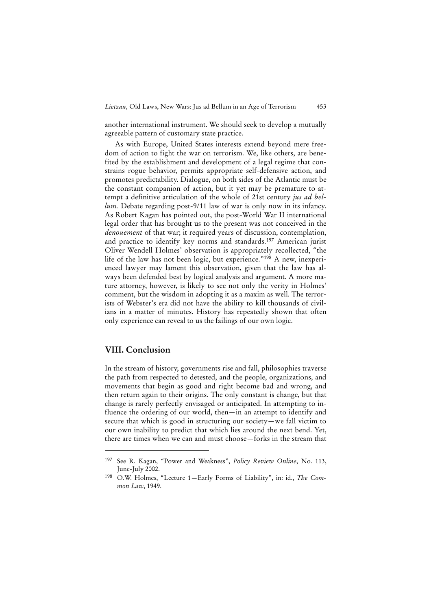another international instrument. We should seek to develop a mutually agreeable pattern of customary state practice.

As with Europe, United States interests extend beyond mere freedom of action to fight the war on terrorism. We, like others, are benefited by the establishment and development of a legal regime that constrains rogue behavior, permits appropriate self-defensive action, and promotes predictability. Dialogue, on both sides of the Atlantic must be the constant companion of action, but it yet may be premature to attempt a definitive articulation of the whole of 21st century *jus ad bellum.* Debate regarding post-9/11 law of war is only now in its infancy. As Robert Kagan has pointed out, the post-World War II international legal order that has brought us to the present was not conceived in the *denouement* of that war; it required years of discussion, contemplation, and practice to identify key norms and standards.<sup>197</sup> American jurist Oliver Wendell Holmes' observation is appropriately recollected, "the life of the law has not been logic, but experience."198 A new, inexperienced lawyer may lament this observation, given that the law has always been defended best by logical analysis and argument. A more mature attorney, however, is likely to see not only the verity in Holmes' comment, but the wisdom in adopting it as a maxim as well. The terrorists of Webster's era did not have the ability to kill thousands of civilians in a matter of minutes. History has repeatedly shown that often only experience can reveal to us the failings of our own logic.

## **VIII. Conclusion**

j

In the stream of history, governments rise and fall, philosophies traverse the path from respected to detested, and the people, organizations, and movements that begin as good and right become bad and wrong, and then return again to their origins. The only constant is change, but that change is rarely perfectly envisaged or anticipated. In attempting to influence the ordering of our world, then—in an attempt to identify and secure that which is good in structuring our society—we fall victim to our own inability to predict that which lies around the next bend. Yet, there are times when we can and must choose—forks in the stream that

<sup>197</sup> See R. Kagan, "Power and Weakness", *Policy Review Online*, No. 113, June-July 2002.

<sup>198</sup> O.W. Holmes, "Lecture 1—Early Forms of Liability", in: id., *The Common Law*, 1949.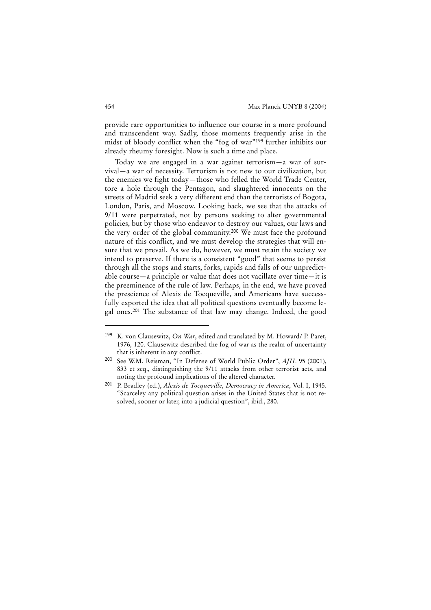provide rare opportunities to influence our course in a more profound and transcendent way. Sadly, those moments frequently arise in the midst of bloody conflict when the "fog of war"199 further inhibits our already rheumy foresight. Now is such a time and place.

Today we are engaged in a war against terrorism—a war of survival—a war of necessity. Terrorism is not new to our civilization, but the enemies we fight today—those who felled the World Trade Center, tore a hole through the Pentagon, and slaughtered innocents on the streets of Madrid seek a very different end than the terrorists of Bogota, London, Paris, and Moscow. Looking back, we see that the attacks of 9/11 were perpetrated, not by persons seeking to alter governmental policies, but by those who endeavor to destroy our values, our laws and the very order of the global community.200 We must face the profound nature of this conflict, and we must develop the strategies that will ensure that we prevail. As we do, however, we must retain the society we intend to preserve. If there is a consistent "good" that seems to persist through all the stops and starts, forks, rapids and falls of our unpredictable course—a principle or value that does not vacillate over time—it is the preeminence of the rule of law. Perhaps, in the end, we have proved the prescience of Alexis de Tocqueville, and Americans have successfully exported the idea that all political questions eventually become legal ones.201 The substance of that law may change. Indeed, the good

<sup>199</sup> K. von Clausewitz, *On War*, edited and translated by M. Howard/ P. Paret, 1976, 120. Clausewitz described the fog of war as the realm of uncertainty that is inherent in any conflict.

<sup>200</sup> See W.M. Reisman, "In Defense of World Public Order", *AJIL* 95 (2001), 833 et seq., distinguishing the 9/11 attacks from other terrorist acts, and noting the profound implications of the altered character.

<sup>201</sup> P. Bradley (ed.), *Alexis de Tocqueville, Democracy in America*, Vol. I, 1945. "Scarceley any political question arises in the United States that is not resolved, sooner or later, into a judicial question", ibid., 280.